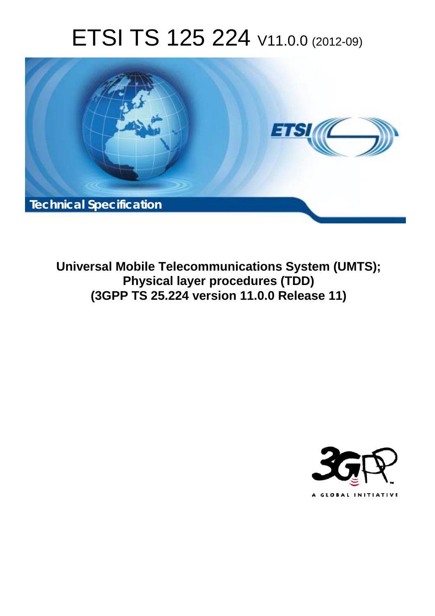# ETSI TS 125 224 V11.0.0 (2012-09)



**Universal Mobile Telecommunications System (UMTS); Physical layer procedures (TDD) (3GPP TS 25.224 version 11.0.0 Release 11)** 

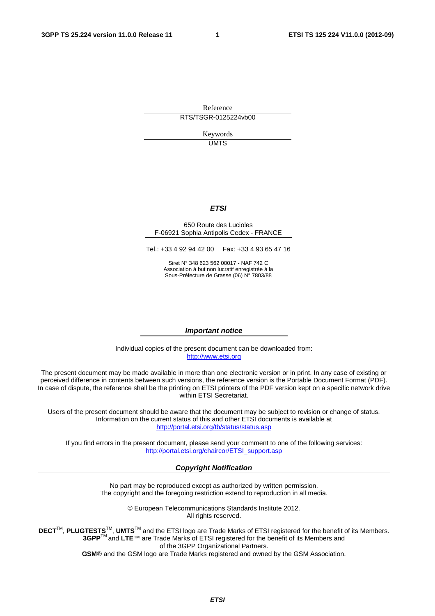Reference RTS/TSGR-0125224vb00

> Keywords UMTS

#### *ETSI*

#### 650 Route des Lucioles F-06921 Sophia Antipolis Cedex - FRANCE

Tel.: +33 4 92 94 42 00 Fax: +33 4 93 65 47 16

Siret N° 348 623 562 00017 - NAF 742 C Association à but non lucratif enregistrée à la Sous-Préfecture de Grasse (06) N° 7803/88

#### *Important notice*

Individual copies of the present document can be downloaded from: [http://www.etsi.org](http://www.etsi.org/)

The present document may be made available in more than one electronic version or in print. In any case of existing or perceived difference in contents between such versions, the reference version is the Portable Document Format (PDF). In case of dispute, the reference shall be the printing on ETSI printers of the PDF version kept on a specific network drive within ETSI Secretariat.

Users of the present document should be aware that the document may be subject to revision or change of status. Information on the current status of this and other ETSI documents is available at <http://portal.etsi.org/tb/status/status.asp>

If you find errors in the present document, please send your comment to one of the following services: [http://portal.etsi.org/chaircor/ETSI\\_support.asp](http://portal.etsi.org/chaircor/ETSI_support.asp)

#### *Copyright Notification*

No part may be reproduced except as authorized by written permission. The copyright and the foregoing restriction extend to reproduction in all media.

> © European Telecommunications Standards Institute 2012. All rights reserved.

DECT<sup>™</sup>, PLUGTESTS<sup>™</sup>, UMTS<sup>™</sup> and the ETSI logo are Trade Marks of ETSI registered for the benefit of its Members. **3GPP**TM and **LTE**™ are Trade Marks of ETSI registered for the benefit of its Members and of the 3GPP Organizational Partners.

**GSM**® and the GSM logo are Trade Marks registered and owned by the GSM Association.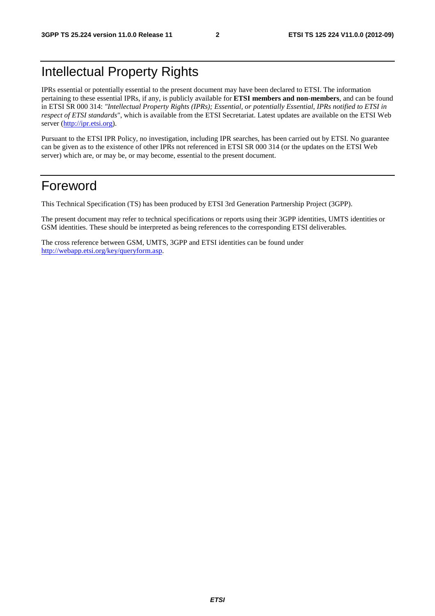## Intellectual Property Rights

IPRs essential or potentially essential to the present document may have been declared to ETSI. The information pertaining to these essential IPRs, if any, is publicly available for **ETSI members and non-members**, and can be found in ETSI SR 000 314: *"Intellectual Property Rights (IPRs); Essential, or potentially Essential, IPRs notified to ETSI in respect of ETSI standards"*, which is available from the ETSI Secretariat. Latest updates are available on the ETSI Web server ([http://ipr.etsi.org\)](http://webapp.etsi.org/IPR/home.asp).

Pursuant to the ETSI IPR Policy, no investigation, including IPR searches, has been carried out by ETSI. No guarantee can be given as to the existence of other IPRs not referenced in ETSI SR 000 314 (or the updates on the ETSI Web server) which are, or may be, or may become, essential to the present document.

## Foreword

This Technical Specification (TS) has been produced by ETSI 3rd Generation Partnership Project (3GPP).

The present document may refer to technical specifications or reports using their 3GPP identities, UMTS identities or GSM identities. These should be interpreted as being references to the corresponding ETSI deliverables.

The cross reference between GSM, UMTS, 3GPP and ETSI identities can be found under [http://webapp.etsi.org/key/queryform.asp.](http://webapp.etsi.org/key/queryform.asp)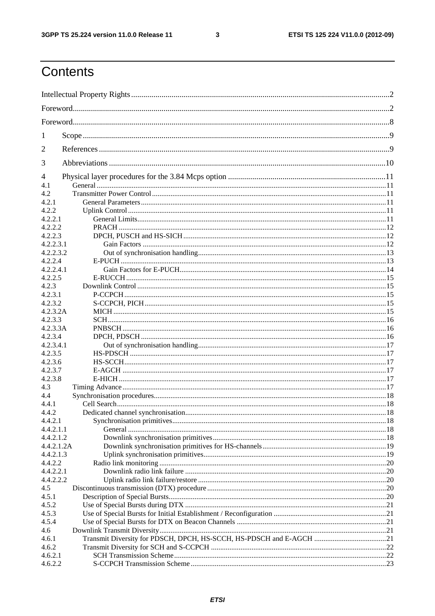$\mathbf{3}$ 

## Contents

| 1          |                                                                     |  |
|------------|---------------------------------------------------------------------|--|
| 2          |                                                                     |  |
| 3          |                                                                     |  |
| 4          |                                                                     |  |
| 4.1        |                                                                     |  |
| 4.2        |                                                                     |  |
| 4.2.1      |                                                                     |  |
| 4.2.2      |                                                                     |  |
| 4.2.2.1    |                                                                     |  |
| 4.2.2.2    |                                                                     |  |
| 4.2.2.3    |                                                                     |  |
| 4.2.2.3.1  |                                                                     |  |
| 4.2.2.3.2  |                                                                     |  |
| 4.2.2.4    |                                                                     |  |
| 4.2.2.4.1  |                                                                     |  |
| 4.2.2.5    |                                                                     |  |
| 4.2.3      |                                                                     |  |
| 4.2.3.1    |                                                                     |  |
| 4.2.3.2    |                                                                     |  |
| 4.2.3.2A   |                                                                     |  |
| 4.2.3.3    |                                                                     |  |
| 4.2.3.3A   |                                                                     |  |
| 4.2.3.4    |                                                                     |  |
| 4.2.3.4.1  |                                                                     |  |
| 4.2.3.5    |                                                                     |  |
| 4.2.3.6    |                                                                     |  |
| 4.2.3.7    |                                                                     |  |
| 4.2.3.8    |                                                                     |  |
| 4.3        |                                                                     |  |
| 4.4        |                                                                     |  |
| 4.4.1      |                                                                     |  |
| 4.4.2      |                                                                     |  |
| 4.4.2.1    |                                                                     |  |
|            |                                                                     |  |
| 4.4.2.1.1  |                                                                     |  |
| 4.4.2.1.2  |                                                                     |  |
| 4.4.2.1.2A |                                                                     |  |
| 4.4.2.1.3  |                                                                     |  |
| 4.4.2.2    |                                                                     |  |
| 4.4.2.2.1  |                                                                     |  |
| 4.4.2.2.2  |                                                                     |  |
| 4.5        |                                                                     |  |
| 4.5.1      |                                                                     |  |
| 4.5.2      |                                                                     |  |
| 4.5.3      |                                                                     |  |
| 4.5.4      |                                                                     |  |
| 4.6        |                                                                     |  |
| 4.6.1      | Transmit Diversity for PDSCH, DPCH, HS-SCCH, HS-PDSCH and E-AGCH 21 |  |
| 4.6.2      |                                                                     |  |
| 4.6.2.1    |                                                                     |  |
| 4.6.2.2    |                                                                     |  |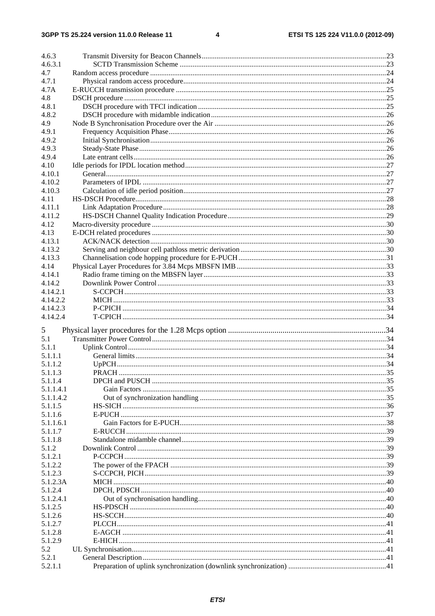$\overline{\mathbf{4}}$ 

| 4.6.3     |  |
|-----------|--|
| 4.6.3.1   |  |
| 4.7       |  |
| 4.7.1     |  |
| 4.7A      |  |
| 4.8       |  |
| 4.8.1     |  |
| 4.8.2     |  |
| 4.9       |  |
| 4.9.1     |  |
| 4.9.2     |  |
| 4.9.3     |  |
| 4.9.4     |  |
| 4.10      |  |
| 4.10.1    |  |
| 4.10.2    |  |
| 4.10.3    |  |
| 4.11      |  |
| 4.11.1    |  |
| 4.11.2    |  |
| 4.12      |  |
| 4.13      |  |
| 4.13.1    |  |
| 4.13.2    |  |
| 4.13.3    |  |
| 4.14      |  |
| 4.14.1    |  |
| 4.14.2    |  |
| 4.14.2.1  |  |
| 4.14.2.2  |  |
| 4.14.2.3  |  |
| 4.14.2.4  |  |
| 5         |  |
| 5.1       |  |
| 5.1.1     |  |
| 5.1.1.1   |  |
| 5.1.1.2   |  |
| 5.1.1.3   |  |
| 5.1.1.4   |  |
| 5.1.1.4.1 |  |
| 5.1.1.4.2 |  |
| 5.1.1.5   |  |
| 5.1.1.6   |  |
| 5.1.1.6.1 |  |
| 5.1.1.7   |  |
| 5.1.1.8   |  |
| 5.1.2     |  |
| 5.1.2.1   |  |
| 5.1.2.2   |  |
| 5.1.2.3   |  |
| 5.1.2.3A  |  |
| 5.1.2.4   |  |
| 5.1.2.4.1 |  |
| 5.1.2.5   |  |
| 5.1.2.6   |  |
| 5.1.2.7   |  |
| 5.1.2.8   |  |
| 5.1.2.9   |  |
| 5.2       |  |
| 5.2.1     |  |
| 5.2.1.1   |  |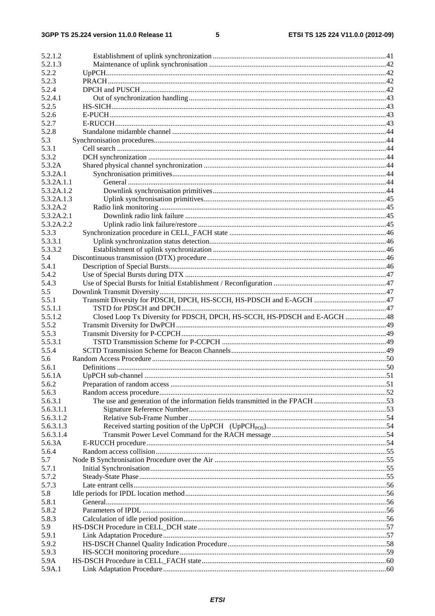#### $5\phantom{a}$

| 5.2.1.2      |                                                                              |  |
|--------------|------------------------------------------------------------------------------|--|
| 5.2.1.3      |                                                                              |  |
| 5.2.2        |                                                                              |  |
| 5.2.3        |                                                                              |  |
| 5.2.4        |                                                                              |  |
| 5.2.4.1      |                                                                              |  |
| 5.2.5        |                                                                              |  |
| 5.2.6        |                                                                              |  |
| 5.2.7        |                                                                              |  |
| 5.2.8        |                                                                              |  |
| 5.3          |                                                                              |  |
| 5.3.1        |                                                                              |  |
| 5.3.2        |                                                                              |  |
| 5.3.2A       |                                                                              |  |
| 5.3.2A.1     |                                                                              |  |
| 5.3.2A.1.1   |                                                                              |  |
| 5.3.2A.1.2   |                                                                              |  |
| 5.3.2A.1.3   |                                                                              |  |
| 5.3.2A.2     |                                                                              |  |
| 5.3.2A.2.1   |                                                                              |  |
| 5.3.2A.2.2   |                                                                              |  |
| 5.3.3        |                                                                              |  |
| 5.3.3.1      |                                                                              |  |
| 5.3.3.2      |                                                                              |  |
| 5.4          |                                                                              |  |
| 5.4.1        |                                                                              |  |
| 5.4.2        |                                                                              |  |
| 5.4.3        |                                                                              |  |
| 5.5          |                                                                              |  |
| 5.5.1        |                                                                              |  |
| 5.5.1.1      |                                                                              |  |
| 5.5.1.2      | Closed Loop Tx Diversity for PDSCH, DPCH, HS-SCCH, HS-PDSCH and E-AGCH  48   |  |
| 5.5.2        |                                                                              |  |
| 5.5.3        |                                                                              |  |
| 5.5.3.1      |                                                                              |  |
| 5.5.4        |                                                                              |  |
| 5.6          |                                                                              |  |
| 5.6.1        |                                                                              |  |
| 5.6.1A       |                                                                              |  |
| 5.6.2        |                                                                              |  |
| 5.6.3        |                                                                              |  |
| 5.6.3.1      | The use and generation of the information fields transmitted in the FPACH 53 |  |
| 5.6.3.1.1    |                                                                              |  |
| 5.6.3.1.2    |                                                                              |  |
| 5.6.3.1.3    |                                                                              |  |
| 5.6.3.1.4    |                                                                              |  |
| 5.6.3A       |                                                                              |  |
| 5.6.4        |                                                                              |  |
| 5.7          |                                                                              |  |
| 5.7.1        |                                                                              |  |
| 5.7.2        |                                                                              |  |
| 5.7.3        |                                                                              |  |
| 5.8          |                                                                              |  |
| 5.8.1        |                                                                              |  |
| 5.8.2        |                                                                              |  |
|              |                                                                              |  |
| 5.8.3<br>5.9 |                                                                              |  |
|              |                                                                              |  |
| 5.9.1        |                                                                              |  |
| 5.9.2        |                                                                              |  |
| 5.9.3        |                                                                              |  |
| 5.9A         |                                                                              |  |
| 5.9A.1       |                                                                              |  |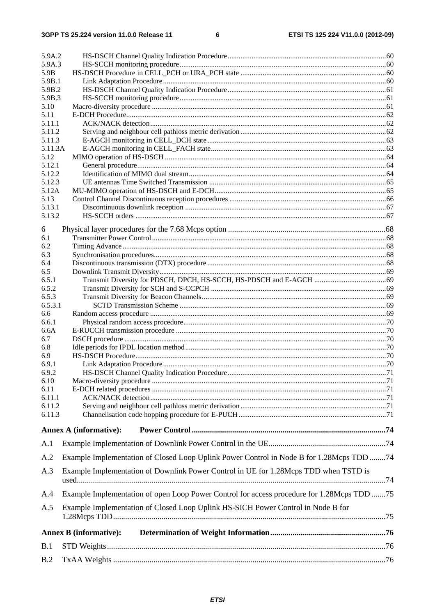| 5.9A.2           |                                                                                            |  |
|------------------|--------------------------------------------------------------------------------------------|--|
| 5.9A.3           |                                                                                            |  |
| 5.9B             |                                                                                            |  |
| 5.9B.1           |                                                                                            |  |
| 5.9B.2<br>5.9B.3 |                                                                                            |  |
| 5.10             |                                                                                            |  |
| 5.11             |                                                                                            |  |
| 5.11.1           |                                                                                            |  |
| 5.11.2           |                                                                                            |  |
| 5.11.3           |                                                                                            |  |
| 5.11.3A          |                                                                                            |  |
| 5.12             |                                                                                            |  |
| 5.12.1           |                                                                                            |  |
| 5.12.2           |                                                                                            |  |
| 5.12.3           |                                                                                            |  |
| 5.12A            |                                                                                            |  |
| 5.13             |                                                                                            |  |
| 5.13.1<br>5.13.2 |                                                                                            |  |
|                  |                                                                                            |  |
| 6                |                                                                                            |  |
| 6.1              |                                                                                            |  |
| 6.2              |                                                                                            |  |
| 6.3              |                                                                                            |  |
| 6.4              |                                                                                            |  |
| 6.5              |                                                                                            |  |
| 6.5.1            |                                                                                            |  |
| 6.5.2            |                                                                                            |  |
| 6.5.3            |                                                                                            |  |
| 6.5.3.1          |                                                                                            |  |
| 6.6<br>6.6.1     |                                                                                            |  |
| 6.6A             |                                                                                            |  |
| 6.7              |                                                                                            |  |
| 6.8              |                                                                                            |  |
| 6.9              |                                                                                            |  |
| 6.9.1            |                                                                                            |  |
| 6.9.2            |                                                                                            |  |
| 6.10             |                                                                                            |  |
| 6.11             |                                                                                            |  |
| 6.11.1           |                                                                                            |  |
| 6.11.2           |                                                                                            |  |
| 6.11.3           |                                                                                            |  |
|                  |                                                                                            |  |
|                  | <b>Annex A (informative):</b>                                                              |  |
| A.1              |                                                                                            |  |
| A.2              | Example Implementation of Closed Loop Uplink Power Control in Node B for 1.28Mcps TDD 74   |  |
| A.3              | Example Implementation of Downlink Power Control in UE for 1.28Mcps TDD when TSTD is       |  |
| A.4              | Example Implementation of open Loop Power Control for access procedure for 1.28Mcps TDD 75 |  |
| A.5              | Example Implementation of Closed Loop Uplink HS-SICH Power Control in Node B for           |  |
|                  |                                                                                            |  |
|                  | <b>Annex B</b> (informative):                                                              |  |
| B.1              |                                                                                            |  |
| B.2              |                                                                                            |  |
|                  |                                                                                            |  |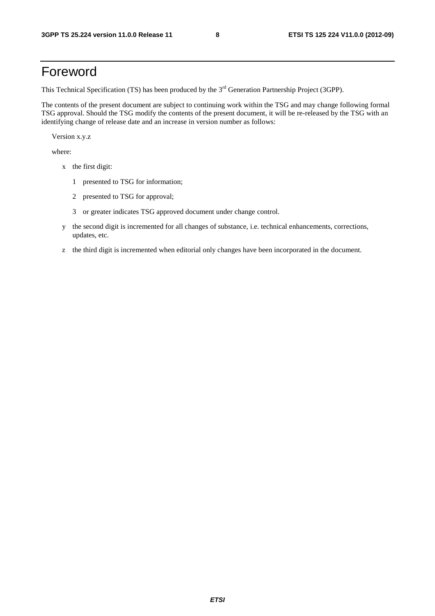## Foreword

This Technical Specification (TS) has been produced by the 3<sup>rd</sup> Generation Partnership Project (3GPP).

The contents of the present document are subject to continuing work within the TSG and may change following formal TSG approval. Should the TSG modify the contents of the present document, it will be re-released by the TSG with an identifying change of release date and an increase in version number as follows:

Version x.y.z

where:

- x the first digit:
	- 1 presented to TSG for information;
	- 2 presented to TSG for approval;
	- 3 or greater indicates TSG approved document under change control.
- y the second digit is incremented for all changes of substance, i.e. technical enhancements, corrections, updates, etc.
- z the third digit is incremented when editorial only changes have been incorporated in the document.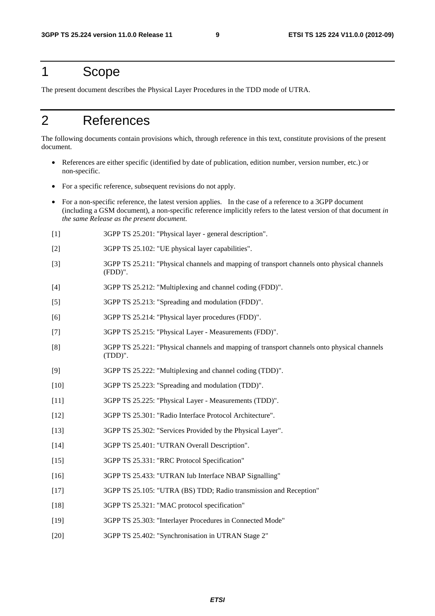## 1 Scope

The present document describes the Physical Layer Procedures in the TDD mode of UTRA.

## 2 References

The following documents contain provisions which, through reference in this text, constitute provisions of the present document.

- References are either specific (identified by date of publication, edition number, version number, etc.) or non-specific.
- For a specific reference, subsequent revisions do not apply.
- For a non-specific reference, the latest version applies. In the case of a reference to a 3GPP document (including a GSM document), a non-specific reference implicitly refers to the latest version of that document *in the same Release as the present document*.
- [1] 3GPP TS 25.201: "Physical layer general description".
- [2] 3GPP TS 25.102: "UE physical layer capabilities".
- [3] 3GPP TS 25.211: "Physical channels and mapping of transport channels onto physical channels (FDD)".
- [4] 3GPP TS 25.212: "Multiplexing and channel coding (FDD)".
- [5] 3GPP TS 25.213: "Spreading and modulation (FDD)".
- [6] 3GPP TS 25.214: "Physical layer procedures (FDD)".
- [7] 3GPP TS 25.215: "Physical Layer Measurements (FDD)".
- [8] 3GPP TS 25.221: "Physical channels and mapping of transport channels onto physical channels (TDD)".
- [9] 3GPP TS 25.222: "Multiplexing and channel coding (TDD)".
- [10] 3GPP TS 25.223: "Spreading and modulation (TDD)".
- [11] 3GPP TS 25.225: "Physical Layer Measurements (TDD)".
- [12] 3GPP TS 25.301: "Radio Interface Protocol Architecture".
- [13] 3GPP TS 25.302: "Services Provided by the Physical Layer".
- [14] 3GPP TS 25.401: "UTRAN Overall Description".
- [15] 3GPP TS 25.331: "RRC Protocol Specification"
- [16] 3GPP TS 25.433: "UTRAN Iub Interface NBAP Signalling"
- [17] 3GPP TS 25.105: "UTRA (BS) TDD; Radio transmission and Reception"
- [18] 3GPP TS 25.321: "MAC protocol specification"
- [19] 3GPP TS 25.303: "Interlayer Procedures in Connected Mode"
- [20] 3GPP TS 25.402: "Synchronisation in UTRAN Stage 2"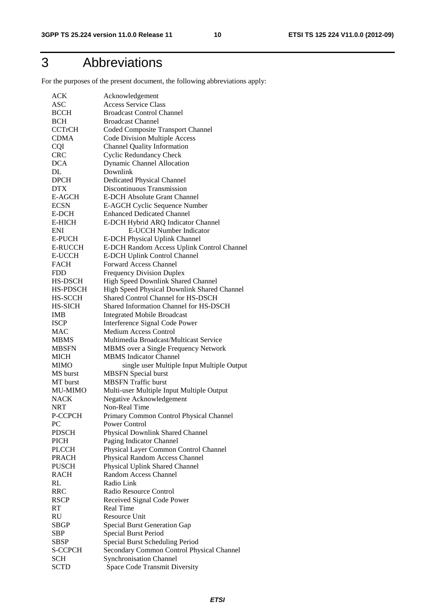## 3 Abbreviations

For the purposes of the present document, the following abbreviations apply:

| ACK            | Acknowledgement                             |
|----------------|---------------------------------------------|
| ASC            | <b>Access Service Class</b>                 |
| <b>BCCH</b>    | <b>Broadcast Control Channel</b>            |
| <b>BCH</b>     | <b>Broadcast Channel</b>                    |
| <b>CCTrCH</b>  | Coded Composite Transport Channel           |
| <b>CDMA</b>    | <b>Code Division Multiple Access</b>        |
| <b>CQI</b>     | <b>Channel Quality Information</b>          |
| <b>CRC</b>     | <b>Cyclic Redundancy Check</b>              |
| <b>DCA</b>     | <b>Dynamic Channel Allocation</b>           |
| DL             | Downlink                                    |
| <b>DPCH</b>    | <b>Dedicated Physical Channel</b>           |
| <b>DTX</b>     | Discontinuous Transmission                  |
| E-AGCH         | <b>E-DCH Absolute Grant Channel</b>         |
| <b>ECSN</b>    | E-AGCH Cyclic Sequence Number               |
| E-DCH          | <b>Enhanced Dedicated Channel</b>           |
| <b>E-HICH</b>  | E-DCH Hybrid ARQ Indicator Channel          |
| ENI            | <b>E-UCCH Number Indicator</b>              |
| <b>E-PUCH</b>  | E-DCH Physical Uplink Channel               |
| <b>E-RUCCH</b> | E-DCH Random Access Uplink Control Channel  |
| <b>E-UCCH</b>  | <b>E-DCH Uplink Control Channel</b>         |
| <b>FACH</b>    | <b>Forward Access Channel</b>               |
| <b>FDD</b>     | <b>Frequency Division Duplex</b>            |
| HS-DSCH        | High Speed Downlink Shared Channel          |
| HS-PDSCH       | High Speed Physical Downlink Shared Channel |
| <b>HS-SCCH</b> | Shared Control Channel for HS-DSCH          |
| HS-SICH        | Shared Information Channel for HS-DSCH      |
| IMB            | <b>Integrated Mobile Broadcast</b>          |
| <b>ISCP</b>    | Interference Signal Code Power              |
| <b>MAC</b>     | <b>Medium Access Control</b>                |
| <b>MBMS</b>    | Multimedia Broadcast/Multicast Service      |
| <b>MBSFN</b>   | MBMS over a Single Frequency Network        |
| <b>MICH</b>    | <b>MBMS</b> Indicator Channel               |
| <b>MIMO</b>    | single user Multiple Input Multiple Output  |
| MS burst       | <b>MBSFN</b> Special burst                  |
| MT burst       | <b>MBSFN</b> Traffic burst                  |
| <b>MU-MIMO</b> | Multi-user Multiple Input Multiple Output   |
| <b>NACK</b>    | Negative Acknowledgement                    |
| NRT            | Non-Real Time                               |
| P-CCPCH        | Primary Common Control Physical Channel     |
| PC             | Power Control                               |
| <b>PDSCH</b>   | Physical Downlink Shared Channel            |
| <b>PICH</b>    | Paging Indicator Channel                    |
| <b>PLCCH</b>   | Physical Layer Common Control Channel       |
| <b>PRACH</b>   | Physical Random Access Channel              |
| <b>PUSCH</b>   | Physical Uplink Shared Channel              |
| <b>RACH</b>    | Random Access Channel                       |
| RL             | Radio Link                                  |
| <b>RRC</b>     | Radio Resource Control                      |
| <b>RSCP</b>    | Received Signal Code Power                  |
| <b>RT</b>      | <b>Real Time</b>                            |
| RU             | Resource Unit                               |
| SBGP           | <b>Special Burst Generation Gap</b>         |
| SBP            | <b>Special Burst Period</b>                 |
| SBSP           | Special Burst Scheduling Period             |
| S-CCPCH        | Secondary Common Control Physical Channel   |
| <b>SCH</b>     | <b>Synchronisation Channel</b>              |
| <b>SCTD</b>    | Space Code Transmit Diversity               |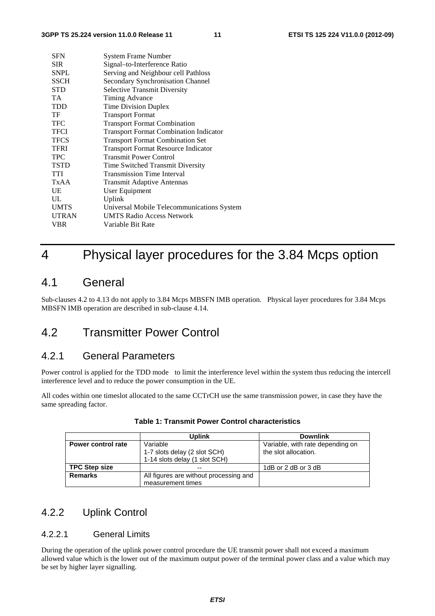| <b>SFN</b>   | System Frame Number                           |
|--------------|-----------------------------------------------|
| <b>SIR</b>   | Signal-to-Interference Ratio                  |
| <b>SNPL</b>  | Serving and Neighbour cell Pathloss           |
| <b>SSCH</b>  | Secondary Synchronisation Channel             |
| STD          | <b>Selective Transmit Diversity</b>           |
| TA.          | Timing Advance                                |
| <b>TDD</b>   | <b>Time Division Duplex</b>                   |
| TF           | <b>Transport Format</b>                       |
| <b>TFC</b>   | <b>Transport Format Combination</b>           |
| <b>TFCI</b>  | <b>Transport Format Combination Indicator</b> |
| <b>TFCS</b>  | <b>Transport Format Combination Set</b>       |
| <b>TFRI</b>  | <b>Transport Format Resource Indicator</b>    |
| <b>TPC</b>   | <b>Transmit Power Control</b>                 |
| <b>TSTD</b>  | Time Switched Transmit Diversity              |
| <b>TTI</b>   | <b>Transmission Time Interval</b>             |
| TxAA         | <b>Transmit Adaptive Antennas</b>             |
| UE           | User Equipment                                |
| UL           | Uplink                                        |
| <b>UMTS</b>  | Universal Mobile Telecommunications System    |
| <b>UTRAN</b> | <b>UMTS Radio Access Network</b>              |
| VBR          | Variable Bit Rate                             |
|              |                                               |

## 4 Physical layer procedures for the 3.84 Mcps option

## 4.1 General

Sub-clauses 4.2 to 4.13 do not apply to 3.84 Mcps MBSFN IMB operation. Physical layer procedures for 3.84 Mcps MBSFN IMB operation are described in sub-clause 4.14.

## 4.2 Transmitter Power Control

## 4.2.1 General Parameters

Power control is applied for the TDD mode to limit the interference level within the system thus reducing the intercell interference level and to reduce the power consumption in the UE.

All codes within one timeslot allocated to the same CCTrCH use the same transmission power, in case they have the same spreading factor.

|                      | <b>Uplink</b>                          | <b>Downlink</b>                  |
|----------------------|----------------------------------------|----------------------------------|
| Power control rate   | Variable                               | Variable, with rate depending on |
|                      | 1-7 slots delay (2 slot SCH)           | the slot allocation.             |
|                      | 1-14 slots delay (1 slot SCH)          |                                  |
| <b>TPC Step size</b> | $- -$                                  | 1dB or 2 dB or 3 dB              |
| <b>Remarks</b>       | All figures are without processing and |                                  |
|                      | measurement times                      |                                  |

#### **Table 1: Transmit Power Control characteristics**

## 4.2.2 Uplink Control

### 4.2.2.1 General Limits

During the operation of the uplink power control procedure the UE transmit power shall not exceed a maximum allowed value which is the lower out of the maximum output power of the terminal power class and a value which may be set by higher layer signalling.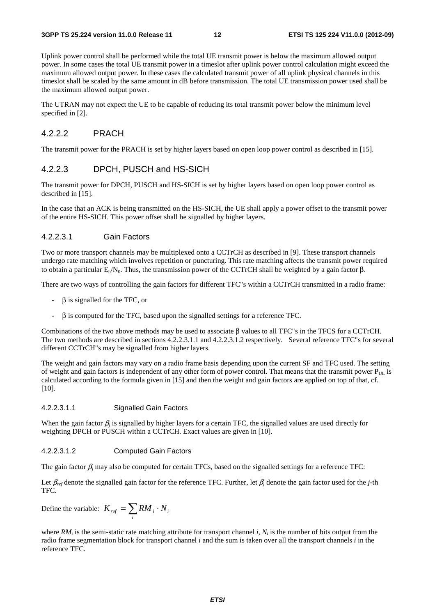Uplink power control shall be performed while the total UE transmit power is below the maximum allowed output power. In some cases the total UE transmit power in a timeslot after uplink power control calculation might exceed the maximum allowed output power. In these cases the calculated transmit power of all uplink physical channels in this timeslot shall be scaled by the same amount in dB before transmission. The total UE transmission power used shall be the maximum allowed output power.

The UTRAN may not expect the UE to be capable of reducing its total transmit power below the minimum level specified in [2].

#### 4.2.2.2 PRACH

The transmit power for the PRACH is set by higher layers based on open loop power control as described in [15].

#### 4.2.2.3 DPCH, PUSCH and HS-SICH

The transmit power for DPCH, PUSCH and HS-SICH is set by higher layers based on open loop power control as described in [15].

In the case that an ACK is being transmitted on the HS-SICH, the UE shall apply a power offset to the transmit power of the entire HS-SICH. This power offset shall be signalled by higher layers.

#### 4.2.2.3.1 Gain Factors

Two or more transport channels may be multiplexed onto a CCTrCH as described in [9]. These transport channels undergo rate matching which involves repetition or puncturing. This rate matching affects the transmit power required to obtain a particular  $E<sub>b</sub>/N<sub>0</sub>$ . Thus, the transmission power of the CCTrCH shall be weighted by a gain factor β.

There are two ways of controlling the gain factors for different TFC"s within a CCTrCH transmitted in a radio frame:

- $\beta$  is signalled for the TFC, or
- $\beta$  is computed for the TFC, based upon the signalled settings for a reference TFC.

Combinations of the two above methods may be used to associate β values to all TFC"s in the TFCS for a CCTrCH. The two methods are described in sections 4.2.2.3.1.1 and 4.2.2.3.1.2 respectively. Several reference TFC"s for several different CCTrCH"s may be signalled from higher layers.

The weight and gain factors may vary on a radio frame basis depending upon the current SF and TFC used. The setting of weight and gain factors is independent of any other form of power control. That means that the transmit power  $P_{\text{UL}}$  is calculated according to the formula given in [15] and then the weight and gain factors are applied on top of that, cf. [10].

#### 4.2.2.3.1.1 Signalled Gain Factors

When the gain factor  $\beta_i$  is signalled by higher layers for a certain TFC, the signalled values are used directly for weighting DPCH or PUSCH within a CCTrCH. Exact values are given in [10].

#### 4.2.2.3.1.2 Computed Gain Factors

The gain factor  $\beta_i$  may also be computed for certain TFCs, based on the signalled settings for a reference TFC:

Let  $\beta_{ref}$  denote the signalled gain factor for the reference TFC. Further, let  $\beta_j$  denote the gain factor used for the *j*-th TFC.

Define the variable:  $K_{ref} = \sum RM_i$ . *i*  $K_{\mathit{ref}} = \sum RM_{i} \cdot N_{i}$ 

where  $RM_i$  is the semi-static rate matching attribute for transport channel *i*,  $N_i$  is the number of bits output from the radio frame segmentation block for transport channel *i* and the sum is taken over all the transport channels *i* in the reference TFC.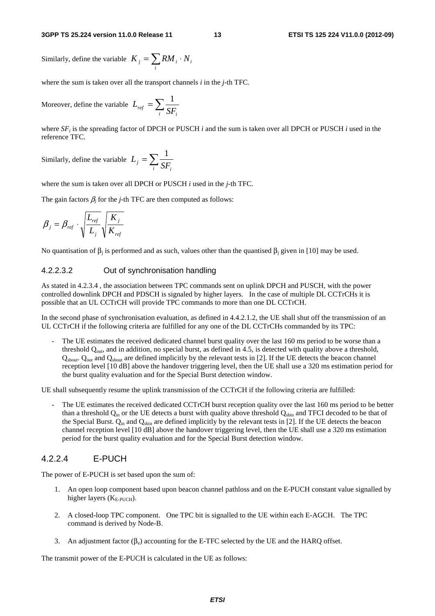#### **3GPP TS 25.224 version 11.0.0 Release 11 13 ETSI TS 125 224 V11.0.0 (2012-09)**

Similarly, define the variable  $K_j = \sum RM_i$ . *i*  $K_{i} = \sum RM_{i} \cdot N_{i}$ 

where the sum is taken over all the transport channels *i* in the *j*-th TFC.

Moreover, define the variable  $L_{ref} = \sum$  $\frac{ref}{i}$   $\frac{1}{s}$   $\sum_i$  $L_{ref} = \sum \frac{1}{\sigma}$ 

where  $SF_i$  is the spreading factor of DPCH or PUSCH *i* and the sum is taken over all DPCH or PUSCH *i* used in the reference TFC.

Similarly, define the variable  $L_j = \sum$  $j - \sum_i SF_i$  $L_i = \sum \frac{1}{\sigma_i}$ 

where the sum is taken over all DPCH or PUSCH *i* used in the *j*-th TFC.

The gain factors  $\beta_j$  for the *j*-th TFC are then computed as follows:

$$
\beta_j = \beta_{ref} \cdot \sqrt{\frac{L_{ref}}{L_j}} \sqrt{\frac{K_j}{K_{ref}}}
$$

No quantisation of  $β_i$  is performed and as such, values other than the quantised  $β_i$  given in [10] may be used.

#### 4.2.2.3.2 Out of synchronisation handling

As stated in 4.2.3.4 , the association between TPC commands sent on uplink DPCH and PUSCH, with the power controlled downlink DPCH and PDSCH is signaled by higher layers. In the case of multiple DL CCTrCHs it is possible that an UL CCTrCH will provide TPC commands to more than one DL CCTrCH.

In the second phase of synchronisation evaluation, as defined in 4.4.2.1.2, the UE shall shut off the transmission of an UL CCTrCH if the following criteria are fulfilled for any one of the DL CCTrCHs commanded by its TPC:

The UE estimates the received dedicated channel burst quality over the last 160 ms period to be worse than a threshold  $Q_{out}$ , and in addition, no special burst, as defined in 4.5, is detected with quality above a threshold, Q<sub>sbout</sub>. Q<sub>out</sub> and Q<sub>sbout</sub> are defined implicitly by the relevant tests in [2]. If the UE detects the beacon channel reception level [10 dB] above the handover triggering level, then the UE shall use a 320 ms estimation period for the burst quality evaluation and for the Special Burst detection window.

UE shall subsequently resume the uplink transmission of the CCTrCH if the following criteria are fulfilled:

The UE estimates the received dedicated CCTrCH burst reception quality over the last 160 ms period to be better than a threshold  $Q_{in}$  or the UE detects a burst with quality above threshold  $Q_{shin}$  and TFCI decoded to be that of the Special Burst.  $Q_{in}$  and  $Q_{spin}$  are defined implicitly by the relevant tests in [2]. If the UE detects the beacon channel reception level [10 dB] above the handover triggering level, then the UE shall use a 320 ms estimation period for the burst quality evaluation and for the Special Burst detection window.

#### 4.2.2.4 E-PUCH

The power of E-PUCH is set based upon the sum of:

- 1. An open loop component based upon beacon channel pathloss and on the E-PUCH constant value signalled by higher layers  $(K_{E-PUCH})$ .
- 2. A closed-loop TPC component. One TPC bit is signalled to the UE within each E-AGCH. The TPC command is derived by Node-B.
- 3. An adjustment factor  $(\beta_s)$  accounting for the E-TFC selected by the UE and the HARQ offset.

The transmit power of the E-PUCH is calculated in the UE as follows: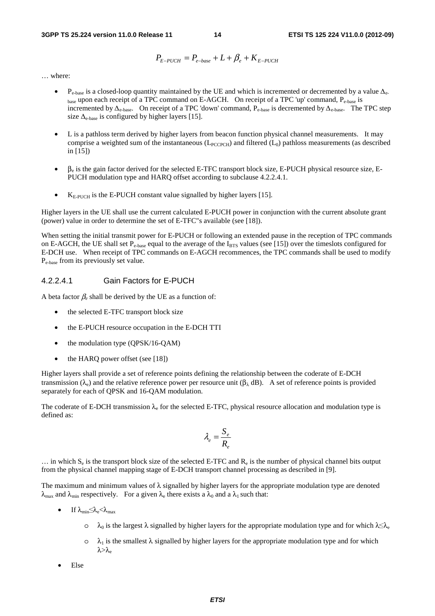**3GPP TS 25.224 version 11.0.0 Release 11 14 ETSI TS 125 224 V11.0.0 (2012-09)**

$$
P_{E-PUCH} = P_{e-base} + L + \beta_e + K_{E-PUCH}
$$

… where:

- $P_{e-base}$  is a closed-loop quantity maintained by the UE and which is incremented or decremented by a value  $\Delta_{e}$ . base upon each receipt of a TPC command on E-AGCH. On receipt of a TPC 'up' command, P<sub>e-base</sub> is incremented by  $\Delta_{e-base}$ . On receipt of a TPC 'down' command,  $P_{e-base}$  is decremented by  $\Delta_{e-base}$ . The TPC step size  $\Delta_{e-base}$  is configured by higher layers [15].
- L is a pathloss term derived by higher layers from beacon function physical channel measurements. It may comprise a weighted sum of the instantaneous  $(L_{PCCPCH})$  and filtered  $(L_0)$  pathloss measurements (as described in [15])
- $\bullet$   $\beta_e$  is the gain factor derived for the selected E-TFC transport block size, E-PUCH physical resource size, E-PUCH modulation type and HARQ offset according to subclause 4.2.2.4.1.
- $K_{\text{E-PIICH}}$  is the E-PUCH constant value signalled by higher layers [15].

Higher layers in the UE shall use the current calculated E-PUCH power in conjunction with the current absolute grant (power) value in order to determine the set of E-TFC"s available (see [18]).

When setting the initial transmit power for E-PUCH or following an extended pause in the reception of TPC commands on E-AGCH, the UE shall set  $P_{e-base}$  equal to the average of the  $I_{BTS}$  values (see [15]) over the timeslots configured for E-DCH use. When receipt of TPC commands on E-AGCH recommences, the TPC commands shall be used to modify Pe-base from its previously set value.

#### 4.2.2.4.1 Gain Factors for E-PUCH

A beta factor  $\beta_e$  shall be derived by the UE as a function of:

- the selected E-TFC transport block size
- the E-PUCH resource occupation in the E-DCH TTI
- the modulation type (QPSK/16-QAM)
- the HARQ power offset (see [18])

Higher layers shall provide a set of reference points defining the relationship between the coderate of E-DCH transmission (λ<sub>e</sub>) and the relative reference power per resource unit (β<sub>λ</sub> dB). A set of reference points is provided separately for each of QPSK and 16-QAM modulation.

The coderate of E-DCH transmission  $\lambda_e$  for the selected E-TFC, physical resource allocation and modulation type is defined as:

$$
\lambda_e = \frac{S_e}{R_e}
$$

 $\ldots$  in which S<sub>e</sub> is the transport block size of the selected E-TFC and R<sub>e</sub> is the number of physical channel bits output from the physical channel mapping stage of E-DCH transport channel processing as described in [9].

The maximum and minimum values of  $\lambda$  signalled by higher layers for the appropriate modulation type are denoted  $\lambda_{\text{max}}$  and  $\lambda_{\text{min}}$  respectively. For a given  $\lambda_e$  there exists a  $\lambda_0$  and a  $\lambda_1$  such that:

- If  $\lambda_{\min} \leq \lambda_e < \lambda_{\max}$ 
	- $\circ$  λ<sub>0</sub> is the largest λ signalled by higher layers for the appropriate modulation type and for which λ<λ<sub>e</sub>
	- $\circ$   $\lambda_1$  is the smallest  $\lambda$  signalled by higher layers for the appropriate modulation type and for which  $λ > λ$
- Else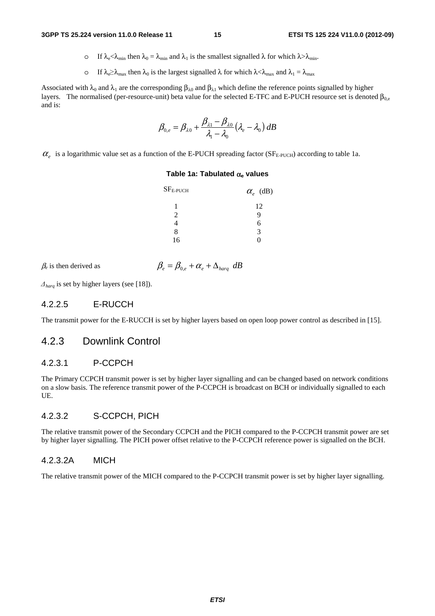- o If  $\lambda_e < \lambda_{\min}$  then  $\lambda_0 = \lambda_{\min}$  and  $\lambda_1$  is the smallest signalled  $\lambda$  for which  $\lambda > \lambda_{\min}$ .
- o If  $\lambda_e \ge \lambda_{\text{max}}$  then  $\lambda_0$  is the largest signalled  $\lambda$  for which  $\lambda < \lambda_{\text{max}}$  and  $\lambda_1 = \lambda_{\text{max}}$

Associated with  $\lambda_0$  and  $\lambda_1$  are the corresponding  $\beta_{\lambda 0}$  and  $\beta_{\lambda 1}$  which define the reference points signalled by higher layers. The normalised (per-resource-unit) beta value for the selected E-TFC and E-PUCH resource set is denoted  $β_{0,e}$ and is:

$$
\beta_{0,e} = \beta_{\lambda 0} + \frac{\beta_{\lambda 1} - \beta_{\lambda 0}}{\lambda_1 - \lambda_0} (\lambda_e - \lambda_0) dB
$$

 $\alpha_e$  is a logarithmic value set as a function of the E-PUCH spreading factor (SF<sub>E-PUCH</sub>) according to table 1a.

#### **Table 1a: Tabulated** α**e values**

| $SFE-PUCH$ | $\alpha_e$ (dB) |
|------------|-----------------|
|            | 12              |
| 2          | G)              |
|            | 6               |
| 8          | 3               |
| 16         |                 |

 $\beta_e$  is then derived as

$$
\beta_e = \beta_{0e} + \alpha_e + \Delta_{bare}
$$
 dB

Δ*harq* is set by higher layers (see [18]).

#### 4.2.2.5 E-RUCCH

The transmit power for the E-RUCCH is set by higher layers based on open loop power control as described in [15].

#### 4.2.3 Downlink Control

#### 4.2.3.1 P-CCPCH

The Primary CCPCH transmit power is set by higher layer signalling and can be changed based on network conditions on a slow basis. The reference transmit power of the P-CCPCH is broadcast on BCH or individually signalled to each UE.

#### 4.2.3.2 S-CCPCH, PICH

The relative transmit power of the Secondary CCPCH and the PICH compared to the P-CCPCH transmit power are set by higher layer signalling. The PICH power offset relative to the P-CCPCH reference power is signalled on the BCH.

#### 4.2.3.2A MICH

The relative transmit power of the MICH compared to the P-CCPCH transmit power is set by higher layer signalling.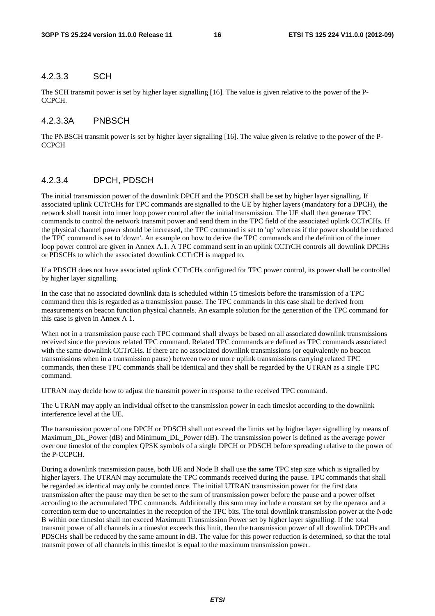#### 4.2.3.3 SCH

The SCH transmit power is set by higher layer signalling [16]. The value is given relative to the power of the P-CCPCH.

#### 4.2.3.3A PNBSCH

The PNBSCH transmit power is set by higher layer signalling [16]. The value given is relative to the power of the P-**CCPCH** 

## 4.2.3.4 DPCH, PDSCH

The initial transmission power of the downlink DPCH and the PDSCH shall be set by higher layer signalling. If associated uplink CCTrCHs for TPC commands are signalled to the UE by higher layers (mandatory for a DPCH), the network shall transit into inner loop power control after the initial transmission. The UE shall then generate TPC commands to control the network transmit power and send them in the TPC field of the associated uplink CCTrCHs. If the physical channel power should be increased, the TPC command is set to 'up' whereas if the power should be reduced the TPC command is set to 'down'. An example on how to derive the TPC commands and the definition of the inner loop power control are given in Annex A.1. A TPC command sent in an uplink CCTrCH controls all downlink DPCHs or PDSCHs to which the associated downlink CCTrCH is mapped to.

If a PDSCH does not have associated uplink CCTrCHs configured for TPC power control, its power shall be controlled by higher layer signalling.

In the case that no associated downlink data is scheduled within 15 timeslots before the transmission of a TPC command then this is regarded as a transmission pause. The TPC commands in this case shall be derived from measurements on beacon function physical channels. An example solution for the generation of the TPC command for this case is given in Annex A 1.

When not in a transmission pause each TPC command shall always be based on all associated downlink transmissions received since the previous related TPC command. Related TPC commands are defined as TPC commands associated with the same downlink CCTrCHs. If there are no associated downlink transmissions (or equivalently no beacon transmissions when in a transmission pause) between two or more uplink transmissions carrying related TPC commands, then these TPC commands shall be identical and they shall be regarded by the UTRAN as a single TPC command.

UTRAN may decide how to adjust the transmit power in response to the received TPC command.

The UTRAN may apply an individual offset to the transmission power in each timeslot according to the downlink interference level at the UE.

The transmission power of one DPCH or PDSCH shall not exceed the limits set by higher layer signalling by means of Maximum\_DL\_Power (dB) and Minimum\_DL\_Power (dB). The transmission power is defined as the average power over one timeslot of the complex QPSK symbols of a single DPCH or PDSCH before spreading relative to the power of the P-CCPCH.

During a downlink transmission pause, both UE and Node B shall use the same TPC step size which is signalled by higher layers. The UTRAN may accumulate the TPC commands received during the pause. TPC commands that shall be regarded as identical may only be counted once. The initial UTRAN transmission power for the first data transmission after the pause may then be set to the sum of transmission power before the pause and a power offset according to the accumulated TPC commands. Additionally this sum may include a constant set by the operator and a correction term due to uncertainties in the reception of the TPC bits. The total downlink transmission power at the Node B within one timeslot shall not exceed Maximum Transmission Power set by higher layer signalling. If the total transmit power of all channels in a timeslot exceeds this limit, then the transmission power of all downlink DPCHs and PDSCHs shall be reduced by the same amount in dB. The value for this power reduction is determined, so that the total transmit power of all channels in this timeslot is equal to the maximum transmission power.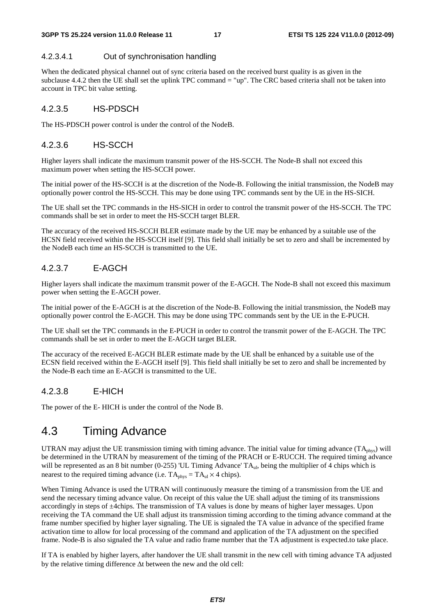#### 4.2.3.4.1 Out of synchronisation handling

When the dedicated physical channel out of sync criteria based on the received burst quality is as given in the subclause 4.4.2 then the UE shall set the uplink TPC command = "up". The CRC based criteria shall not be taken into account in TPC bit value setting.

#### 4.2.3.5 HS-PDSCH

The HS-PDSCH power control is under the control of the NodeB.

#### 4.2.3.6 HS-SCCH

Higher layers shall indicate the maximum transmit power of the HS-SCCH. The Node-B shall not exceed this maximum power when setting the HS-SCCH power.

The initial power of the HS-SCCH is at the discretion of the Node-B. Following the initial transmission, the NodeB may optionally power control the HS-SCCH. This may be done using TPC commands sent by the UE in the HS-SICH.

The UE shall set the TPC commands in the HS-SICH in order to control the transmit power of the HS-SCCH. The TPC commands shall be set in order to meet the HS-SCCH target BLER.

The accuracy of the received HS-SCCH BLER estimate made by the UE may be enhanced by a suitable use of the HCSN field received within the HS-SCCH itself [9]. This field shall initially be set to zero and shall be incremented by the NodeB each time an HS-SCCH is transmitted to the UE.

### 4.2.3.7 E-AGCH

Higher layers shall indicate the maximum transmit power of the E-AGCH. The Node-B shall not exceed this maximum power when setting the E-AGCH power.

The initial power of the E-AGCH is at the discretion of the Node-B. Following the initial transmission, the NodeB may optionally power control the E-AGCH. This may be done using TPC commands sent by the UE in the E-PUCH.

The UE shall set the TPC commands in the E-PUCH in order to control the transmit power of the E-AGCH. The TPC commands shall be set in order to meet the E-AGCH target BLER.

The accuracy of the received E-AGCH BLER estimate made by the UE shall be enhanced by a suitable use of the ECSN field received within the E-AGCH itself [9]. This field shall initially be set to zero and shall be incremented by the Node-B each time an E-AGCH is transmitted to the UE.

### 4.2.3.8 E-HICH

The power of the E- HICH is under the control of the Node B.

## 4.3 Timing Advance

UTRAN may adjust the UE transmission timing with timing advance. The initial value for timing advance  $(TA_{\text{phys}})$  will be determined in the UTRAN by measurement of the timing of the PRACH or E-RUCCH. The required timing advance will be represented as an 8 bit number (0-255) 'UL Timing Advance' TA<sub>ul</sub>, being the multiplier of 4 chips which is nearest to the required timing advance (i.e.  $TA_{phys} = TA_{ul} \times 4$  chips).

When Timing Advance is used the UTRAN will continuously measure the timing of a transmission from the UE and send the necessary timing advance value. On receipt of this value the UE shall adjust the timing of its transmissions accordingly in steps of ±4chips. The transmission of TA values is done by means of higher layer messages. Upon receiving the TA command the UE shall adjust its transmission timing according to the timing advance command at the frame number specified by higher layer signaling. The UE is signaled the TA value in advance of the specified frame activation time to allow for local processing of the command and application of the TA adjustment on the specified frame. Node-B is also signaled the TA value and radio frame number that the TA adjustment is expected.to take place.

If TA is enabled by higher layers, after handover the UE shall transmit in the new cell with timing advance TA adjusted by the relative timing difference Δt between the new and the old cell: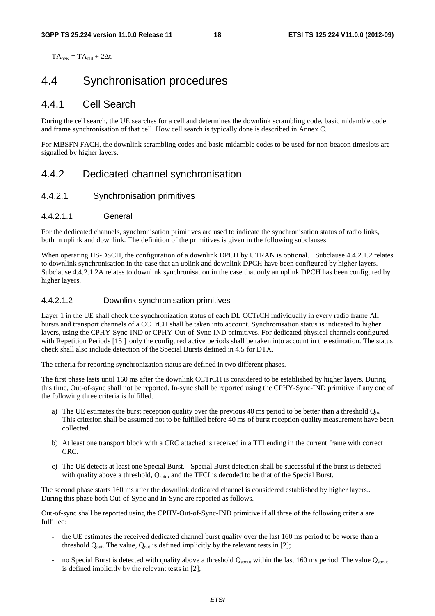$TA<sub>new</sub> = TA<sub>old</sub> + 2\Delta t$ .

## 4.4 Synchronisation procedures

## 4.4.1 Cell Search

During the cell search, the UE searches for a cell and determines the downlink scrambling code, basic midamble code and frame synchronisation of that cell. How cell search is typically done is described in Annex C.

For MBSFN FACH, the downlink scrambling codes and basic midamble codes to be used for non-beacon timeslots are signalled by higher layers.

## 4.4.2 Dedicated channel synchronisation

#### 4.4.2.1 Synchronisation primitives

#### 4.4.2.1.1 General

For the dedicated channels, synchronisation primitives are used to indicate the synchronisation status of radio links, both in uplink and downlink. The definition of the primitives is given in the following subclauses.

When operating HS-DSCH, the configuration of a downlink DPCH by UTRAN is optional. Subclause 4.4.2.1.2 relates to downlink synchronisation in the case that an uplink and downlink DPCH have been configured by higher layers. Subclause 4.4.2.1.2A relates to downlink synchronisation in the case that only an uplink DPCH has been configured by higher layers.

#### 4.4.2.1.2 Downlink synchronisation primitives

Layer 1 in the UE shall check the synchronization status of each DL CCTrCH individually in every radio frame All bursts and transport channels of a CCTrCH shall be taken into account. Synchronisation status is indicated to higher layers, using the CPHY-Sync-IND or CPHY-Out-of-Sync-IND primitives. For dedicated physical channels configured with Repetition Periods [15] only the configured active periods shall be taken into account in the estimation. The status check shall also include detection of the Special Bursts defined in 4.5 for DTX.

The criteria for reporting synchronization status are defined in two different phases.

The first phase lasts until 160 ms after the downlink CCTrCH is considered to be established by higher layers. During this time, Out-of-sync shall not be reported. In-sync shall be reported using the CPHY-Sync-IND primitive if any one of the following three criteria is fulfilled.

- a) The UE estimates the burst reception quality over the previous 40 ms period to be better than a threshold  $Q_{in}$ . This criterion shall be assumed not to be fulfilled before 40 ms of burst reception quality measurement have been collected.
- b) At least one transport block with a CRC attached is received in a TTI ending in the current frame with correct CRC.
- c) The UE detects at least one Special Burst. Special Burst detection shall be successful if the burst is detected with quality above a threshold,  $Q_{\text{spin}}$ , and the TFCI is decoded to be that of the Special Burst.

The second phase starts 160 ms after the downlink dedicated channel is considered established by higher layers.. During this phase both Out-of-Sync and In-Sync are reported as follows.

Out-of-sync shall be reported using the CPHY-Out-of-Sync-IND primitive if all three of the following criteria are fulfilled:

- the UE estimates the received dedicated channel burst quality over the last 160 ms period to be worse than a threshold  $Q_{out}$ . The value,  $Q_{out}$  is defined implicitly by the relevant tests in [2];
- no Special Burst is detected with quality above a threshold  $Q_{\text{about}}$  within the last 160 ms period. The value  $Q_{\text{about}}$ is defined implicitly by the relevant tests in [2];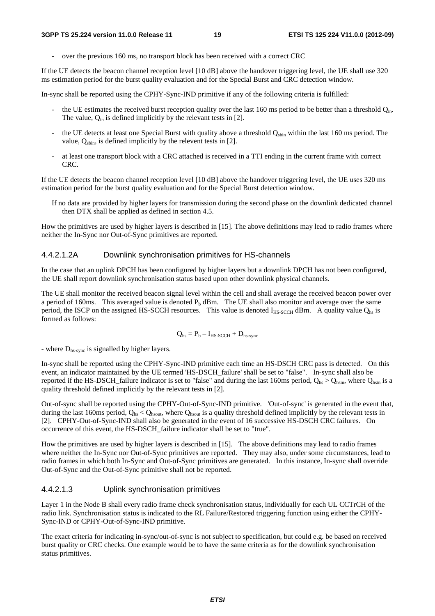- over the previous 160 ms, no transport block has been received with a correct CRC

If the UE detects the beacon channel reception level [10 dB] above the handover triggering level, the UE shall use 320 ms estimation period for the burst quality evaluation and for the Special Burst and CRC detection window.

In-sync shall be reported using the CPHY-Sync-IND primitive if any of the following criteria is fulfilled:

- the UE estimates the received burst reception quality over the last 160 ms period to be better than a threshold  $Q_{in}$ . The value,  $Q_{\text{in}}$  is defined implicitly by the relevant tests in [2].
- the UE detects at least one Special Burst with quality above a threshold Q<sub>sbin</sub> within the last 160 ms period. The value,  $Q_{\text{shin}}$ , is defined implicitly by the relevent tests in [2].
- at least one transport block with a CRC attached is received in a TTI ending in the current frame with correct CRC.

If the UE detects the beacon channel reception level [10 dB] above the handover triggering level, the UE uses 320 ms estimation period for the burst quality evaluation and for the Special Burst detection window.

If no data are provided by higher layers for transmission during the second phase on the downlink dedicated channel then DTX shall be applied as defined in section 4.5.

How the primitives are used by higher layers is described in [15]. The above definitions may lead to radio frames where neither the In-Sync nor Out-of-Sync primitives are reported.

#### 4.4.2.1.2A Downlink synchronisation primitives for HS-channels

In the case that an uplink DPCH has been configured by higher layers but a downlink DPCH has not been configured, the UE shall report downlink synchronisation status based upon other downlink physical channels.

The UE shall monitor the received beacon signal level within the cell and shall average the received beacon power over a period of 160ms. This averaged value is denoted  $P_b$  dBm. The UE shall also monitor and average over the same period, the ISCP on the assigned HS-SCCH resources. This value is denoted  $I_{HS-SCCH}$  dBm. A quality value  $Q_{hs}$  is formed as follows:

$$
Q_{hs} = P_b - I_{HS\text{-}SCCH} + D_{hs\text{-}sync}
$$

- where  $D_{\text{hs-sync}}$  is signalled by higher layers.

In-sync shall be reported using the CPHY-Sync-IND primitive each time an HS-DSCH CRC pass is detected. On this event, an indicator maintained by the UE termed 'HS-DSCH\_failure' shall be set to "false". In-sync shall also be reported if the HS-DSCH\_failure indicator is set to "false" and during the last 160ms period,  $Q_{bs} > Q_{\text{hsin}}$ , where  $Q_{\text{hsin}}$  is a quality threshold defined implicitly by the relevant tests in [2].

Out-of-sync shall be reported using the CPHY-Out-of-Sync-IND primitive. 'Out-of-sync' is generated in the event that, during the last 160ms period,  $Q_{\text{hs}} < Q_{\text{hsout}}$ , where  $Q_{\text{hsout}}$  is a quality threshold defined implicitly by the relevant tests in [2]. CPHY-Out-of-Sync-IND shall also be generated in the event of 16 successive HS-DSCH CRC failures. On occurrence of this event, the HS-DSCH\_failure indicator shall be set to "true".

How the primitives are used by higher layers is described in [15]. The above definitions may lead to radio frames where neither the In-Sync nor Out-of-Sync primitives are reported. They may also, under some circumstances, lead to radio frames in which both In-Sync and Out-of-Sync primitives are generated. In this instance, In-sync shall override Out-of-Sync and the Out-of-Sync primitive shall not be reported.

#### 4.4.2.1.3 Uplink synchronisation primitives

Layer 1 in the Node B shall every radio frame check synchronisation status, individually for each UL CCTrCH of the radio link. Synchronisation status is indicated to the RL Failure/Restored triggering function using either the CPHY-Sync-IND or CPHY-Out-of-Sync-IND primitive.

The exact criteria for indicating in-sync/out-of-sync is not subject to specification, but could e.g. be based on received burst quality or CRC checks. One example would be to have the same criteria as for the downlink synchronisation status primitives.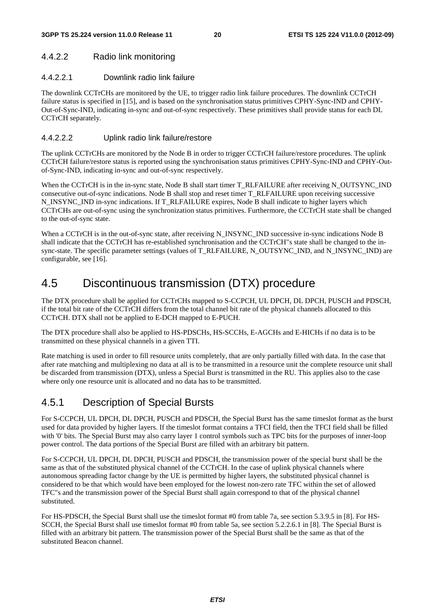### 4.4.2.2 Radio link monitoring

#### 4.4.2.2.1 Downlink radio link failure

The downlink CCTrCHs are monitored by the UE, to trigger radio link failure procedures. The downlink CCTrCH failure status is specified in [15], and is based on the synchronisation status primitives CPHY-Sync-IND and CPHY-Out-of-Sync-IND, indicating in-sync and out-of-sync respectively. These primitives shall provide status for each DL CCTrCH separately.

#### 4.4.2.2.2 Uplink radio link failure/restore

The uplink CCTrCHs are monitored by the Node B in order to trigger CCTrCH failure/restore procedures. The uplink CCTrCH failure/restore status is reported using the synchronisation status primitives CPHY-Sync-IND and CPHY-Outof-Sync-IND, indicating in-sync and out-of-sync respectively.

When the CCTrCH is in the in-sync state, Node B shall start timer T\_RLFAILURE after receiving N\_OUTSYNC\_IND consecutive out-of-sync indications. Node B shall stop and reset timer T\_RLFAILURE upon receiving successive N\_INSYNC\_IND in-sync indications. If T\_RLFAILURE expires, Node B shall indicate to higher layers which CCTrCHs are out-of-sync using the synchronization status primitives. Furthermore, the CCTrCH state shall be changed to the out-of-sync state.

When a CCTrCH is in the out-of-sync state, after receiving N\_INSYNC\_IND successive in-sync indications Node B shall indicate that the CCTrCH has re-established synchronisation and the CCTrCH"s state shall be changed to the insync-state. The specific parameter settings (values of T\_RLFAILURE, N\_OUTSYNC\_IND, and N\_INSYNC\_IND) are configurable, see [16].

## 4.5 Discontinuous transmission (DTX) procedure

The DTX procedure shall be applied for CCTrCHs mapped to S-CCPCH, UL DPCH, DL DPCH, PUSCH and PDSCH, if the total bit rate of the CCTrCH differs from the total channel bit rate of the physical channels allocated to this CCTrCH. DTX shall not be applied to E-DCH mapped to E-PUCH.

The DTX procedure shall also be applied to HS-PDSCHs, HS-SCCHs, E-AGCHs and E-HICHs if no data is to be transmitted on these physical channels in a given TTI.

Rate matching is used in order to fill resource units completely, that are only partially filled with data. In the case that after rate matching and multiplexing no data at all is to be transmitted in a resource unit the complete resource unit shall be discarded from transmission (DTX), unless a Special Burst is transmitted in the RU. This applies also to the case where only one resource unit is allocated and no data has to be transmitted.

## 4.5.1 Description of Special Bursts

For S-CCPCH, UL DPCH, DL DPCH, PUSCH and PDSCH, the Special Burst has the same timeslot format as the burst used for data provided by higher layers. If the timeslot format contains a TFCI field, then the TFCI field shall be filled with '0' bits. The Special Burst may also carry layer 1 control symbols such as TPC bits for the purposes of inner-loop power control. The data portions of the Special Burst are filled with an arbitrary bit pattern.

For S-CCPCH, UL DPCH, DL DPCH, PUSCH and PDSCH, the transmission power of the special burst shall be the same as that of the substituted physical channel of the CCTrCH. In the case of uplink physical channels where autonomous spreading factor change by the UE is permitted by higher layers, the substituted physical channel is considered to be that which would have been employed for the lowest non-zero rate TFC within the set of allowed TFC"s and the transmission power of the Special Burst shall again correspond to that of the physical channel substituted.

For HS-PDSCH, the Special Burst shall use the timeslot format #0 from table 7a, see section 5.3.9.5 in [8]. For HS-SCCH, the Special Burst shall use timeslot format #0 from table 5a, see section 5.2.2.6.1 in [8]. The Special Burst is filled with an arbitrary bit pattern. The transmission power of the Special Burst shall be the same as that of the substituted Beacon channel.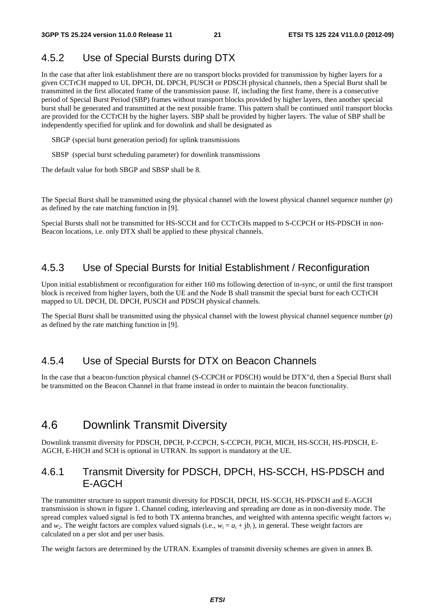## 4.5.2 Use of Special Bursts during DTX

In the case that after link establishment there are no transport blocks provided for transmission by higher layers for a given CCTrCH mapped to UL DPCH, DL DPCH, PUSCH or PDSCH physical channels, then a Special Burst shall be transmitted in the first allocated frame of the transmission pause. If, including the first frame, there is a consecutive period of Special Burst Period (SBP) frames without transport blocks provided by higher layers, then another special burst shall be generated and transmitted at the next possible frame. This pattern shall be continued until transport blocks are provided for the CCTrCH by the higher layers. SBP shall be provided by higher layers. The value of SBP shall be independently specified for uplink and for downlink and shall be designated as

SBGP (special burst generation period) for uplink transmissions

SBSP (special burst scheduling parameter) for downlink transmissions

The default value for both SBGP and SBSP shall be 8.

The Special Burst shall be transmitted using the physical channel with the lowest physical channel sequence number (*p*) as defined by the rate matching function in [9].

Special Bursts shall not be transmitted for HS-SCCH and for CCTrCHs mapped to S-CCPCH or HS-PDSCH in non-Beacon locations, i.e. only DTX shall be applied to these physical channels.

## 4.5.3 Use of Special Bursts for Initial Establishment / Reconfiguration

Upon initial establishment or reconfiguration for either 160 ms following detection of in-sync, or until the first transport block is received from higher layers, both the UE and the Node B shall transmit the special burst for each CCTrCH mapped to UL DPCH, DL DPCH, PUSCH and PDSCH physical channels.

The Special Burst shall be transmitted using the physical channel with the lowest physical channel sequence number (*p*) as defined by the rate matching function in [9].

## 4.5.4 Use of Special Bursts for DTX on Beacon Channels

In the case that a beacon-function physical channel (S-CCPCH or PDSCH) would be DTX"d, then a Special Burst shall be transmitted on the Beacon Channel in that frame instead in order to maintain the beacon functionality.

## 4.6 Downlink Transmit Diversity

Downlink transmit diversity for PDSCH, DPCH, P-CCPCH, S-CCPCH, PICH, MICH, HS-SCCH, HS-PDSCH, E-AGCH, E-HICH and SCH is optional in UTRAN. Its support is mandatory at the UE.

## 4.6.1 Transmit Diversity for PDSCH, DPCH, HS-SCCH, HS-PDSCH and E-AGCH

The transmitter structure to support transmit diversity for PDSCH, DPCH, HS-SCCH, HS-PDSCH and E-AGCH transmission is shown in figure 1. Channel coding, interleaving and spreading are done as in non-diversity mode. The spread complex valued signal is fed to both TX antenna branches, and weighted with antenna specific weight factors  $w<sub>l</sub>$ and *w<sub>2</sub>*. The weight factors are complex valued signals (i.e.,  $w_i = a_i + ib_i$ ), in general. These weight factors are calculated on a per slot and per user basis.

The weight factors are determined by the UTRAN. Examples of transmit diversity schemes are given in annex B.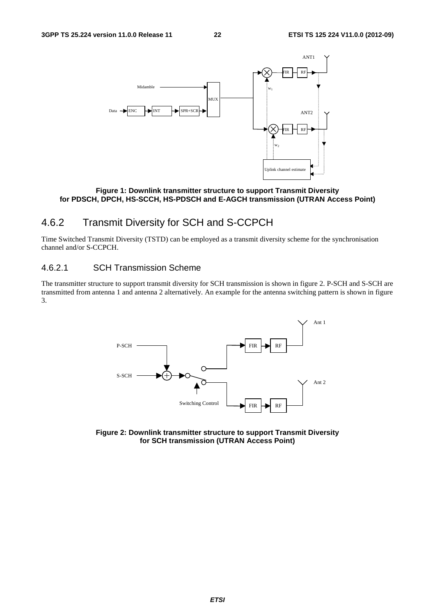

**Figure 1: Downlink transmitter structure to support Transmit Diversity for PDSCH, DPCH, HS-SCCH, HS-PDSCH and E-AGCH transmission (UTRAN Access Point)** 

## 4.6.2 Transmit Diversity for SCH and S-CCPCH

Time Switched Transmit Diversity (TSTD) can be employed as a transmit diversity scheme for the synchronisation channel and/or S-CCPCH.

### 4.6.2.1 SCH Transmission Scheme

The transmitter structure to support transmit diversity for SCH transmission is shown in figure 2. P-SCH and S-SCH are transmitted from antenna 1 and antenna 2 alternatively. An example for the antenna switching pattern is shown in figure 3.

![](_page_22_Figure_9.jpeg)

**Figure 2: Downlink transmitter structure to support Transmit Diversity for SCH transmission (UTRAN Access Point)**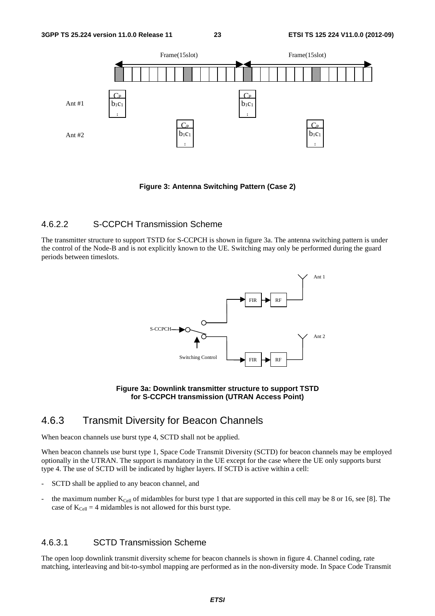![](_page_23_Figure_3.jpeg)

**Figure 3: Antenna Switching Pattern (Case 2)** 

### 4.6.2.2 S-CCPCH Transmission Scheme

The transmitter structure to support TSTD for S-CCPCH is shown in figure 3a. The antenna switching pattern is under the control of the Node-B and is not explicitly known to the UE. Switching may only be performed during the guard periods between timeslots.

![](_page_23_Figure_7.jpeg)

**Figure 3a: Downlink transmitter structure to support TSTD for S-CCPCH transmission (UTRAN Access Point)** 

## 4.6.3 Transmit Diversity for Beacon Channels

When beacon channels use burst type 4, SCTD shall not be applied.

When beacon channels use burst type 1, Space Code Transmit Diversity (SCTD) for beacon channels may be employed optionally in the UTRAN. The support is mandatory in the UE except for the case where the UE only supports burst type 4. The use of SCTD will be indicated by higher layers. If SCTD is active within a cell:

- SCTD shall be applied to any beacon channel, and
- the maximum number  $K_{Cell}$  of midambles for burst type 1 that are supported in this cell may be 8 or 16, see [8]. The case of  $K_{Cell} = 4$  midambles is not allowed for this burst type.

### 4.6.3.1 SCTD Transmission Scheme

The open loop downlink transmit diversity scheme for beacon channels is shown in figure 4. Channel coding, rate matching, interleaving and bit-to-symbol mapping are performed as in the non-diversity mode. In Space Code Transmit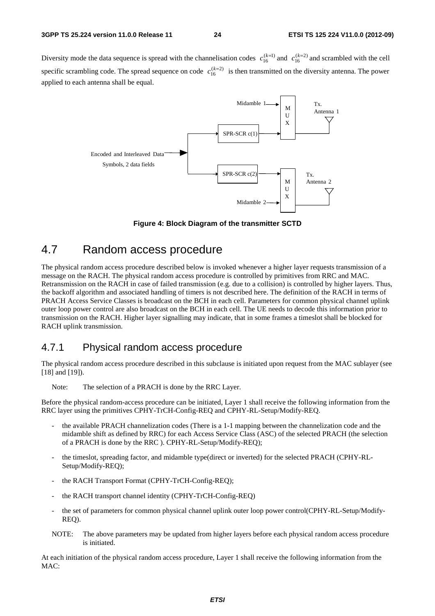Diversity mode the data sequence is spread with the channelisation codes  $c_{16}^{(k=1)}$  and  $c_{16}^{(k=2)}$  and scrambled with the cell specific scrambling code. The spread sequence on code  $c_{16}^{(k=2)}$  is then transmitted on the diversity antenna. The power applied to each antenna shall be equal.

![](_page_24_Figure_4.jpeg)

**Figure 4: Block Diagram of the transmitter SCTD**

## 4.7 Random access procedure

The physical random access procedure described below is invoked whenever a higher layer requests transmission of a message on the RACH. The physical random access procedure is controlled by primitives from RRC and MAC. Retransmission on the RACH in case of failed transmission (e.g. due to a collision) is controlled by higher layers. Thus, the backoff algorithm and associated handling of timers is not described here. The definition of the RACH in terms of PRACH Access Service Classes is broadcast on the BCH in each cell. Parameters for common physical channel uplink outer loop power control are also broadcast on the BCH in each cell. The UE needs to decode this information prior to transmission on the RACH. Higher layer signalling may indicate, that in some frames a timeslot shall be blocked for RACH uplink transmission.

## 4.7.1 Physical random access procedure

The physical random access procedure described in this subclause is initiated upon request from the MAC sublayer (see [18] and [19]).

Note: The selection of a PRACH is done by the RRC Layer.

Before the physical random-access procedure can be initiated, Layer 1 shall receive the following information from the RRC layer using the primitives CPHY-TrCH-Config-REQ and CPHY-RL-Setup/Modify-REQ.

- the available PRACH channelization codes (There is a 1-1 mapping between the channelization code and the midamble shift as defined by RRC) for each Access Service Class (ASC) of the selected PRACH (the selection of a PRACH is done by the RRC ). CPHY-RL-Setup/Modify-REQ);
- the timeslot, spreading factor, and midamble type(direct or inverted) for the selected PRACH (CPHY-RL-Setup/Modify-REQ);
- the RACH Transport Format (CPHY-TrCH-Config-REQ);
- the RACH transport channel identity (CPHY-TrCH-Config-REQ)
- the set of parameters for common physical channel uplink outer loop power control(CPHY-RL-Setup/Modify-REQ).
- NOTE: The above parameters may be updated from higher layers before each physical random access procedure is initiated.

At each initiation of the physical random access procedure, Layer 1 shall receive the following information from the MAC: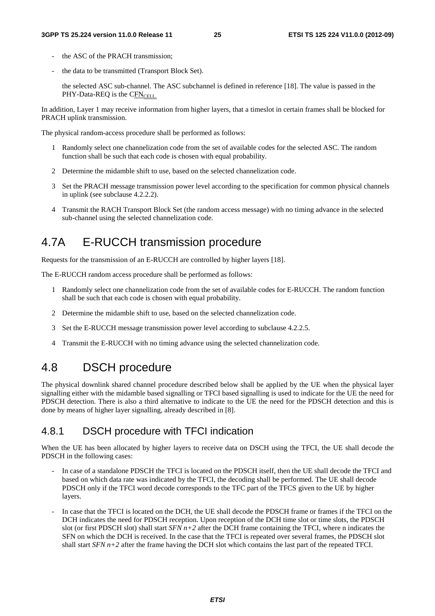- the ASC of the PRACH transmission:
- the data to be transmitted (Transport Block Set).

 the selected ASC sub-channel. The ASC subchannel is defined in reference [18]. The value is passed in the  $PHY-Data-REQ$  is the  $CFN<sub>CHL</sub>$ .

In addition, Layer 1 may receive information from higher layers, that a timeslot in certain frames shall be blocked for PRACH uplink transmission.

The physical random-access procedure shall be performed as follows:

- 1 Randomly select one channelization code from the set of available codes for the selected ASC. The random function shall be such that each code is chosen with equal probability.
- 2 Determine the midamble shift to use, based on the selected channelization code.
- 3 Set the PRACH message transmission power level according to the specification for common physical channels in uplink (see subclause 4.2.2.2).
- 4 Transmit the RACH Transport Block Set (the random access message) with no timing advance in the selected sub-channel using the selected channelization code.

## 4.7A E-RUCCH transmission procedure

Requests for the transmission of an E-RUCCH are controlled by higher layers [18].

The E-RUCCH random access procedure shall be performed as follows:

- 1 Randomly select one channelization code from the set of available codes for E-RUCCH. The random function shall be such that each code is chosen with equal probability.
- 2 Determine the midamble shift to use, based on the selected channelization code.
- 3 Set the E-RUCCH message transmission power level according to subclause 4.2.2.5.
- 4 Transmit the E-RUCCH with no timing advance using the selected channelization code.

## 4.8 DSCH procedure

The physical downlink shared channel procedure described below shall be applied by the UE when the physical layer signalling either with the midamble based signalling or TFCI based signalling is used to indicate for the UE the need for PDSCH detection. There is also a third alternative to indicate to the UE the need for the PDSCH detection and this is done by means of higher layer signalling, already described in [8].

## 4.8.1 DSCH procedure with TFCI indication

When the UE has been allocated by higher layers to receive data on DSCH using the TFCI, the UE shall decode the PDSCH in the following cases:

- In case of a standalone PDSCH the TFCI is located on the PDSCH itself, then the UE shall decode the TFCI and based on which data rate was indicated by the TFCI, the decoding shall be performed. The UE shall decode PDSCH only if the TFCI word decode corresponds to the TFC part of the TFCS given to the UE by higher layers.
- In case that the TFCI is located on the DCH, the UE shall decode the PDSCH frame or frames if the TFCI on the DCH indicates the need for PDSCH reception. Upon reception of the DCH time slot or time slots, the PDSCH slot (or first PDSCH slot) shall start  $SFN$   $n+2$  after the DCH frame containing the TFCI, where n indicates the SFN on which the DCH is received. In the case that the TFCI is repeated over several frames, the PDSCH slot shall start  $SFN$   $n+2$  after the frame having the DCH slot which contains the last part of the repeated TFCI.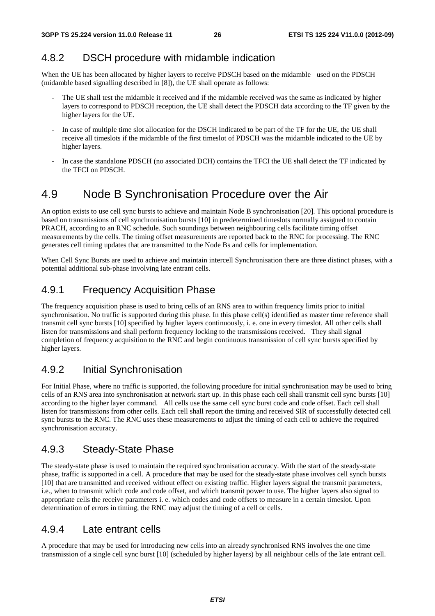## 4.8.2 DSCH procedure with midamble indication

When the UE has been allocated by higher layers to receive PDSCH based on the midamble used on the PDSCH (midamble based signalling described in [8]), the UE shall operate as follows:

- The UE shall test the midamble it received and if the midamble received was the same as indicated by higher layers to correspond to PDSCH reception, the UE shall detect the PDSCH data according to the TF given by the higher layers for the UE.
- In case of multiple time slot allocation for the DSCH indicated to be part of the TF for the UE, the UE shall receive all timeslots if the midamble of the first timeslot of PDSCH was the midamble indicated to the UE by higher layers.
- In case the standalone PDSCH (no associated DCH) contains the TFCI the UE shall detect the TF indicated by the TFCI on PDSCH.

## 4.9 Node B Synchronisation Procedure over the Air

An option exists to use cell sync bursts to achieve and maintain Node B synchronisation [20]. This optional procedure is based on transmissions of cell synchronisation bursts [10] in predetermined timeslots normally assigned to contain PRACH, according to an RNC schedule. Such soundings between neighbouring cells facilitate timing offset measurements by the cells. The timing offset measurements are reported back to the RNC for processing. The RNC generates cell timing updates that are transmitted to the Node Bs and cells for implementation.

When Cell Sync Bursts are used to achieve and maintain intercell Synchronisation there are three distinct phases, with a potential additional sub-phase involving late entrant cells.

## 4.9.1 Frequency Acquisition Phase

The frequency acquisition phase is used to bring cells of an RNS area to within frequency limits prior to initial synchronisation. No traffic is supported during this phase. In this phase cell(s) identified as master time reference shall transmit cell sync bursts [10] specified by higher layers continuously, i. e. one in every timeslot. All other cells shall listen for transmissions and shall perform frequency locking to the transmissions received. They shall signal completion of frequency acquisition to the RNC and begin continuous transmission of cell sync bursts specified by higher layers.

## 4.9.2 Initial Synchronisation

For Initial Phase, where no traffic is supported, the following procedure for initial synchronisation may be used to bring cells of an RNS area into synchronisation at network start up. In this phase each cell shall transmit cell sync bursts [10] according to the higher layer command. All cells use the same cell sync burst code and code offset. Each cell shall listen for transmissions from other cells. Each cell shall report the timing and received SIR of successfully detected cell sync bursts to the RNC. The RNC uses these measurements to adjust the timing of each cell to achieve the required synchronisation accuracy.

## 4.9.3 Steady-State Phase

The steady-state phase is used to maintain the required synchronisation accuracy. With the start of the steady-state phase, traffic is supported in a cell. A procedure that may be used for the steady-state phase involves cell synch bursts [10] that are transmitted and received without effect on existing traffic. Higher layers signal the transmit parameters, i.e., when to transmit which code and code offset, and which transmit power to use. The higher layers also signal to appropriate cells the receive parameters i. e. which codes and code offsets to measure in a certain timeslot. Upon determination of errors in timing, the RNC may adjust the timing of a cell or cells.

## 4.9.4 Late entrant cells

A procedure that may be used for introducing new cells into an already synchronised RNS involves the one time transmission of a single cell sync burst [10] (scheduled by higher layers) by all neighbour cells of the late entrant cell.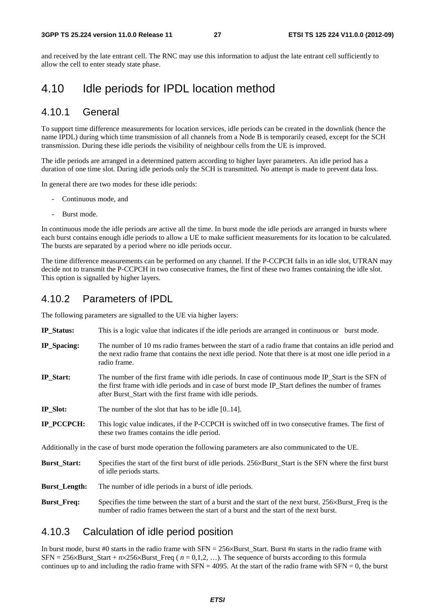and received by the late entrant cell. The RNC may use this information to adjust the late entrant cell sufficiently to allow the cell to enter steady state phase.

## 4.10 Idle periods for IPDL location method

## 4.10.1 General

To support time difference measurements for location services, idle periods can be created in the downlink (hence the name IPDL) during which time transmission of all channels from a Node B is temporarily ceased, except for the SCH transmission. During these idle periods the visibility of neighbour cells from the UE is improved.

The idle periods are arranged in a determined pattern according to higher layer parameters. An idle period has a duration of one time slot. During idle periods only the SCH is transmitted. No attempt is made to prevent data loss.

In general there are two modes for these idle periods:

- Continuous mode, and
- Burst mode.

In continuous mode the idle periods are active all the time. In burst mode the idle periods are arranged in bursts where each burst contains enough idle periods to allow a UE to make sufficient measurements for its location to be calculated. The bursts are separated by a period where no idle periods occur.

The time difference measurements can be performed on any channel. If the P-CCPCH falls in an idle slot, UTRAN may decide not to transmit the P-CCPCH in two consecutive frames, the first of these two frames containing the idle slot. This option is signalled by higher layers.

## 4.10.2 Parameters of IPDL

The following parameters are signalled to the UE via higher layers:

- **IP\_Status:** This is a logic value that indicates if the idle periods are arranged in continuous or burst mode.
- **IP\_Spacing:** The number of 10 ms radio frames between the start of a radio frame that contains an idle period and the next radio frame that contains the next idle period. Note that there is at most one idle period in a radio frame.
- **IP\_Start:** The number of the first frame with idle periods. In case of continuous mode IP\_Start is the SFN of the first frame with idle periods and in case of burst mode IP\_Start defines the number of frames after Burst\_Start with the first frame with idle periods.
- **IP\_Slot:** The number of the slot that has to be idle [0..14].
- **IP\_PCCPCH:** This logic value indicates, if the P-CCPCH is switched off in two consecutive frames. The first of these two frames contains the idle period.

Additionally in the case of burst mode operation the following parameters are also communicated to the UE.

- **Burst\_Start:** Specifies the start of the first burst of idle periods. 256×Burst\_Start is the SFN where the first burst of idle periods starts.
- **Burst Length:** The number of idle periods in a burst of idle periods.
- **Burst Freq:** Specifies the time between the start of a burst and the start of the next burst. 256×Burst Freq is the number of radio frames between the start of a burst and the start of the next burst.

## 4.10.3 Calculation of idle period position

In burst mode, burst #0 starts in the radio frame with SFN =  $256\times$ Burst\_Start. Burst #n starts in the radio frame with  $SFN = 256 \times Burst\_Start + n \times 256 \times Burst\_Freq$  ( $n = 0,1,2,...$ ). The sequence of bursts according to this formula continues up to and including the radio frame with  $SFN = 4095$ . At the start of the radio frame with  $SFN = 0$ , the burst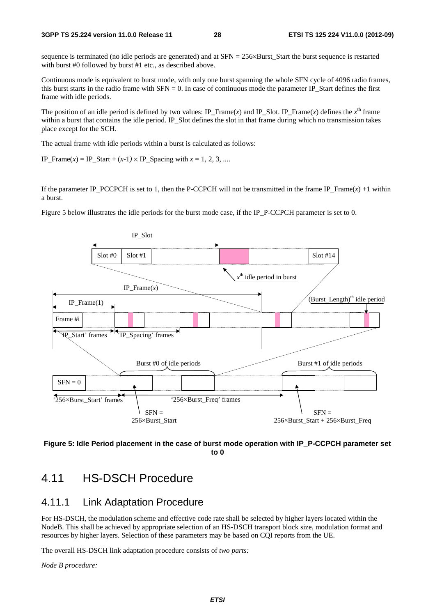#### **3GPP TS 25.224 version 11.0.0 Release 11 28 ETSI TS 125 224 V11.0.0 (2012-09)**

sequence is terminated (no idle periods are generated) and at SFN = 256×Burst\_Start the burst sequence is restarted with burst #0 followed by burst #1 etc., as described above.

Continuous mode is equivalent to burst mode, with only one burst spanning the whole SFN cycle of 4096 radio frames, this burst starts in the radio frame with SFN = 0. In case of continuous mode the parameter IP\_Start defines the first frame with idle periods.

The position of an idle period is defined by two values: IP\_Frame(*x*) and IP\_Slot. IP\_Frame(*x*) defines the  $x^{\text{th}}$  frame within a burst that contains the idle period. IP\_Slot defines the slot in that frame during which no transmission takes place except for the SCH.

The actual frame with idle periods within a burst is calculated as follows:

IP\_Frame(*x*) = IP\_Start +  $(x-1) \times$  IP\_Spacing with  $x = 1, 2, 3, ...$ 

If the parameter IP\_PCCPCH is set to 1, then the P-CCPCH will not be transmitted in the frame IP\_Frame( $x$ ) +1 within a burst.

Figure 5 below illustrates the idle periods for the burst mode case, if the IP\_P-CCPCH parameter is set to 0.

![](_page_28_Figure_10.jpeg)

![](_page_28_Figure_11.jpeg)

## 4.11 HS-DSCH Procedure

## 4.11.1 Link Adaptation Procedure

For HS-DSCH, the modulation scheme and effective code rate shall be selected by higher layers located within the NodeB. This shall be achieved by appropriate selection of an HS-DSCH transport block size, modulation format and resources by higher layers. Selection of these parameters may be based on CQI reports from the UE.

The overall HS-DSCH link adaptation procedure consists of *two parts:* 

*Node B procedure:*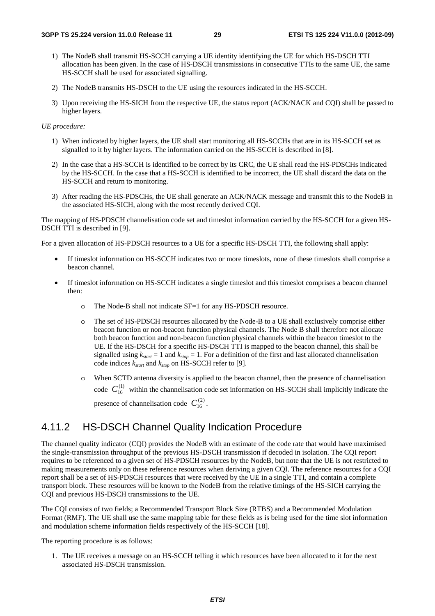- 1) The NodeB shall transmit HS-SCCH carrying a UE identity identifying the UE for which HS-DSCH TTI allocation has been given. In the case of HS-DSCH transmissions in consecutive TTIs to the same UE, the same HS-SCCH shall be used for associated signalling.
- 2) The NodeB transmits HS-DSCH to the UE using the resources indicated in the HS-SCCH.
- 3) Upon receiving the HS-SICH from the respective UE, the status report (ACK/NACK and CQI) shall be passed to higher layers.

#### *UE procedure:*

- 1) When indicated by higher layers, the UE shall start monitoring all HS-SCCHs that are in its HS-SCCH set as signalled to it by higher layers. The information carried on the HS-SCCH is described in [8].
- 2) In the case that a HS-SCCH is identified to be correct by its CRC, the UE shall read the HS-PDSCHs indicated by the HS-SCCH. In the case that a HS-SCCH is identified to be incorrect, the UE shall discard the data on the HS-SCCH and return to monitoring.
- 3) After reading the HS-PDSCHs, the UE shall generate an ACK/NACK message and transmit this to the NodeB in the associated HS-SICH, along with the most recently derived CQI.

The mapping of HS-PDSCH channelisation code set and timeslot information carried by the HS-SCCH for a given HS-DSCH TTI is described in [9].

For a given allocation of HS-PDSCH resources to a UE for a specific HS-DSCH TTI, the following shall apply:

- If timeslot information on HS-SCCH indicates two or more timeslots, none of these timeslots shall comprise a beacon channel.
- If timeslot information on HS-SCCH indicates a single timeslot and this timeslot comprises a beacon channel then:
	- o The Node-B shall not indicate SF=1 for any HS-PDSCH resource.
	- o The set of HS-PDSCH resources allocated by the Node-B to a UE shall exclusively comprise either beacon function or non-beacon function physical channels. The Node B shall therefore not allocate both beacon function and non-beacon function physical channels within the beacon timeslot to the UE. If the HS-DSCH for a specific HS-DSCH TTI is mapped to the beacon channel, this shall be signalled using  $k_{start} = 1$  and  $k_{stop} = 1$ . For a definition of the first and last allocated channelisation code indices *kstart* and *kstop* on HS-SCCH refer to [9].
	- o When SCTD antenna diversity is applied to the beacon channel, then the presence of channelisation code  $C_{16}^{(1)}$  within the channelisation code set information on HS-SCCH shall implicitly indicate the presence of channelisation code  $C_{16}^{(2)}$ .

## 4.11.2 HS-DSCH Channel Quality Indication Procedure

The channel quality indicator (CQI) provides the NodeB with an estimate of the code rate that would have maximised the single-transmission throughput of the previous HS-DSCH transmission if decoded in isolation. The CQI report requires to be referenced to a given set of HS-PDSCH resources by the NodeB, but note that the UE is not restricted to making measurements only on these reference resources when deriving a given CQI. The reference resources for a CQI report shall be a set of HS-PDSCH resources that were received by the UE in a single TTI, and contain a complete transport block. These resources will be known to the NodeB from the relative timings of the HS-SICH carrying the CQI and previous HS-DSCH transmissions to the UE.

The CQI consists of two fields; a Recommended Transport Block Size (RTBS) and a Recommended Modulation Format (RMF). The UE shall use the same mapping table for these fields as is being used for the time slot information and modulation scheme information fields respectively of the HS-SCCH [18].

The reporting procedure is as follows:

1. The UE receives a message on an HS-SCCH telling it which resources have been allocated to it for the next associated HS-DSCH transmission.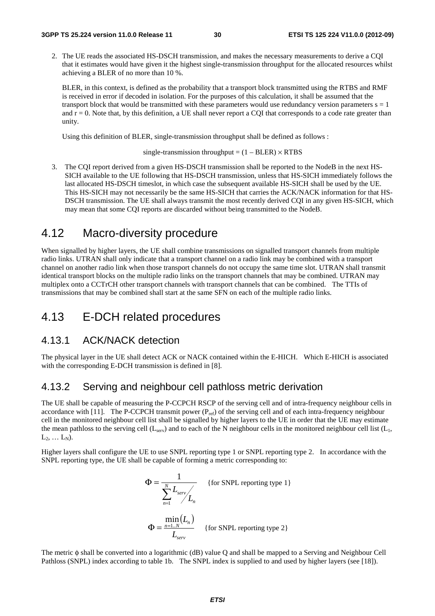2. The UE reads the associated HS-DSCH transmission, and makes the necessary measurements to derive a CQI that it estimates would have given it the highest single-transmission throughput for the allocated resources whilst achieving a BLER of no more than 10 %.

BLER, in this context, is defined as the probability that a transport block transmitted using the RTBS and RMF is received in error if decoded in isolation. For the purposes of this calculation, it shall be assumed that the transport block that would be transmitted with these parameters would use redundancy version parameters  $s = 1$ and  $r = 0$ . Note that, by this definition, a UE shall never report a CQI that corresponds to a code rate greater than unity.

Using this definition of BLER, single-transmission throughput shall be defined as follows :

single-transmission throughput =  $(1 - BLER) \times RTBS$ 

3. The CQI report derived from a given HS-DSCH transmission shall be reported to the NodeB in the next HS-SICH available to the UE following that HS-DSCH transmission, unless that HS-SICH immediately follows the last allocated HS-DSCH timeslot, in which case the subsequent available HS-SICH shall be used by the UE. This HS-SICH may not necessarily be the same HS-SICH that carries the ACK/NACK information for that HS-DSCH transmission. The UE shall always transmit the most recently derived CQI in any given HS-SICH, which may mean that some CQI reports are discarded without being transmitted to the NodeB.

## 4.12 Macro-diversity procedure

When signalled by higher layers, the UE shall combine transmissions on signalled transport channels from multiple radio links. UTRAN shall only indicate that a transport channel on a radio link may be combined with a transport channel on another radio link when those transport channels do not occupy the same time slot. UTRAN shall transmit identical transport blocks on the multiple radio links on the transport channels that may be combined. UTRAN may multiplex onto a CCTrCH other transport channels with transport channels that can be combined. The TTIs of transmissions that may be combined shall start at the same SFN on each of the multiple radio links.

## 4.13 E-DCH related procedures

## 4.13.1 ACK/NACK detection

The physical layer in the UE shall detect ACK or NACK contained within the E-HICH. Which E-HICH is associated with the corresponding E-DCH transmission is defined in [8].

## 4.13.2 Serving and neighbour cell pathloss metric derivation

The UE shall be capable of measuring the P-CCPCH RSCP of the serving cell and of intra-frequency neighbour cells in accordance with [11]. The P-CCPCH transmit power  $(P_{ref})$  of the serving cell and of each intra-frequency neighbour cell in the monitored neighbour cell list shall be signalled by higher layers to the UE in order that the UE may estimate the mean pathloss to the serving cell ( $L_{\text{serv}}$ ) and to each of the N neighbour cells in the monitored neighbour cell list ( $L_1$ ,  $L_2, \ldots L_N$ ).

Higher layers shall configure the UE to use SNPL reporting type 1 or SNPL reporting type 2. In accordance with the SNPL reporting type, the UE shall be capable of forming a metric corresponding to:

$$
\Phi = \frac{1}{\sum_{n=1}^{N} L_{serv} L_n}
$$
 {for SNPL reporting type 1}  
\n
$$
\Phi = \frac{\min_{n=1..N} (L_n)}{L_{serv}}
$$
 {for SNPL reporting type 2}

The metric φ shall be converted into a logarithmic (dB) value Q and shall be mapped to a Serving and Neighbour Cell Pathloss (SNPL) index according to table 1b. The SNPL index is supplied to and used by higher layers (see [18]).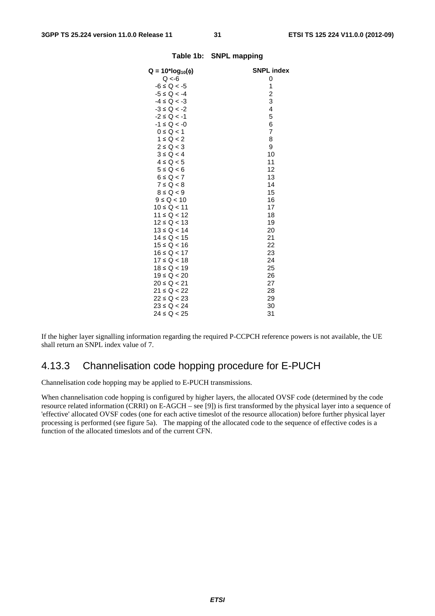| $Q = 10^*log_{10}(\phi)$ | <b>SNPL index</b> |
|--------------------------|-------------------|
| $Q < -6$                 | 0                 |
| $-6 \le Q < -5$          | 1                 |
| $-5 \le Q < -4$          | $\overline{c}$    |
| $-4 \le Q < -3$          | 3                 |
| $-3 \le Q < -2$          | 4                 |
| $-2 \le Q < -1$          | 5                 |
| $-1 \le Q < -0$          | 6                 |
| $0 \le Q < 1$            | 7                 |
| $1 \le Q < 2$            | 8                 |
| $2 \le Q < 3$            | 9                 |
| $3 \le Q < 4$            | 10                |
| $4 \le Q < 5$            | 11                |
| $5 \le Q < 6$            | 12                |
| $6 \le Q < 7$            | 13                |
| $7 \le Q < 8$            | 14                |
| $8 \le Q < 9$            | 15                |
| $9 \le Q < 10$           | 16                |
| $10 \le Q < 11$          | 17                |
| $11 \le Q < 12$          | 18                |
| $12 \le Q < 13$          | 19                |
| $13 \le Q < 14$          | 20                |
| $14 \le Q < 15$          | 21                |
| $15 \le Q < 16$          | 22                |
| $16 \le Q < 17$          | 23                |
| $17 \le Q < 18$          | 24                |
| $18 \le Q < 19$          | 25                |
| $19 \le Q < 20$          | 26                |
| 20 ≤ Q < 21              | 27                |
| $21 \le Q < 22$          | 28                |
| $22 \le Q < 23$          | 29                |
| $23 \le Q < 24$          | 30                |
| $24 \le Q < 25$          | 31                |
|                          |                   |

#### **Table 1b: SNPL mapping**

If the higher layer signalling information regarding the required P-CCPCH reference powers is not available, the UE shall return an SNPL index value of 7.

## 4.13.3 Channelisation code hopping procedure for E-PUCH

Channelisation code hopping may be applied to E-PUCH transmissions.

When channelisation code hopping is configured by higher layers, the allocated OVSF code (determined by the code resource related information (CRRI) on E-AGCH – see [9]) is first transformed by the physical layer into a sequence of 'effective' allocated OVSF codes (one for each active timeslot of the resource allocation) before further physical layer processing is performed (see figure 5a). The mapping of the allocated code to the sequence of effective codes is a function of the allocated timeslots and of the current CFN.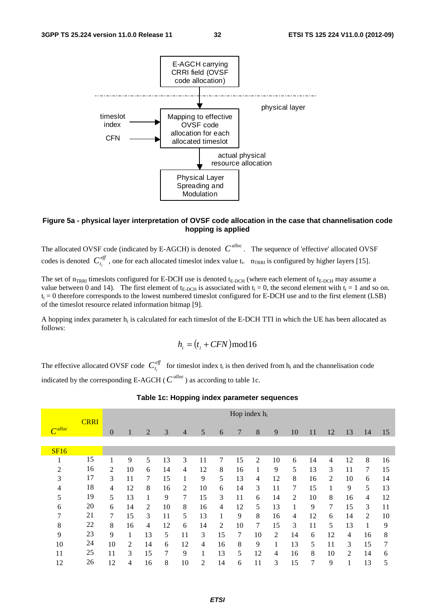![](_page_32_Figure_3.jpeg)

#### **Figure 5a - physical layer interpretation of OVSF code allocation in the case that channelisation code hopping is applied**

The allocated OVSF code (indicated by E-AGCH) is denoted  $C^{alloc}$ . The sequence of 'effective' allocated OVSF codes is denoted  $C_{t_i}^{\text{eff}}$ , one for each allocated timeslot index value  $t_i$ .  $n_{TRRI}$  is configured by higher layers [15].

The set of  $n_{TRRI}$  timeslots configured for E-DCH use is denoted  $t_{E-DCH}$  (where each element of  $t_{E-DCH}$  may assume a value between 0 and 14). The first element of  $t_{E-DCH}$  is associated with  $t_i = 0$ , the second element with  $t_i = 1$  and so on.  $t_i = 0$  therefore corresponds to the lowest numbered timeslot configured for E-DCH use and to the first element (LSB) of the timeslot resource related information bitmap [9].

A hopping index parameter  $h_i$  is calculated for each timeslot of the E-DCH TTI in which the UE has been allocated as follows:

$$
h_i = (t_i + CFN) \bmod 16
$$

The effective allocated OVSF code  $C_{t_i}^{eff}$  for timeslot index  $t_i$  is then derived from  $h_i$  and the channelisation code indicated by the corresponding E-AGCH ( $C^{alloc}$ ) as according to table 1c.

|                |             | Hop index $h_i$ |                |                |    |                |    |                |    |    |    |    |    |    |    |    |    |
|----------------|-------------|-----------------|----------------|----------------|----|----------------|----|----------------|----|----|----|----|----|----|----|----|----|
|                | <b>CRRI</b> |                 |                |                |    |                |    |                |    |    |    |    |    |    |    |    |    |
| $\Gamma$ alloc |             | $\theta$        | 1              | $\overline{2}$ | 3  | $\overline{4}$ | 5  | 6              | 7  | 8  | 9  | 10 | 11 | 12 | 13 | 14 | 15 |
|                |             |                 |                |                |    |                |    |                |    |    |    |    |    |    |    |    |    |
| SF16           |             |                 |                |                |    |                |    |                |    |    |    |    |    |    |    |    |    |
|                | 15          |                 | 9              | 5              | 13 | 3              | 11 | 7              | 15 | 2  | 10 | 6  | 14 | 4  | 12 | 8  | 16 |
| 2              | 16          | $\overline{2}$  | 10             | 6              | 14 | 4              | 12 | 8              | 16 | 1  | 9  | 5  | 13 | 3  | 11 | 7  | 15 |
| 3              | 17          | 3               | 11             | 7              | 15 | 1              | 9  | 5              | 13 | 4  | 12 | 8  | 16 | 2  | 10 | 6  | 14 |
| 4              | 18          | 4               | 12             | 8              | 16 | 2              | 10 | 6              | 14 | 3  | 11 | 7  | 15 |    | 9  | 5  | 13 |
| 5              | 19          | 5               | 13             | 1              | 9  | 7              | 15 | 3              | 11 | 6  | 14 | 2  | 10 | 8  | 16 | 4  | 12 |
| 6              | 20          | 6               | 14             | 2              | 10 | 8              | 16 | 4              | 12 | 5  | 13 | 1  | 9  | 7  | 15 | 3  | 11 |
| 7              | 21          | 7               | 15             | 3              | 11 | 5              | 13 | $\mathbf{1}$   | 9  | 8  | 16 | 4  | 12 | 6  | 14 | 2  | 10 |
| 8              | 22          | 8               | 16             | 4              | 12 | 6              | 14 | $\overline{c}$ | 10 | 7  | 15 | 3  | 11 | 5  | 13 |    | 9  |
| 9              | 23          | 9               |                | 13             | 5  | 11             | 3  | 15             | 7  | 10 | 2  | 14 | 6  | 12 | 4  | 16 | 8  |
| 10             | 24          | 10              | $\overline{c}$ | 14             | 6  | 12             | 4  | 16             | 8  | 9  | 1  | 13 | 5  | 11 | 3  | 15 | 7  |
| 11             | 25          | 11              | 3              | 15             | 7  | 9              | 1  | 13             | 5  | 12 | 4  | 16 | 8  | 10 | 2  | 14 | 6  |
| 12             | 26          | 12              | 4              | 16             | 8  | 10             | 2  | 14             | 6  | 11 | 3  | 15 | 7  | 9  | 1  | 13 | 5  |

#### **Table 1c: Hopping index parameter sequences**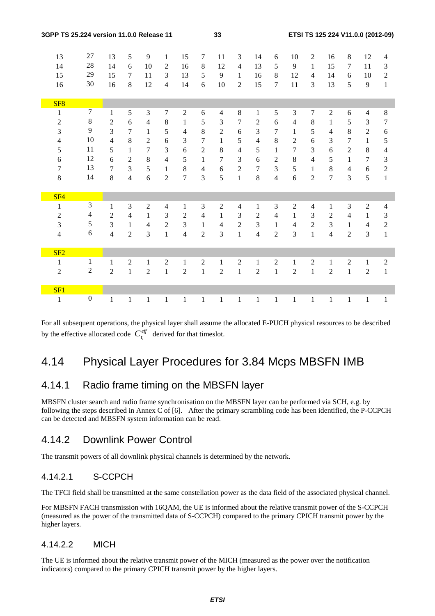| 3GPP TS 25.224 version 11.0.0 Release 11 |                  | 33             |                |                |                |                |                  | ETSI TS 125 224 V11.0.0 (2012-09) |                |                |                         |                |                |                |                |                |                  |
|------------------------------------------|------------------|----------------|----------------|----------------|----------------|----------------|------------------|-----------------------------------|----------------|----------------|-------------------------|----------------|----------------|----------------|----------------|----------------|------------------|
| 13                                       | 27               | 13             | 5              | 9              | $\mathbf{1}$   | 15             | $\tau$           | 11                                | 3              | 14             | 6                       | 10             | 2              | 16             | 8              | 12             | 4                |
| 14                                       | 28               | 14             | 6              | 10             | 2              | 16             | $\,8\,$          | 12                                | $\overline{4}$ | 13             | 5                       | 9              | $\mathbf{1}$   | 15             | 7              | 11             | 3                |
| 15                                       | 29               | 15             | $\tau$         | 11             | 3              | 13             | 5                | $\overline{9}$                    | $\mathbf{1}$   | 16             | 8                       | 12             | $\overline{4}$ | 14             | 6              | 10             | $\overline{2}$   |
| 16                                       | 30               | 16             | 8              | 12             | $\overline{4}$ | 14             | 6                | 10                                | $\overline{2}$ | 15             | $\overline{7}$          | 11             | 3              | 13             | 5              | 9              | $\mathbf{1}$     |
|                                          |                  |                |                |                |                |                |                  |                                   |                |                |                         |                |                |                |                |                |                  |
| SF <sub>8</sub>                          |                  |                |                |                |                |                |                  |                                   |                |                |                         |                |                |                |                |                |                  |
| $\mathbf{1}$                             | $\boldsymbol{7}$ | $\mathbf{1}$   | 5              | 3              | $\tau$         | $\sqrt{2}$     | 6                | $\overline{4}$                    | 8              | $\mathbf{1}$   | 5                       | 3              | 7              | $\overline{2}$ | 6              | $\overline{4}$ | $\,8\,$          |
| $\mathfrak{2}$                           | $\,8\,$          | $\overline{2}$ | 6              | $\overline{4}$ | $8\,$          | $\mathbf{1}$   | 5                | 3                                 | $\tau$         | $\sqrt{2}$     | 6                       | $\overline{4}$ | 8              | $\mathbf{1}$   | 5              | 3              | $\tau$           |
| 3                                        | 9                | 3              | $\tau$         | $\mathbf{1}$   | 5              | 4              | $8\,$            | $\overline{2}$                    | 6              | 3              | 7                       | $\mathbf{1}$   | 5              | $\overline{4}$ | 8              | $\overline{2}$ | 6                |
| $\overline{4}$                           | 10               | $\overline{4}$ | $\,8\,$        | $\overline{2}$ | 6              | 3              | $\tau$           | $\mathbf{1}$                      | 5              | $\overline{4}$ | $\,8\,$                 | $\overline{2}$ | 6              | $\overline{3}$ | $\overline{7}$ | $\mathbf{1}$   | 5                |
| 5                                        | 11               | 5              | $\mathbf{1}$   | $\overline{7}$ | 3              | 6              | $\sqrt{2}$       | $8\,$                             | $\overline{4}$ | 5              | $\mathbf{1}$            | 7              | 3              | 6              | $\overline{2}$ | $8\,$          | $\overline{4}$   |
| $\sqrt{6}$                               | 12               | 6              | $\sqrt{2}$     | 8              | $\overline{4}$ | 5              | $\mathbf{1}$     | $\tau$                            | 3              | 6              | $\sqrt{2}$              | $\,8\,$        | $\overline{4}$ | 5              | $\mathbf{1}$   | $\overline{7}$ | 3                |
| 7                                        | 13               | $\overline{7}$ | 3              | 5              | $\mathbf{1}$   | 8              | $\overline{4}$   | 6                                 | $\overline{2}$ | $\tau$         | 3                       | 5              | $\mathbf{1}$   | 8              | $\overline{4}$ | 6              | $\sqrt{2}$       |
| 8                                        | 14               | 8              | $\overline{4}$ | 6              | $\overline{2}$ | $\overline{7}$ | 3                | 5                                 | $\mathbf{1}$   | 8              | $\overline{\mathbf{4}}$ | 6              | $\overline{2}$ | $\overline{7}$ | 3              | 5              | $\mathbf{1}$     |
|                                          |                  |                |                |                |                |                |                  |                                   |                |                |                         |                |                |                |                |                |                  |
| SF <sub>4</sub>                          |                  |                |                |                |                |                |                  |                                   |                |                |                         |                |                |                |                |                |                  |
| $\mathbf{1}$                             | $\mathfrak{Z}$   | $\mathbf{1}$   | 3              | $\overline{2}$ | $\overline{4}$ | $\mathbf{1}$   | 3                | $\overline{2}$                    | $\overline{4}$ | $\mathbf{1}$   | $\mathfrak{Z}$          | $\overline{2}$ | $\overline{4}$ | $\mathbf{1}$   | 3              | $\overline{2}$ | $\overline{4}$   |
| $\boldsymbol{2}$                         | 4                | $\overline{c}$ | $\overline{4}$ | 1              | 3              | $\sqrt{2}$     | $\overline{4}$   | $\mathbf{1}$                      | $\mathfrak{Z}$ | $\sqrt{2}$     | $\overline{4}$          | $\mathbf{1}$   | 3              | $\overline{2}$ | $\overline{4}$ | $\mathbf{1}$   | 3                |
| $\mathfrak{Z}$                           | 5                | 3              | $\mathbf{1}$   | $\overline{4}$ | $\overline{2}$ | 3              | $\mathbf{1}$     | $\overline{4}$                    | $\overline{2}$ | 3              | $\mathbf{1}$            | $\overline{4}$ | $\overline{c}$ | $\overline{3}$ | 1              | $\overline{4}$ | $\boldsymbol{2}$ |
| $\overline{4}$                           | $\boldsymbol{6}$ | $\overline{4}$ | $\overline{2}$ | 3              | $\mathbf{1}$   | $\overline{4}$ | $\overline{2}$   | 3                                 | $\mathbf{1}$   | $\overline{4}$ | $\overline{2}$          | $\overline{3}$ | $\mathbf{1}$   | $\overline{4}$ | $\overline{2}$ | 3              | $\mathbf{1}$     |
|                                          |                  |                |                |                |                |                |                  |                                   |                |                |                         |                |                |                |                |                |                  |
| SF2                                      |                  |                |                |                |                |                |                  |                                   |                |                |                         |                |                |                |                |                |                  |
| $\mathbf{1}$                             | $\mathbf{1}$     | $\mathbf{1}$   | $\overline{2}$ | 1              | $\overline{2}$ | $\mathbf{1}$   | $\boldsymbol{2}$ | $\mathbf{1}$                      | 2              | $\mathbf{1}$   | 2                       | $\mathbf{1}$   | $\mathfrak{2}$ | $\mathbf{1}$   | $\overline{2}$ | $\mathbf{1}$   | $\overline{2}$   |
| $\overline{2}$                           | $\boldsymbol{2}$ | $\overline{2}$ | $\mathbf{1}$   | $\overline{2}$ | $\mathbbm{1}$  | $\overline{2}$ | $\mathbf{1}$     | $\overline{2}$                    | $\mathbf{1}$   | $\overline{2}$ | $\mathbf{1}$            | $\overline{2}$ | $\mathbf{1}$   | $\overline{2}$ | $\mathbf{1}$   | $\overline{2}$ | $\mathbf{1}$     |
|                                          |                  |                |                |                |                |                |                  |                                   |                |                |                         |                |                |                |                |                |                  |
| SF1                                      | $\boldsymbol{0}$ |                |                |                |                |                |                  |                                   |                |                |                         |                |                |                |                |                |                  |
| $\mathbf{1}$                             |                  | $\mathbf{1}$   | $\mathbf{1}$   | $\mathbf{1}$   | $\mathbf{1}$   | $\mathbf{1}$   | $\mathbf{1}$     | $\mathbf{1}$                      | $\mathbf{1}$   | $\mathbf{1}$   | $\mathbf{1}$            | $\mathbf{1}$   | $\mathbf{1}$   | $\mathbf{1}$   | $\mathbf{1}$   | $\mathbf{1}$   | $\mathbf{1}$     |

For all subsequent operations, the physical layer shall assume the allocated E-PUCH physical resources to be described by the effective allocated code  $C_{t_i}^{\text{eff}}$  derived for that timeslot.

## 4.14 Physical Layer Procedures for 3.84 Mcps MBSFN IMB

## 4.14.1 Radio frame timing on the MBSFN layer

MBSFN cluster search and radio frame synchronisation on the MBSFN layer can be performed via SCH, e.g. by following the steps described in Annex C of [6]. After the primary scrambling code has been identified, the P-CCPCH can be detected and MBSFN system information can be read.

## 4.14.2 Downlink Power Control

The transmit powers of all downlink physical channels is determined by the network.

## 4.14.2.1 S-CCPCH

The TFCI field shall be transmitted at the same constellation power as the data field of the associated physical channel.

For MBSFN FACH transmission with 16QAM, the UE is informed about the relative transmit power of the S-CCPCH (measured as the power of the transmitted data of S-CCPCH) compared to the primary CPICH transmit power by the higher layers.

## 4.14.2.2 MICH

The UE is informed about the relative transmit power of the MICH (measured as the power over the notification indicators) compared to the primary CPICH transmit power by the higher layers.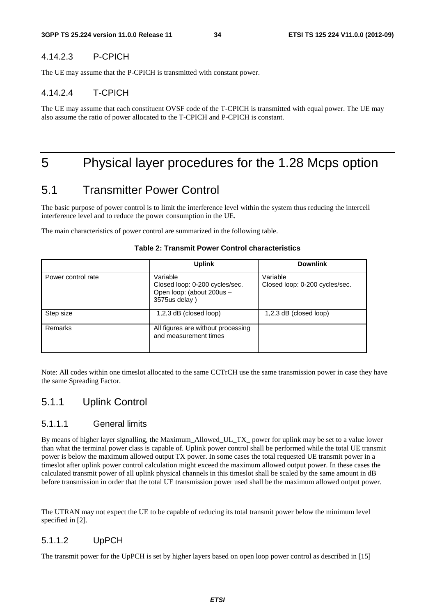#### 4.14.2.3 P-CPICH

The UE may assume that the P-CPICH is transmitted with constant power.

#### 4.14.2.4 T-CPICH

The UE may assume that each constituent OVSF code of the T-CPICH is transmitted with equal power. The UE may also assume the ratio of power allocated to the T-CPICH and P-CPICH is constant.

## 5 Physical layer procedures for the 1.28 Mcps option

## 5.1 Transmitter Power Control

The basic purpose of power control is to limit the interference level within the system thus reducing the intercell interference level and to reduce the power consumption in the UE.

The main characteristics of power control are summarized in the following table.

|                    | <b>Uplink</b>                                                                            | <b>Downlink</b>                            |
|--------------------|------------------------------------------------------------------------------------------|--------------------------------------------|
| Power control rate | Variable<br>Closed loop: 0-200 cycles/sec.<br>Open loop: (about 200us -<br>3575us delay) | Variable<br>Closed loop: 0-200 cycles/sec. |
| Step size          | 1,2,3 dB (closed loop)                                                                   | $1,2,3$ dB (closed loop)                   |
| Remarks            | All figures are without processing<br>and measurement times                              |                                            |

#### **Table 2: Transmit Power Control characteristics**

Note: All codes within one timeslot allocated to the same CCTrCH use the same transmission power in case they have the same Spreading Factor.

## 5.1.1 Uplink Control

#### 5.1.1.1 General limits

By means of higher layer signalling, the Maximum\_Allowed\_UL\_TX\_ power for uplink may be set to a value lower than what the terminal power class is capable of. Uplink power control shall be performed while the total UE transmit power is below the maximum allowed output TX power. In some cases the total requested UE transmit power in a timeslot after uplink power control calculation might exceed the maximum allowed output power. In these cases the calculated transmit power of all uplink physical channels in this timeslot shall be scaled by the same amount in dB before transmission in order that the total UE transmission power used shall be the maximum allowed output power.

The UTRAN may not expect the UE to be capable of reducing its total transmit power below the minimum level specified in [2].

### 5.1.1.2 UpPCH

The transmit power for the UpPCH is set by higher layers based on open loop power control as described in [15]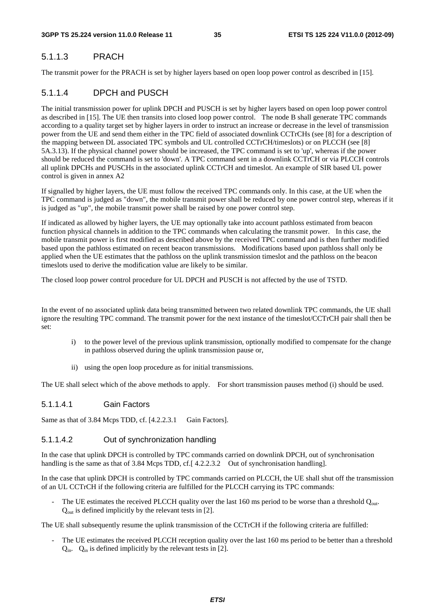### 5.1.1.3 PRACH

The transmit power for the PRACH is set by higher layers based on open loop power control as described in [15].

### 5.1.1.4 DPCH and PUSCH

The initial transmission power for uplink DPCH and PUSCH is set by higher layers based on open loop power control as described in [15]. The UE then transits into closed loop power control. The node B shall generate TPC commands according to a quality target set by higher layers in order to instruct an increase or decrease in the level of transmission power from the UE and send them either in the TPC field of associated downlink CCTrCHs (see [8] for a description of the mapping between DL associated TPC symbols and UL controlled CCTrCH/timeslots) or on PLCCH (see [8] 5A.3.13). If the physical channel power should be increased, the TPC command is set to 'up', whereas if the power should be reduced the command is set to 'down'. A TPC command sent in a downlink CCTrCH or via PLCCH controls all uplink DPCHs and PUSCHs in the associated uplink CCTrCH and timeslot. An example of SIR based UL power control is given in annex A2

If signalled by higher layers, the UE must follow the received TPC commands only. In this case, at the UE when the TPC command is judged as "down", the mobile transmit power shall be reduced by one power control step, whereas if it is judged as "up", the mobile transmit power shall be raised by one power control step.

If indicated as allowed by higher layers, the UE may optionally take into account pathloss estimated from beacon function physical channels in addition to the TPC commands when calculating the transmit power. In this case, the mobile transmit power is first modified as described above by the received TPC command and is then further modified based upon the pathloss estimated on recent beacon transmissions. Modifications based upon pathloss shall only be applied when the UE estimates that the pathloss on the uplink transmission timeslot and the pathloss on the beacon timeslots used to derive the modification value are likely to be similar.

The closed loop power control procedure for UL DPCH and PUSCH is not affected by the use of TSTD.

In the event of no associated uplink data being transmitted between two related downlink TPC commands, the UE shall ignore the resulting TPC command. The transmit power for the next instance of the timeslot/CCTrCH pair shall then be set:

- i) to the power level of the previous uplink transmission, optionally modified to compensate for the change in pathloss observed during the uplink transmission pause or,
- ii) using the open loop procedure as for initial transmissions.

The UE shall select which of the above methods to apply. For short transmission pauses method (i) should be used.

#### 5.1.1.4.1 Gain Factors

Same as that of 3.84 Mcps TDD, cf. [4.2.2.3.1 Gain Factors].

#### 5.1.1.4.2 Out of synchronization handling

In the case that uplink DPCH is controlled by TPC commands carried on downlink DPCH, out of synchronisation handling is the same as that of 3.84 Mcps TDD, cf. [4.2.2.3.2 Out of synchronisation handling].

In the case that uplink DPCH is controlled by TPC commands carried on PLCCH, the UE shall shut off the transmission of an UL CCTrCH if the following criteria are fulfilled for the PLCCH carrying its TPC commands:

The UE estimates the received PLCCH quality over the last 160 ms period to be worse than a threshold  $Q_{out}$ .  $Q<sub>out</sub>$  is defined implicitly by the relevant tests in [2].

The UE shall subsequently resume the uplink transmission of the CCTrCH if the following criteria are fulfilled:

The UE estimates the received PLCCH reception quality over the last 160 ms period to be better than a threshold  $Q_{\text{in}}$ .  $Q_{\text{in}}$  is defined implicitly by the relevant tests in [2].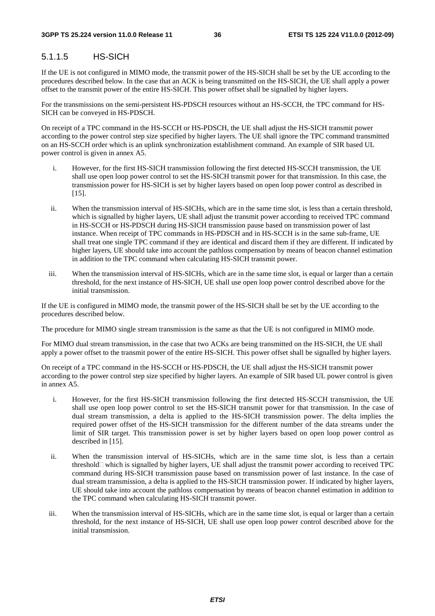# 5.1.1.5 HS-SICH

If the UE is not configured in MIMO mode, the transmit power of the HS-SICH shall be set by the UE according to the procedures described below. In the case that an ACK is being transmitted on the HS-SICH, the UE shall apply a power offset to the transmit power of the entire HS-SICH. This power offset shall be signalled by higher layers.

For the transmissions on the semi-persistent HS-PDSCH resources without an HS-SCCH, the TPC command for HS-SICH can be conveyed in HS-PDSCH.

On receipt of a TPC command in the HS-SCCH or HS-PDSCH, the UE shall adjust the HS-SICH transmit power according to the power control step size specified by higher layers. The UE shall ignore the TPC command transmitted on an HS-SCCH order which is an uplink synchronization establishment command. An example of SIR based UL power control is given in annex A5.

- i. However, for the first HS-SICH transmission following the first detected HS-SCCH transmission, the UE shall use open loop power control to set the HS-SICH transmit power for that transmission. In this case, the transmission power for HS-SICH is set by higher layers based on open loop power control as described in [15].
- ii. When the transmission interval of HS-SICHs, which are in the same time slot, is less than a certain threshold, which is signalled by higher layers, UE shall adjust the transmit power according to received TPC command in HS-SCCH or HS-PDSCH during HS-SICH transmission pause based on transmission power of last instance. When receipt of TPC commands in HS-PDSCH and in HS-SCCH is in the same sub-frame, UE shall treat one single TPC command if they are identical and discard them if they are different. If indicated by higher layers, UE should take into account the pathloss compensation by means of beacon channel estimation in addition to the TPC command when calculating HS-SICH transmit power.
- iii. When the transmission interval of HS-SICHs, which are in the same time slot, is equal or larger than a certain threshold, for the next instance of HS-SICH, UE shall use open loop power control described above for the initial transmission.

If the UE is configured in MIMO mode, the transmit power of the HS-SICH shall be set by the UE according to the procedures described below.

The procedure for MIMO single stream transmission is the same as that the UE is not configured in MIMO mode.

For MIMO dual stream transmission, in the case that two ACKs are being transmitted on the HS-SICH, the UE shall apply a power offset to the transmit power of the entire HS-SICH. This power offset shall be signalled by higher layers.

On receipt of a TPC command in the HS-SCCH or HS-PDSCH, the UE shall adjust the HS-SICH transmit power according to the power control step size specified by higher layers. An example of SIR based UL power control is given in annex A5.

- i. However, for the first HS-SICH transmission following the first detected HS-SCCH transmission, the UE shall use open loop power control to set the HS-SICH transmit power for that transmission. In the case of dual stream transmission, a delta is applied to the HS-SICH transmission power. The delta implies the required power offset of the HS-SICH transmission for the different number of the data streams under the limit of SIR target. This transmission power is set by higher layers based on open loop power control as described in [15].
- ii. When the transmission interval of HS-SICHs, which are in the same time slot, is less than a certain threshold  $\Box$  which is signalled by higher layers, UE shall adjust the transmit power according to received TPC command during HS-SICH transmission pause based on transmission power of last instance. In the case of dual stream transmission, a delta is applied to the HS-SICH transmission power. If indicated by higher layers, UE should take into account the pathloss compensation by means of beacon channel estimation in addition to the TPC command when calculating HS-SICH transmit power.
- iii. When the transmission interval of HS-SICHs, which are in the same time slot, is equal or larger than a certain threshold, for the next instance of HS-SICH, UE shall use open loop power control described above for the initial transmission.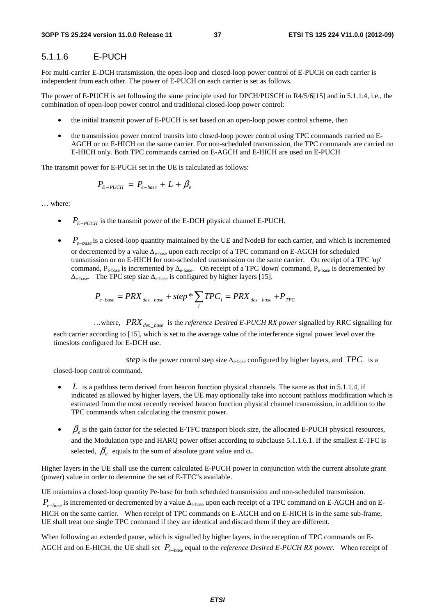### 5.1.1.6 E-PUCH

For multi-carrier E-DCH transmission, the open-loop and closed-loop power control of E-PUCH on each carrier is independent from each other. The power of E-PUCH on each carrier is set as follows.

The power of E-PUCH is set following the same principle used for DPCH/PUSCH in R4/5/6[15] and in 5.1.1.4, i.e., the combination of open-loop power control and traditional closed-loop power control:

- the initial transmit power of E-PUCH is set based on an open-loop power control scheme, then
- the transmission power control transits into closed-loop power control using TPC commands carried on E-AGCH or on E-HICH on the same carrier. For non-scheduled transmission, the TPC commands are carried on E-HICH only. Both TPC commands carried on E-AGCH and E-HICH are used on E-PUCH

The transmit power for E-PUCH set in the UE is calculated as follows:

$$
P_{E-PUCH} = P_{e-base} + L + \beta_e
$$

… where:

- $P_{F-PUCH}$  is the transmit power of the E-DCH physical channel E-PUCH.
- *P*<sub>*e−base*</sub> is a closed-loop quantity maintained by the UE and NodeB for each carrier, and which is incremented or decremented by a value Δe-base upon each receipt of a TPC command on E-AGCH for scheduled transmission or on E-HICH for non-scheduled transmission on the same carrier. On receipt of a TPC 'up' command,  $P_{e-base}$  is incremented by  $\Delta_{e-base}$ . On receipt of a TPC 'down' command,  $P_{e-base}$  is decremented by  $\Delta_{\rm e-base}$ . The TPC step size  $\Delta_{\rm e-base}$  is configured by higher layers [15].

$$
P_{e-base} = PRX_{des\_base} + step * \sum_{i} TPC_{i} = PRX_{des\_base} + P_{TPC}
$$

...where,  $PRX_{des_{base}}$  is the *reference Desired E-PUCH RX power* signalled by RRC signalling for each carrier according to [15], which is set to the average value of the interference signal power level over the timeslots configured for E-DCH use.

*step* is the power control step size  $\Delta_{\text{e-base}}$  configured by higher layers, and *TPC<sub>i</sub>* is a

closed-loop control command.

- *L* is a pathloss term derived from beacon function physical channels. The same as that in 5.1.1.4, if indicated as allowed by higher layers, the UE may optionally take into account pathloss modification which is estimated from the most recently received beacon function physical channel transmission, in addition to the TPC commands when calculating the transmit power.
- $\beta$ <sub>e</sub> is the gain factor for the selected E-TFC transport block size, the allocated E-PUCH physical resources, and the Modulation type and HARQ power offset according to subclause 5.1.1.6.1. If the smallest E-TFC is selected,  $\beta_e$  equals to the sum of absolute grant value and  $\alpha_e$ .

Higher layers in the UE shall use the current calculated E-PUCH power in conjunction with the current absolute grant (power) value in order to determine the set of E-TFC"s available.

UE maintains a closed-loop quantity Pe-base for both scheduled transmission and non-scheduled transmission.

*P<sub>e−base</sub>* is incremented or decremented by a value Δ<sub>e-base</sub> upon each receipt of a TPC command on E-AGCH and on E-HICH on the same carrier. When receipt of TPC commands on E-AGCH and on E-HICH is in the same sub-frame, UE shall treat one single TPC command if they are identical and discard them if they are different.

When following an extended pause, which is signalled by higher layers, in the reception of TPC commands on E-AGCH and on E-HICH, the UE shall set *Pe*<sup>−</sup>*base* equal to the *reference Desired E-PUCH RX power*. When receipt of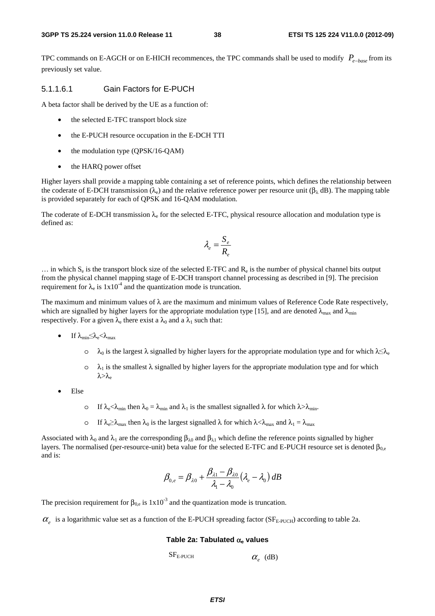TPC commands on E-AGCH or on E-HICH recommences, the TPC commands shall be used to modify *Pe*<sup>−</sup>*base* from its previously set value.

#### 5.1.1.6.1 Gain Factors for E-PUCH

A beta factor shall be derived by the UE as a function of:

- the selected E-TFC transport block size
- the E-PUCH resource occupation in the E-DCH TTI
- the modulation type (QPSK/16-QAM)
- the HARQ power offset

Higher layers shall provide a mapping table containing a set of reference points, which defines the relationship between the coderate of E-DCH transmission ( $\lambda_e$ ) and the relative reference power per resource unit ( $\beta_\lambda$  dB). The mapping table is provided separately for each of QPSK and 16-QAM modulation.

The coderate of E-DCH transmission  $\lambda_e$  for the selected E-TFC, physical resource allocation and modulation type is defined as:

$$
\lambda_e = \frac{S_e}{R_e}
$$

 $\ldots$  in which S<sub>e</sub> is the transport block size of the selected E-TFC and R<sub>e</sub> is the number of physical channel bits output from the physical channel mapping stage of E-DCH transport channel processing as described in [9]. The precision requirement for  $\lambda_e$  is  $1x10^{-4}$  and the quantization mode is truncation.

The maximum and minimum values of  $\lambda$  are the maximum and minimum values of Reference Code Rate respectively, which are signalled by higher layers for the appropriate modulation type [15], and are denoted  $\lambda_{\text{max}}$  and  $\lambda_{\text{min}}$ respectively. For a given  $\lambda_e$  there exist a  $\lambda_0$  and a  $\lambda_1$  such that:

- If  $\lambda_{\min} \leq \lambda_e < \lambda_{\max}$ 
	- $\lambda_0$  is the largest λ signalled by higher layers for the appropriate modulation type and for which  $\lambda \leq \lambda_e$
	- $\circ$   $\lambda_1$  is the smallest  $\lambda$  signalled by higher layers for the appropriate modulation type and for which  $λ > λ_e$
- Else
	- o If  $\lambda_e < \lambda_{\min}$  then  $\lambda_0 = \lambda_{\min}$  and  $\lambda_1$  is the smallest signalled  $\lambda$  for which  $\lambda > \lambda_{\min}$ .
	- o If  $\lambda_e \ge \lambda_{\text{max}}$  then  $\lambda_0$  is the largest signalled  $\lambda$  for which  $\lambda < \lambda_{\text{max}}$  and  $\lambda_1 = \lambda_{\text{max}}$

Associated with  $\lambda_0$  and  $\lambda_1$  are the corresponding  $\beta_{\lambda 0}$  and  $\beta_{\lambda 1}$  which define the reference points signalled by higher layers. The normalised (per-resource-unit) beta value for the selected E-TFC and E-PUCH resource set is denoted  $\beta_{0}$ . and is:

$$
\beta_{0,e} = \beta_{\lambda 0} + \frac{\beta_{\lambda 1} - \beta_{\lambda 0}}{\lambda_1 - \lambda_0} (\lambda_e - \lambda_0) dB
$$

The precision requirement for  $\beta_{0,\varepsilon}$  is  $1x10^{-3}$  and the quantization mode is truncation.

 $\alpha_s$  is a logarithmic value set as a function of the E-PUCH spreading factor ( $SF_{E\text{-}PUCH}$ ) according to table 2a.

#### **Table 2a: Tabulated** α**e values**

 $SF_{\text{E-PUCH}}$   $\alpha_{\text{e}}$  (dB)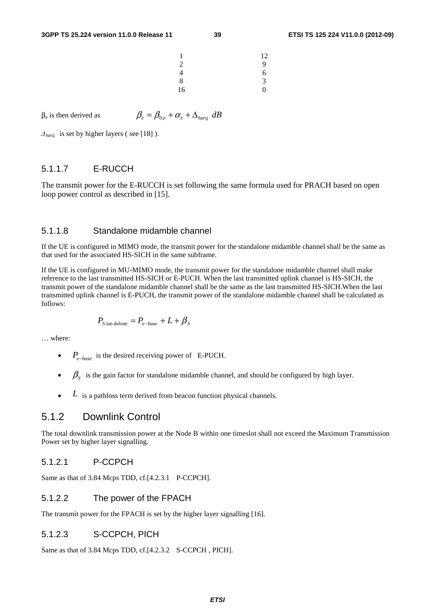| 1  | 12 |
|----|----|
| 2  | 9  |
| 4  | 6  |
| 8  | 3  |
| 16 | 0  |

 $β_e$  is then derived as  $β_e = β_{0e} + α_e + Δ_{hara} dB$ 

 $\Delta_{\text{hara}}$  is set by higher layers (see [18]).

### 5.1.1.7 E-RUCCH

The transmit power for the E-RUCCH is set following the same formula used for PRACH based on open loop power control as described in [15].

#### 5.1.1.8 Standalone midamble channel

If the UE is configured in MIMO mode, the transmit power for the standalone midamble channel shall be the same as that used for the associated HS-SICH in the same subframe.

If the UE is configured in MU-MIMO mode, the transmit power for the standalone midamble channel shall make reference to the last transmitted HS-SICH or E-PUCH. When the last transmitted uplink channel is HS-SICH, the transmit power of the standalone midamble channel shall be the same as the last transmitted HS-SICH.When the last transmitted uplink channel is E-PUCH, the transmit power of the standalone midamble channel shall be calculated as follows:

$$
P_{\text{Stan }dalone}=P_{e-base}+L+\beta_{\text{S}}
$$

… where:

- *Pe*<sup>−</sup>*base* is the desired receiving power of E-PUCH.
- $\beta_s$  is the gain factor for standalone midamble channel, and should be configured by high layer.
- *L* is a pathloss term derived from beacon function physical channels.

# 5.1.2 Downlink Control

The total downlink transmission power at the Node B within one timeslot shall not exceed the Maximum Transmission Power set by higher layer signalling.

#### 5.1.2.1 P-CCPCH

Same as that of 3.84 Mcps TDD, cf.[4.2.3.1 P-CCPCH].

#### 5.1.2.2 The power of the FPACH

The transmit power for the FPACH is set by the higher layer signalling [16].

### 5.1.2.3 S-CCPCH, PICH

Same as that of 3.84 Mcps TDD, cf.[4.2.3.2 S-CCPCH, PICH].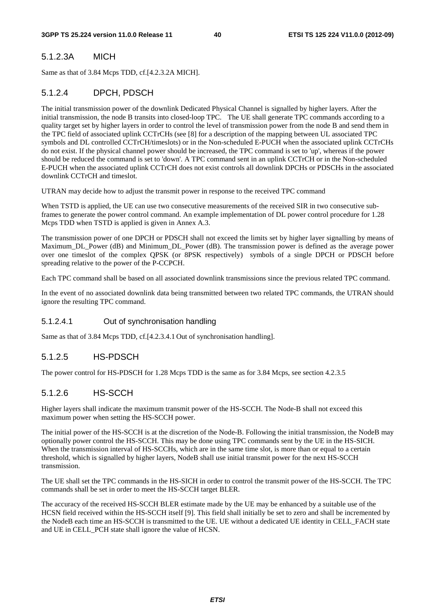### 5.1.2.3A MICH

Same as that of 3.84 Mcps TDD, cf.[4.2.3.2A MICH].

### 5.1.2.4 DPCH, PDSCH

The initial transmission power of the downlink Dedicated Physical Channel is signalled by higher layers. After the initial transmission, the node B transits into closed-loop TPC. The UE shall generate TPC commands according to a quality target set by higher layers in order to control the level of transmission power from the node B and send them in the TPC field of associated uplink CCTrCHs (see [8] for a description of the mapping between UL associated TPC symbols and DL controlled CCTrCH/timeslots) or in the Non-scheduled E-PUCH when the associated uplink CCTrCHs do not exist. If the physical channel power should be increased, the TPC command is set to 'up', whereas if the power should be reduced the command is set to 'down'. A TPC command sent in an uplink CCTrCH or in the Non-scheduled E-PUCH when the associated uplink CCTrCH does not exist controls all downlink DPCHs or PDSCHs in the associated downlink CCTrCH and timeslot.

UTRAN may decide how to adjust the transmit power in response to the received TPC command

When TSTD is applied, the UE can use two consecutive measurements of the received SIR in two consecutive subframes to generate the power control command. An example implementation of DL power control procedure for 1.28 Mcps TDD when TSTD is applied is given in Annex A.3.

The transmission power of one DPCH or PDSCH shall not exceed the limits set by higher layer signalling by means of Maximum\_DL\_Power (dB) and Minimum\_DL\_Power (dB). The transmission power is defined as the average power over one timeslot of the complex QPSK (or 8PSK respectively) symbols of a single DPCH or PDSCH before spreading relative to the power of the P-CCPCH.

Each TPC command shall be based on all associated downlink transmissions since the previous related TPC command.

In the event of no associated downlink data being transmitted between two related TPC commands, the UTRAN should ignore the resulting TPC command.

#### 5.1.2.4.1 Out of synchronisation handling

Same as that of 3.84 Mcps TDD, cf.[4.2.3.4.1 Out of synchronisation handling].

### 5.1.2.5 HS-PDSCH

The power control for HS-PDSCH for 1.28 Mcps TDD is the same as for 3.84 Mcps, see section 4.2.3.5

### 5.1.2.6 HS-SCCH

Higher layers shall indicate the maximum transmit power of the HS-SCCH. The Node-B shall not exceed this maximum power when setting the HS-SCCH power.

The initial power of the HS-SCCH is at the discretion of the Node-B. Following the initial transmission, the NodeB may optionally power control the HS-SCCH. This may be done using TPC commands sent by the UE in the HS-SICH. When the transmission interval of HS-SCCHs, which are in the same time slot, is more than or equal to a certain threshold, which is signalled by higher layers, NodeB shall use initial transmit power for the next HS-SCCH transmission.

The UE shall set the TPC commands in the HS-SICH in order to control the transmit power of the HS-SCCH. The TPC commands shall be set in order to meet the HS-SCCH target BLER.

The accuracy of the received HS-SCCH BLER estimate made by the UE may be enhanced by a suitable use of the HCSN field received within the HS-SCCH itself [9]. This field shall initially be set to zero and shall be incremented by the NodeB each time an HS-SCCH is transmitted to the UE. UE without a dedicated UE identity in CELL\_FACH state and UE in CELL\_PCH state shall ignore the value of HCSN.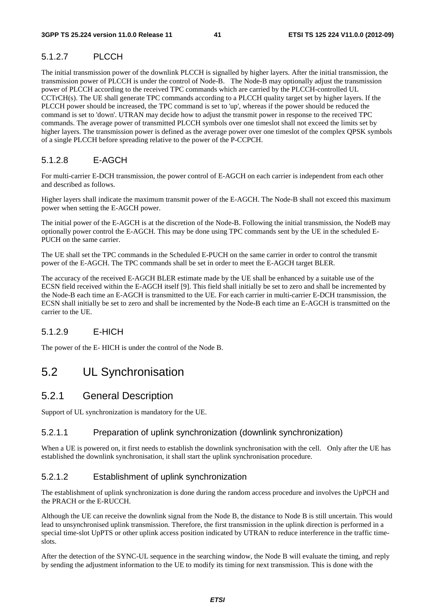# 5.1.2.7 PLCCH

The initial transmission power of the downlink PLCCH is signalled by higher layers. After the initial transmission, the transmission power of PLCCH is under the control of Node-B. The Node-B may optionally adjust the transmission power of PLCCH according to the received TPC commands which are carried by the PLCCH-controlled UL CCTrCH(s). The UE shall generate TPC commands according to a PLCCH quality target set by higher layers. If the PLCCH power should be increased, the TPC command is set to 'up', whereas if the power should be reduced the command is set to 'down'. UTRAN may decide how to adjust the transmit power in response to the received TPC commands. The average power of transmitted PLCCH symbols over one timeslot shall not exceed the limits set by higher layers. The transmission power is defined as the average power over one timeslot of the complex QPSK symbols of a single PLCCH before spreading relative to the power of the P-CCPCH.

### 5.1.2.8 E-AGCH

For multi-carrier E-DCH transmission, the power control of E-AGCH on each carrier is independent from each other and described as follows.

Higher layers shall indicate the maximum transmit power of the E-AGCH. The Node-B shall not exceed this maximum power when setting the E-AGCH power.

The initial power of the E-AGCH is at the discretion of the Node-B. Following the initial transmission, the NodeB may optionally power control the E-AGCH. This may be done using TPC commands sent by the UE in the scheduled E-PUCH on the same carrier.

The UE shall set the TPC commands in the Scheduled E-PUCH on the same carrier in order to control the transmit power of the E-AGCH. The TPC commands shall be set in order to meet the E-AGCH target BLER.

The accuracy of the received E-AGCH BLER estimate made by the UE shall be enhanced by a suitable use of the ECSN field received within the E-AGCH itself [9]. This field shall initially be set to zero and shall be incremented by the Node-B each time an E-AGCH is transmitted to the UE. For each carrier in multi-carrier E-DCH transmission, the ECSN shall initially be set to zero and shall be incremented by the Node-B each time an E-AGCH is transmitted on the carrier to the UE.

### 5.1.2.9 E-HICH

The power of the E- HICH is under the control of the Node B.

# 5.2 UL Synchronisation

## 5.2.1 General Description

Support of UL synchronization is mandatory for the UE.

#### 5.2.1.1 Preparation of uplink synchronization (downlink synchronization)

When a UE is powered on, it first needs to establish the downlink synchronisation with the cell. Only after the UE has established the downlink synchronisation, it shall start the uplink synchronisation procedure.

### 5.2.1.2 Establishment of uplink synchronization

The establishment of uplink synchronization is done during the random access procedure and involves the UpPCH and the PRACH or the E-RUCCH.

Although the UE can receive the downlink signal from the Node B, the distance to Node B is still uncertain. This would lead to unsynchronised uplink transmission. Therefore, the first transmission in the uplink direction is performed in a special time-slot UpPTS or other uplink access position indicated by UTRAN to reduce interference in the traffic timeslots.

After the detection of the SYNC-UL sequence in the searching window, the Node B will evaluate the timing, and reply by sending the adjustment information to the UE to modify its timing for next transmission. This is done with the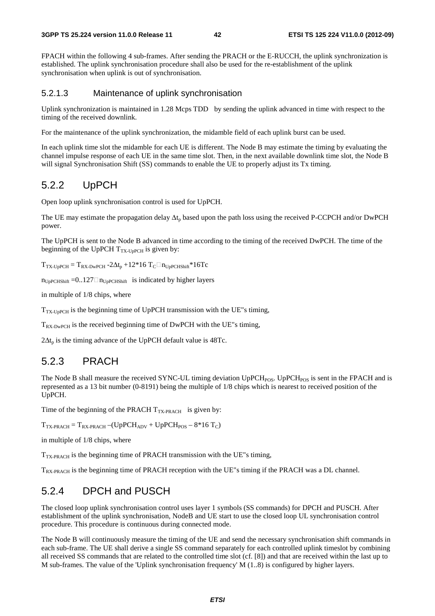FPACH within the following 4 sub-frames. After sending the PRACH or the E-RUCCH, the uplink synchronization is established. The uplink synchronisation procedure shall also be used for the re-establishment of the uplink synchronisation when uplink is out of synchronisation.

#### 5.2.1.3 Maintenance of uplink synchronisation

Uplink synchronization is maintained in 1.28 Mcps TDD by sending the uplink advanced in time with respect to the timing of the received downlink.

For the maintenance of the uplink synchronization, the midamble field of each uplink burst can be used.

In each uplink time slot the midamble for each UE is different. The Node B may estimate the timing by evaluating the channel impulse response of each UE in the same time slot. Then, in the next available downlink time slot, the Node B will signal Synchronisation Shift (SS) commands to enable the UE to properly adjust its Tx timing.

### 5.2.2 UpPCH

Open loop uplink synchronisation control is used for UpPCH.

The UE may estimate the propagation delay  $\Delta t_p$  based upon the path loss using the received P-CCPCH and/or DwPCH power.

The UpPCH is sent to the Node B advanced in time according to the timing of the received DwPCH. The time of the beginning of the UpPCH  $T_{TX\text{-}UpPCH}$  is given by:

 $T_{TX-UpPCH} = T_{RX-DwPCH} - 2\Delta t_p + 12*16 T_C \Box n_{UpPCHShiff}} * 16T_C$ 

 $n_{\text{UpPCHShift}} = 0.127 \square n_{\text{UpPCHShift}}$  is indicated by higher layers

in multiple of 1/8 chips, where

 $T_{TX-1}$ <sub>DPCH</sub> is the beginning time of UpPCH transmission with the UE"s timing,

 $T_{RX-DwPCH}$  is the received beginning time of DwPCH with the UE"s timing,

 $2\Delta t_p$  is the timing advance of the UpPCH default value is 48Tc.

### 5.2.3 PRACH

The Node B shall measure the received SYNC-UL timing deviation UpPCH<sub>POS</sub>. UpPCH<sub>POS</sub> is sent in the FPACH and is represented as a 13 bit number (0-8191) being the multiple of 1/8 chips which is nearest to received position of the UpPCH.

Time of the beginning of the PRACH  $T_{TX\text{-}PRACT}$  is given by:

 $T_{TX\text{-}PRACTH} = T_{RX\text{-}PRACTH} - (UpPCH_{ADV} + UpPCH_{POS} - 8*16 T_C)$ 

in multiple of 1/8 chips, where

 $T_{TX\text{-}PRACT}$  is the beginning time of PRACH transmission with the UE"s timing,

T<sub>RX-PRACH</sub> is the beginning time of PRACH reception with the UE"s timing if the PRACH was a DL channel.

## 5.2.4 DPCH and PUSCH

The closed loop uplink synchronisation control uses layer 1 symbols (SS commands) for DPCH and PUSCH. After establishment of the uplink synchronisation, NodeB and UE start to use the closed loop UL synchronisation control procedure. This procedure is continuous during connected mode.

The Node B will continuously measure the timing of the UE and send the necessary synchronisation shift commands in each sub-frame. The UE shall derive a single SS command separately for each controlled uplink timeslot by combining all received SS commands that are related to the controlled time slot (cf. [8]) and that are received within the last up to M sub-frames. The value of the 'Uplink synchronisation frequency'  $M(1..8)$  is configured by higher layers.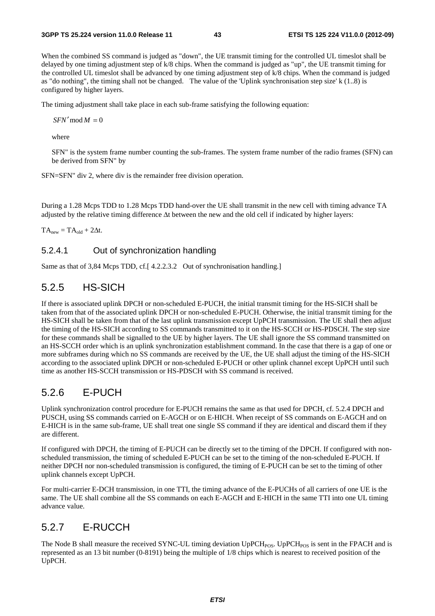When the combined SS command is judged as "down", the UE transmit timing for the controlled UL timeslot shall be delayed by one timing adjustment step of k/8 chips. When the command is judged as "up", the UE transmit timing for the controlled UL timeslot shall be advanced by one timing adjustment step of k/8 chips. When the command is judged as "do nothing", the timing shall not be changed. The value of the 'Uplink synchronisation step size' k (1..8) is configured by higher layers.

The timing adjustment shall take place in each sub-frame satisfying the following equation:

 $SFN' \mod M = 0$ 

where

SFN" is the system frame number counting the sub-frames. The system frame number of the radio frames (SFN) can be derived from SFN" by

SFN=SFN" div 2, where div is the remainder free division operation.

During a 1.28 Mcps TDD to 1.28 Mcps TDD hand-over the UE shall transmit in the new cell with timing advance TA adjusted by the relative timing difference Δt between the new and the old cell if indicated by higher layers:

 $TA_{new} = TA_{old} + 2\Delta t$ .

#### 5.2.4.1 Out of synchronization handling

Same as that of 3,84 Mcps TDD, cf.[ 4.2.2.3.2 Out of synchronisation handling.]

# 5.2.5 HS-SICH

If there is associated uplink DPCH or non-scheduled E-PUCH, the initial transmit timing for the HS-SICH shall be taken from that of the associated uplink DPCH or non-scheduled E-PUCH. Otherwise, the initial transmit timing for the HS-SICH shall be taken from that of the last uplink transmission except UpPCH transmission. The UE shall then adjust the timing of the HS-SICH according to SS commands transmitted to it on the HS-SCCH or HS-PDSCH. The step size for these commands shall be signalled to the UE by higher layers. The UE shall ignore the SS command transmitted on an HS-SCCH order which is an uplink synchronization establishment command. In the case that there is a gap of one or more subframes during which no SS commands are received by the UE, the UE shall adjust the timing of the HS-SICH according to the associated uplink DPCH or non-scheduled E-PUCH or other uplink channel except UpPCH until such time as another HS-SCCH transmission or HS-PDSCH with SS command is received.

### 5.2.6 E-PUCH

Uplink synchronization control procedure for E-PUCH remains the same as that used for DPCH, cf. 5.2.4 DPCH and PUSCH, using SS commands carried on E-AGCH or on E-HICH. When receipt of SS commands on E-AGCH and on E-HICH is in the same sub-frame, UE shall treat one single SS command if they are identical and discard them if they are different.

If configured with DPCH, the timing of E-PUCH can be directly set to the timing of the DPCH. If configured with nonscheduled transmission, the timing of scheduled E-PUCH can be set to the timing of the non-scheduled E-PUCH. If neither DPCH nor non-scheduled transmission is configured, the timing of E-PUCH can be set to the timing of other uplink channels except UpPCH.

For multi-carrier E-DCH transmission, in one TTI, the timing advance of the E-PUCHs of all carriers of one UE is the same. The UE shall combine all the SS commands on each E-AGCH and E-HICH in the same TTI into one UL timing advance value.

### 5.2.7 E-RUCCH

The Node B shall measure the received SYNC-UL timing deviation  $UpPCH_{POS}$ . UpPCH<sub>POS</sub> is sent in the FPACH and is represented as an 13 bit number (0-8191) being the multiple of 1/8 chips which is nearest to received position of the UpPCH.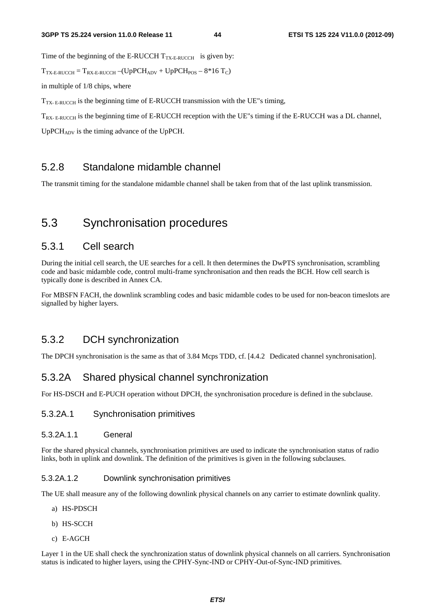Time of the beginning of the E-RUCCH  $T_{TX\text{-}E\text{-}RUCCH}$  is given by:

 $T_{TX-E-RUCCH} = T_{RX-E-RUCCH} - (UpPCH_{ADV} + UpPCH_{POS} - 8*16 T_C)$ 

in multiple of 1/8 chips, where

 $T_{TX- E-RUCCH}$  is the beginning time of E-RUCCH transmission with the UE"s timing,

T<sub>RX- E-RUCCH</sub> is the beginning time of E-RUCCH reception with the UE"s timing if the E-RUCCH was a DL channel,

UpPCH<sub>ADV</sub> is the timing advance of the UpPCH.

# 5.2.8 Standalone midamble channel

The transmit timing for the standalone midamble channel shall be taken from that of the last uplink transmission.

# 5.3 Synchronisation procedures

# 5.3.1 Cell search

During the initial cell search, the UE searches for a cell. It then determines the DwPTS synchronisation, scrambling code and basic midamble code, control multi-frame synchronisation and then reads the BCH. How cell search is typically done is described in Annex CA.

For MBSFN FACH, the downlink scrambling codes and basic midamble codes to be used for non-beacon timeslots are signalled by higher layers.

## 5.3.2 DCH synchronization

The DPCH synchronisation is the same as that of 3.84 Mcps TDD, cf. [4.4.2 Dedicated channel synchronisation].

# 5.3.2A Shared physical channel synchronization

For HS-DSCH and E-PUCH operation without DPCH, the synchronisation procedure is defined in the subclause.

#### 5.3.2A.1 Synchronisation primitives

#### 5.3.2A.1.1 General

For the shared physical channels, synchronisation primitives are used to indicate the synchronisation status of radio links, both in uplink and downlink. The definition of the primitives is given in the following subclauses.

#### 5.3.2A.1.2 Downlink synchronisation primitives

The UE shall measure any of the following downlink physical channels on any carrier to estimate downlink quality.

- a) HS-PDSCH
- b) HS-SCCH
- c) E-AGCH

Layer 1 in the UE shall check the synchronization status of downlink physical channels on all carriers. Synchronisation status is indicated to higher layers, using the CPHY-Sync-IND or CPHY-Out-of-Sync-IND primitives.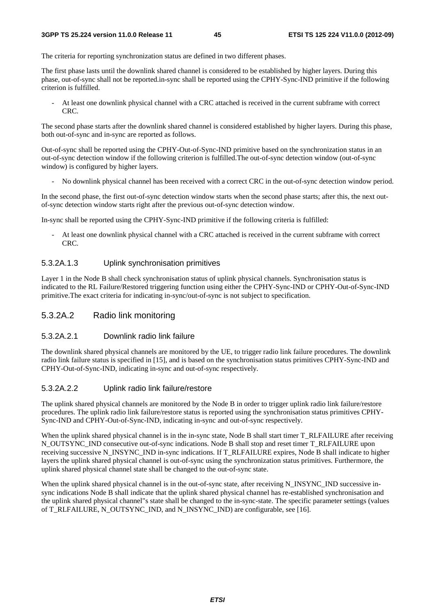The criteria for reporting synchronization status are defined in two different phases.

The first phase lasts until the downlink shared channel is considered to be established by higher layers. During this phase, out-of-sync shall not be reported.in-sync shall be reported using the CPHY-Sync-IND primitive if the following criterion is fulfilled.

- At least one downlink physical channel with a CRC attached is received in the current subframe with correct CRC.

The second phase starts after the downlink shared channel is considered established by higher layers. During this phase, both out-of-sync and in-sync are reported as follows.

Out-of-sync shall be reported using the CPHY-Out-of-Sync-IND primitive based on the synchronization status in an out-of-sync detection window if the following criterion is fulfilled.The out-of-sync detection window (out-of-sync window) is configured by higher layers.

- No downlink physical channel has been received with a correct CRC in the out-of-sync detection window period.

In the second phase, the first out-of-sync detection window starts when the second phase starts; after this, the next outof-sync detection window starts right after the previous out-of-sync detection window.

In-sync shall be reported using the CPHY-Sync-IND primitive if the following criteria is fulfilled:

- At least one downlink physical channel with a CRC attached is received in the current subframe with correct CRC.

#### 5.3.2A.1.3 Uplink synchronisation primitives

Layer 1 in the Node B shall check synchronisation status of uplink physical channels. Synchronisation status is indicated to the RL Failure/Restored triggering function using either the CPHY-Sync-IND or CPHY-Out-of-Sync-IND primitive.The exact criteria for indicating in-sync/out-of-sync is not subject to specification.

#### 5.3.2A.2 Radio link monitoring

#### 5.3.2A.2.1 Downlink radio link failure

The downlink shared physical channels are monitored by the UE, to trigger radio link failure procedures. The downlink radio link failure status is specified in [15], and is based on the synchronisation status primitives CPHY-Sync-IND and CPHY-Out-of-Sync-IND, indicating in-sync and out-of-sync respectively.

#### 5.3.2A.2.2 Uplink radio link failure/restore

The uplink shared physical channels are monitored by the Node B in order to trigger uplink radio link failure/restore procedures. The uplink radio link failure/restore status is reported using the synchronisation status primitives CPHY-Sync-IND and CPHY-Out-of-Sync-IND, indicating in-sync and out-of-sync respectively.

When the uplink shared physical channel is in the in-sync state, Node B shall start timer T\_RLFAILURE after receiving N\_OUTSYNC\_IND consecutive out-of-sync indications. Node B shall stop and reset timer T\_RLFAILURE upon receiving successive N\_INSYNC\_IND in-sync indications. If T\_RLFAILURE expires, Node B shall indicate to higher layers the uplink shared physical channel is out-of-sync using the synchronization status primitives. Furthermore, the uplink shared physical channel state shall be changed to the out-of-sync state.

When the uplink shared physical channel is in the out-of-sync state, after receiving N\_INSYNC\_IND successive insync indications Node B shall indicate that the uplink shared physical channel has re-established synchronisation and the uplink shared physical channel"s state shall be changed to the in-sync-state. The specific parameter settings (values of T\_RLFAILURE, N\_OUTSYNC\_IND, and N\_INSYNC\_IND) are configurable, see [16].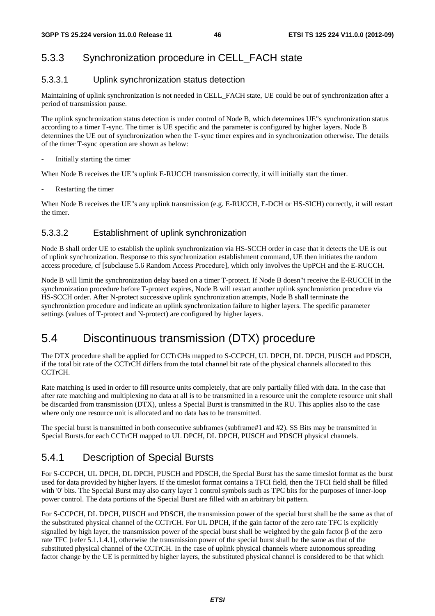# 5.3.3 Synchronization procedure in CELL\_FACH state

### 5.3.3.1 Uplink synchronization status detection

Maintaining of uplink synchronization is not needed in CELL\_FACH state, UE could be out of synchronization after a period of transmission pause.

The uplink synchronization status detection is under control of Node B, which determines UE"s synchronization status according to a timer T-sync. The timer is UE specific and the parameter is configured by higher layers. Node B determines the UE out of synchronization when the T-sync timer expires and in synchronization otherwise. The details of the timer T-sync operation are shown as below:

- Initially starting the timer

When Node B receives the UE"s uplink E-RUCCH transmission correctly, it will initially start the timer.

Restarting the timer

When Node B receives the UE"s any uplink transmission (e.g. E-RUCCH, E-DCH or HS-SICH) correctly, it will restart the timer.

### 5.3.3.2 Establishment of uplink synchronization

Node B shall order UE to establish the uplink synchronization via HS-SCCH order in case that it detects the UE is out of uplink synchronization. Response to this synchronization establishment command, UE then initiates the random access procedure, cf [subclause 5.6 Random Access Procedure], which only involves the UpPCH and the E-RUCCH.

Node B will limit the synchronization delay based on a timer T-protect. If Node B doesn"t receive the E-RUCCH in the synchronization procedure before T-protect expires, Node B will restart another uplink synchroniztion procedure via HS-SCCH order. After N-protect successive uplink synchronization attempts, Node B shall terminate the synchroniztion procedure and indicate an uplink synchronization failure to higher layers. The specific parameter settings (values of T-protect and N-protect) are configured by higher layers.

# 5.4 Discontinuous transmission (DTX) procedure

The DTX procedure shall be applied for CCTrCHs mapped to S-CCPCH, UL DPCH, DL DPCH, PUSCH and PDSCH, if the total bit rate of the CCTrCH differs from the total channel bit rate of the physical channels allocated to this CCTrCH.

Rate matching is used in order to fill resource units completely, that are only partially filled with data. In the case that after rate matching and multiplexing no data at all is to be transmitted in a resource unit the complete resource unit shall be discarded from transmission (DTX), unless a Special Burst is transmitted in the RU. This applies also to the case where only one resource unit is allocated and no data has to be transmitted.

The special burst is transmitted in both consecutive subframes (subframe#1 and #2). SS Bits may be transmitted in Special Bursts.for each CCTrCH mapped to UL DPCH, DL DPCH, PUSCH and PDSCH physical channels.

# 5.4.1 Description of Special Bursts

For S-CCPCH, UL DPCH, DL DPCH, PUSCH and PDSCH, the Special Burst has the same timeslot format as the burst used for data provided by higher layers. If the timeslot format contains a TFCI field, then the TFCI field shall be filled with '0' bits. The Special Burst may also carry layer 1 control symbols such as TPC bits for the purposes of inner-loop power control. The data portions of the Special Burst are filled with an arbitrary bit pattern.

For S-CCPCH, DL DPCH, PUSCH and PDSCH, the transmission power of the special burst shall be the same as that of the substituted physical channel of the CCTrCH. For UL DPCH, if the gain factor of the zero rate TFC is explicitly signalled by high layer, the transmission power of the special burst shall be weighted by the gain factor  $\beta$  of the zero rate TFC [refer 5.1.1.4.1], otherwise the transmission power of the special burst shall be the same as that of the substituted physical channel of the CCTrCH. In the case of uplink physical channels where autonomous spreading factor change by the UE is permitted by higher layers, the substituted physical channel is considered to be that which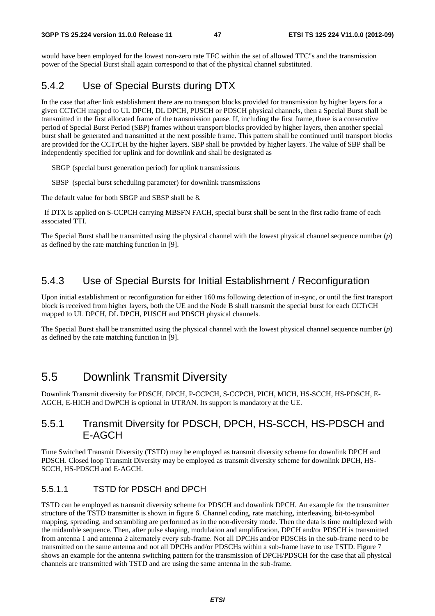would have been employed for the lowest non-zero rate TFC within the set of allowed TFC"s and the transmission power of the Special Burst shall again correspond to that of the physical channel substituted.

# 5.4.2 Use of Special Bursts during DTX

In the case that after link establishment there are no transport blocks provided for transmission by higher layers for a given CCTrCH mapped to UL DPCH, DL DPCH, PUSCH or PDSCH physical channels, then a Special Burst shall be transmitted in the first allocated frame of the transmission pause. If, including the first frame, there is a consecutive period of Special Burst Period (SBP) frames without transport blocks provided by higher layers, then another special burst shall be generated and transmitted at the next possible frame. This pattern shall be continued until transport blocks are provided for the CCTrCH by the higher layers. SBP shall be provided by higher layers. The value of SBP shall be independently specified for uplink and for downlink and shall be designated as

SBGP (special burst generation period) for uplink transmissions

SBSP (special burst scheduling parameter) for downlink transmissions

The default value for both SBGP and SBSP shall be 8.

 If DTX is applied on S-CCPCH carrying MBSFN FACH, special burst shall be sent in the first radio frame of each associated TTI.

The Special Burst shall be transmitted using the physical channel with the lowest physical channel sequence number (*p*) as defined by the rate matching function in [9].

### 5.4.3 Use of Special Bursts for Initial Establishment / Reconfiguration

Upon initial establishment or reconfiguration for either 160 ms following detection of in-sync, or until the first transport block is received from higher layers, both the UE and the Node B shall transmit the special burst for each CCTrCH mapped to UL DPCH, DL DPCH, PUSCH and PDSCH physical channels.

The Special Burst shall be transmitted using the physical channel with the lowest physical channel sequence number (*p*) as defined by the rate matching function in [9].

# 5.5 Downlink Transmit Diversity

Downlink Transmit diversity for PDSCH, DPCH, P-CCPCH, S-CCPCH, PICH, MICH, HS-SCCH, HS-PDSCH, E-AGCH, E-HICH and DwPCH is optional in UTRAN. Its support is mandatory at the UE.

### 5.5.1 Transmit Diversity for PDSCH, DPCH, HS-SCCH, HS-PDSCH and E-AGCH

Time Switched Transmit Diversity (TSTD) may be employed as transmit diversity scheme for downlink DPCH and PDSCH. Closed loop Transmit Diversity may be employed as transmit diversity scheme for downlink DPCH, HS-SCCH, HS-PDSCH and E-AGCH.

#### 5.5.1.1 TSTD for PDSCH and DPCH

TSTD can be employed as transmit diversity scheme for PDSCH and downlink DPCH. An example for the transmitter structure of the TSTD transmitter is shown in figure 6. Channel coding, rate matching, interleaving, bit-to-symbol mapping, spreading, and scrambling are performed as in the non-diversity mode. Then the data is time multiplexed with the midamble sequence. Then, after pulse shaping, modulation and amplification, DPCH and/or PDSCH is transmitted from antenna 1 and antenna 2 alternately every sub-frame. Not all DPCHs and/or PDSCHs in the sub-frame need to be transmitted on the same antenna and not all DPCHs and/or PDSCHs within a sub-frame have to use TSTD. Figure 7 shows an example for the antenna switching pattern for the transmission of DPCH/PDSCH for the case that all physical channels are transmitted with TSTD and are using the same antenna in the sub-frame.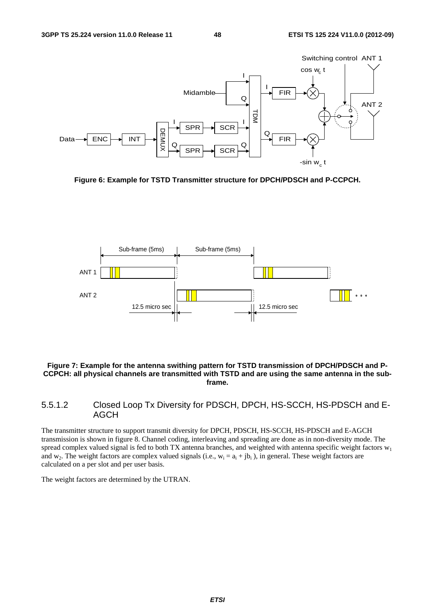

**Figure 6: Example for TSTD Transmitter structure for DPCH/PDSCH and P-CCPCH.** 



#### **Figure 7: Example for the antenna swithing pattern for TSTD transmission of DPCH/PDSCH and P-CCPCH: all physical channels are transmitted with TSTD and are using the same antenna in the subframe.**

### 5.5.1.2 Closed Loop Tx Diversity for PDSCH, DPCH, HS-SCCH, HS-PDSCH and E-AGCH

The transmitter structure to support transmit diversity for DPCH, PDSCH, HS-SCCH, HS-PDSCH and E-AGCH transmission is shown in figure 8. Channel coding, interleaving and spreading are done as in non-diversity mode. The spread complex valued signal is fed to both TX antenna branches, and weighted with antenna specific weight factors  $w_1$ and w<sub>2</sub>. The weight factors are complex valued signals (i.e.,  $w_i = a_i + jb_i$ ), in general. These weight factors are calculated on a per slot and per user basis.

The weight factors are determined by the UTRAN.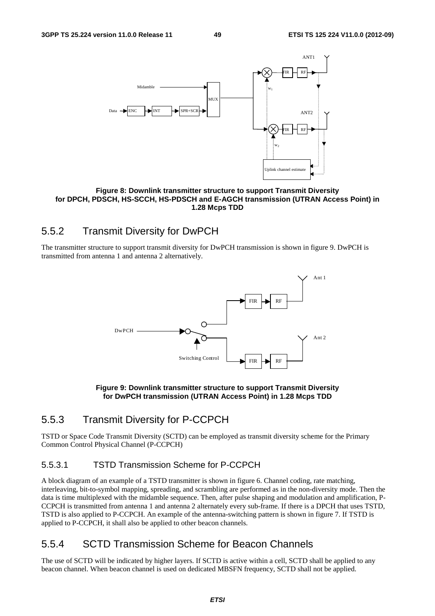

**Figure 8: Downlink transmitter structure to support Transmit Diversity for DPCH, PDSCH, HS-SCCH, HS-PDSCH and E-AGCH transmission (UTRAN Access Point) in 1.28 Mcps TDD** 

# 5.5.2 Transmit Diversity for DwPCH

The transmitter structure to support transmit diversity for DwPCH transmission is shown in figure 9. DwPCH is transmitted from antenna 1 and antenna 2 alternatively.



**Figure 9: Downlink transmitter structure to support Transmit Diversity for DwPCH transmission (UTRAN Access Point) in 1.28 Mcps TDD** 

# 5.5.3 Transmit Diversity for P-CCPCH

TSTD or Space Code Transmit Diversity (SCTD) can be employed as transmit diversity scheme for the Primary Common Control Physical Channel (P-CCPCH)

### 5.5.3.1 TSTD Transmission Scheme for P-CCPCH

A block diagram of an example of a TSTD transmitter is shown in figure 6. Channel coding, rate matching, interleaving, bit-to-symbol mapping, spreading, and scrambling are performed as in the non-diversity mode. Then the data is time multiplexed with the midamble sequence. Then, after pulse shaping and modulation and amplification, P-CCPCH is transmitted from antenna 1 and antenna 2 alternately every sub-frame. If there is a DPCH that uses TSTD, TSTD is also applied to P-CCPCH. An example of the antenna-switching pattern is shown in figure 7. If TSTD is applied to P-CCPCH, it shall also be applied to other beacon channels.

# 5.5.4 SCTD Transmission Scheme for Beacon Channels

The use of SCTD will be indicated by higher layers. If SCTD is active within a cell, SCTD shall be applied to any beacon channel. When beacon channel is used on dedicated MBSFN frequency, SCTD shall not be applied.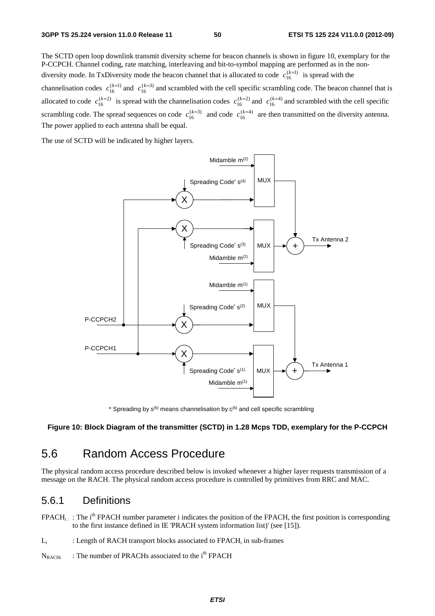The SCTD open loop downlink transmit diversity scheme for beacon channels is shown in figure 10, exemplary for the P-CCPCH. Channel coding, rate matching, interleaving and bit-to-symbol mapping are performed as in the nondiversity mode. In TxDiversity mode the beacon channel that is allocated to code  $c_{16}^{(k=1)}$  is spread with the channelisation codes  $c_{16}^{(k=1)}$  and  $c_{16}^{(k=3)}$  and scrambled with the cell specific scrambling code. The beacon channel that is allocated to code  $c_{16}^{(k=2)}$  is spread with the channelisation codes  $c_{16}^{(k=2)}$  and  $c_{16}^{(k=4)}$  and scrambled with the cell specific scrambling code. The spread sequences on code  $c_{16}^{(k=3)}$  and code  $c_{16}^{(k=4)}$  are then transmitted on the diversity antenna. The power applied to each antenna shall be equal.

The use of SCTD will be indicated by higher layers.



\* Spreading by  $s^{(k)}$  means channelisation by  $c^{(k)}$  and cell specific scrambling

#### **Figure 10: Block Diagram of the transmitter (SCTD) in 1.28 Mcps TDD, exemplary for the P-CCPCH**

# 5.6 Random Access Procedure

The physical random access procedure described below is invoked whenever a higher layer requests transmission of a message on the RACH. The physical random access procedure is controlled by primitives from RRC and MAC.

### 5.6.1 Definitions

- $FPACH_i$ : The i<sup>th</sup> FPACH number parameter i indicates the position of the FPACH, the first position is corresponding to the first instance defined in IE 'PRACH system information list)' (see [15]).
- $L_i$  : Length of RACH transport blocks associated to FPACH; in sub-frames
- $N_{RACHi}$  : The number of PRACHs associated to the i<sup>th</sup> FPACH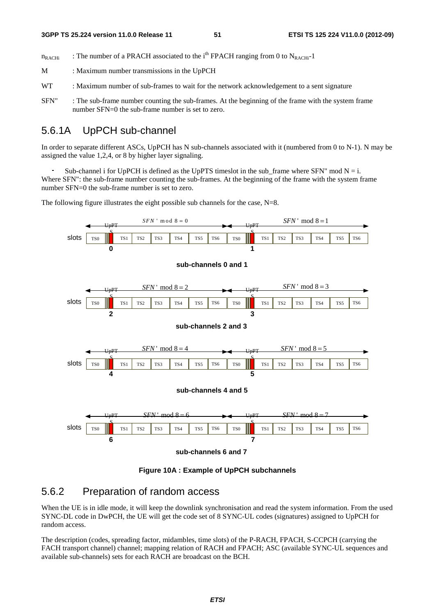$n_{RACHi}$  : The number of a PRACH associated to the i<sup>th</sup> FPACH ranging from 0 to N<sub>RACHi</sub>-1

M : Maximum number transmissions in the UpPCH

- WT : Maximum number of sub-frames to wait for the network acknowledgement to a sent signature
- SFN" : The sub-frame number counting the sub-frames. At the beginning of the frame with the system frame number SFN=0 the sub-frame number is set to zero.

### 5.6.1A UpPCH sub-channel

In order to separate different ASCs, UpPCH has N sub-channels associated with it (numbered from 0 to N-1). N may be assigned the value 1,2,4, or 8 by higher layer signaling.

Sub-channel i for UpPCH is defined as the UpPTS timeslot in the sub\_frame where SFN" mod N = i.<br>ere SFN": the sub-frame number counting the sub-frames. At the beginning of the frame with the system f<br>nber SFN=0 the sub-fr Where SFN": the sub-frame number counting the sub-frames. At the beginning of the frame with the system frame number SFN=0 the sub-frame number is set to zero.

The following figure illustrates the eight possible sub channels for the case, N=8.



**Figure 10A : Example of UpPCH subchannels** 

### 5.6.2 Preparation of random access

When the UE is in idle mode, it will keep the downlink synchronisation and read the system information. From the used SYNC-DL code in DwPCH, the UE will get the code set of 8 SYNC-UL codes (signatures) assigned to UpPCH for random access.

The description (codes, spreading factor, midambles, time slots) of the P-RACH, FPACH, S-CCPCH (carrying the FACH transport channel) channel; mapping relation of RACH and FPACH; ASC (available SYNC-UL sequences and available sub-channels) sets for each RACH are broadcast on the BCH.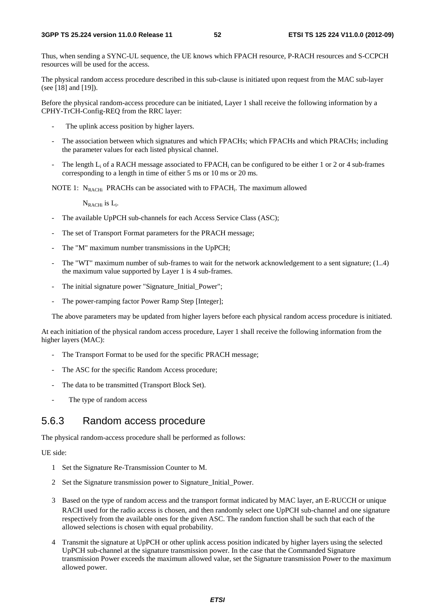Thus, when sending a SYNC-UL sequence, the UE knows which FPACH resource, P-RACH resources and S-CCPCH resources will be used for the access.

The physical random access procedure described in this sub-clause is initiated upon request from the MAC sub-layer (see [18] and [19]).

Before the physical random-access procedure can be initiated, Layer 1 shall receive the following information by a CPHY-TrCH-Config-REQ from the RRC layer:

- The uplink access position by higher layers.
- The association between which signatures and which FPACHs; which FPACHs and which PRACHs; including the parameter values for each listed physical channel.
- The length  $L_i$  of a RACH message associated to FPACH<sub>i</sub> can be configured to be either 1 or 2 or 4 sub-frames corresponding to a length in time of either 5 ms or 10 ms or 20 ms.

NOTE 1:  $N_{RACHi}$  PRACHs can be associated with to FPACH<sub>i</sub>. The maximum allowed

 $N_{RACHi}$  is  $L_i$ .

- The available UpPCH sub-channels for each Access Service Class (ASC);
- The set of Transport Format parameters for the PRACH message;
- The "M" maximum number transmissions in the UpPCH;
- The "WT" maximum number of sub-frames to wait for the network acknowledgement to a sent signature; (1..4) the maximum value supported by Layer 1 is 4 sub-frames.
- The initial signature power "Signature\_Initial\_Power";
- The power-ramping factor Power Ramp Step [Integer];

The above parameters may be updated from higher layers before each physical random access procedure is initiated.

At each initiation of the physical random access procedure, Layer 1 shall receive the following information from the higher layers (MAC):

- The Transport Format to be used for the specific PRACH message;
- The ASC for the specific Random Access procedure;
- The data to be transmitted (Transport Block Set).
- The type of random access

### 5.6.3 Random access procedure

The physical random-access procedure shall be performed as follows:

#### UE side:

- 1 Set the Signature Re-Transmission Counter to M.
- 2 Set the Signature transmission power to Signature\_Initial\_Power.
- 3 Based on the type of random access and the transport format indicated by MAC layer, an E-RUCCH or unique RACH used for the radio access is chosen, and then randomly select one UpPCH sub-channel and one signature respectively from the available ones for the given ASC. The random function shall be such that each of the allowed selections is chosen with equal probability.
- 4 Transmit the signature at UpPCH or other uplink access position indicated by higher layers using the selected UpPCH sub-channel at the signature transmission power. In the case that the Commanded Signature transmission Power exceeds the maximum allowed value, set the Signature transmission Power to the maximum allowed power.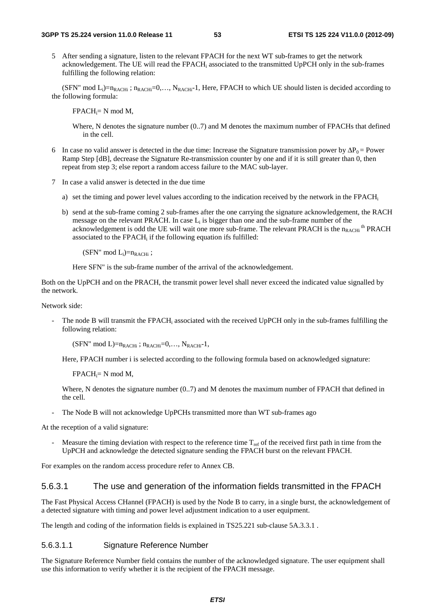5 After sending a signature, listen to the relevant FPACH for the next WT sub-frames to get the network acknowledgement. The UE will read the FPACHi associated to the transmitted UpPCH only in the sub-frames fulfilling the following relation:

(SFN" mod  $L_i$ )= $n_{RACHi}$ ;  $n_{RACHi}$ =0,...,  $N_{RACHi}$ -1, Here, FPACH to which UE should listen is decided according to the following formula:

 $FPACH_i = N mod M$ .

Where, N denotes the signature number (0..7) and M denotes the maximum number of FPACHs that defined in the cell.

- 6 In case no valid answer is detected in the due time: Increase the Signature transmission power by  $\Delta P_0 =$  Power Ramp Step [dB], decrease the Signature Re-transmission counter by one and if it is still greater than 0, then repeat from step 3; else report a random access failure to the MAC sub-layer.
- 7 In case a valid answer is detected in the due time
	- a) set the timing and power level values according to the indication received by the network in the FPACH<sub>i</sub>
	- b) send at the sub-frame coming 2 sub-frames after the one carrying the signature acknowledgement, the RACH message on the relevant PRACH. In case  $L_i$  is bigger than one and the sub-frame number of the acknowledgement is odd the UE will wait one more sub-frame. The relevant PRACH is the  $n_{RACHi}$ <sup>th</sup> PRACH associated to the FPACH<sub>i</sub> if the following equation ifs fulfilled:

 $(SFN" \mod L_i)=n_{RACHi}$ ;

Here SFN" is the sub-frame number of the arrival of the acknowledgement.

Both on the UpPCH and on the PRACH, the transmit power level shall never exceed the indicated value signalled by the network.

Network side:

The node B will transmit the FPACH<sub>i</sub> associated with the received UpPCH only in the sub-frames fulfilling the following relation:

 $(SFN'' \mod L)=n_{RACHi}$ ;  $n_{RACHi}=0,..., N_{RACHi}-1$ ,

Here, FPACH number i is selected according to the following formula based on acknowledged signature:

 $FPACH_i = N mod M$ ,

Where, N denotes the signature number (0..7) and M denotes the maximum number of FPACH that defined in the cell.

- The Node B will not acknowledge UpPCHs transmitted more than WT sub-frames ago

At the reception of a valid signature:

Measure the timing deviation with respect to the reference time  $T_{ref}$  of the received first path in time from the UpPCH and acknowledge the detected signature sending the FPACH burst on the relevant FPACH.

For examples on the random access procedure refer to Annex CB.

#### 5.6.3.1 The use and generation of the information fields transmitted in the FPACH

The Fast Physical Access CHannel (FPACH) is used by the Node B to carry, in a single burst, the acknowledgement of a detected signature with timing and power level adjustment indication to a user equipment.

The length and coding of the information fields is explained in TS25.221 sub-clause 5A.3.3.1.

#### 5.6.3.1.1 Signature Reference Number

The Signature Reference Number field contains the number of the acknowledged signature. The user equipment shall use this information to verify whether it is the recipient of the FPACH message.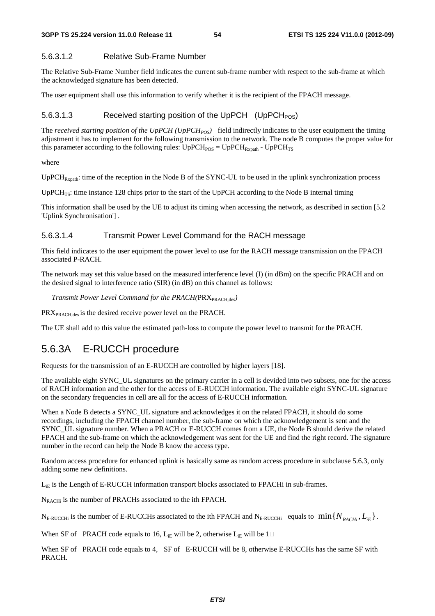#### 5.6.3.1.2 Relative Sub-Frame Number

The Relative Sub-Frame Number field indicates the current sub-frame number with respect to the sub-frame at which the acknowledged signature has been detected.

The user equipment shall use this information to verify whether it is the recipient of the FPACH message.

#### 5.6.3.1.3 Received starting position of the UpPCH  $(UpPCH<sub>POS</sub>)$

The *received starting position of the UpPCH (UpPCH<sub>POS</sub>)* field indirectly indicates to the user equipment the timing adjustment it has to implement for the following transmission to the network. The node B computes the proper value for this parameter according to the following rules:  $UpPCH_{POSS} = UpPCH_{Rxpath}$  -  $UpPCH_{TS}$ 

where

 $UPPCH_{Rxpath}:$  time of the reception in the Node B of the SYNC-UL to be used in the uplink synchronization process

UpPCH<sub>TS</sub>: time instance 128 chips prior to the start of the UpPCH according to the Node B internal timing

This information shall be used by the UE to adjust its timing when accessing the network, as described in section [5.2 'Uplink Synchronisation'] .

#### 5.6.3.1.4 Transmit Power Level Command for the RACH message

This field indicates to the user equipment the power level to use for the RACH message transmission on the FPACH associated P-RACH.

The network may set this value based on the measured interference level (I) (in dBm) on the specific PRACH and on the desired signal to interference ratio (SIR) (in dB) on this channel as follows:

*Transmit Power Level Command for the PRACH(PRX<sub>PRACH,des</sub>)* 

PRX<sub>PRACH,des</sub> is the desired receive power level on the PRACH.

The UE shall add to this value the estimated path-loss to compute the power level to transmit for the PRACH.

# 5.6.3A E-RUCCH procedure

Requests for the transmission of an E-RUCCH are controlled by higher layers [18].

The available eight SYNC\_UL signatures on the primary carrier in a cell is devided into two subsets, one for the access of RACH information and the other for the access of E-RUCCH information. The available eight SYNC-UL signature on the secondary frequencies in cell are all for the access of E-RUCCH information.

When a Node B detects a SYNC\_UL signature and acknowledges it on the related FPACH, it should do some recordings, including the FPACH channel number, the sub-frame on which the acknowledgement is sent and the SYNC\_UL signature number. When a PRACH or E-RUCCH comes from a UE, the Node B should derive the related FPACH and the sub-frame on which the acknowledgement was sent for the UE and find the right record. The signature number in the record can help the Node B know the access type.

Random access procedure for enhanced uplink is basically same as random access procedure in subclause 5.6.3, only adding some new definitions.

 $L_{iE}$  is the Length of E-RUCCH information transport blocks associated to FPACHi in sub-frames.

N<sub>RACHi</sub> is the number of PRACHs associated to the ith FPACH.

 $N_{\text{E-RUCCHi}}$  is the number of E-RUCCHs associated to the ith FPACH and  $N_{\text{E-RUCCHi}}$  equals to  $\min\{N_{\text{PACHi}}, L_{\text{IF}}\}$ .

When SF of PRACH code equals to 16, L<sub>iE</sub> will be 2, otherwise L<sub>iE</sub> will be 1

When SF of PRACH code equals to 4, SF of E-RUCCH will be 8, otherwise E-RUCCHs has the same SF with PRACH.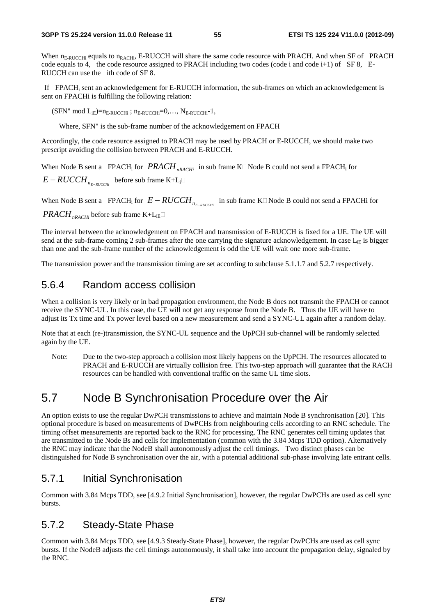When n<sub>E-RUCCHi</sub> equals to n<sub>RACHi</sub>, E-RUCCH will share the same code resource with PRACH. And when SF of PRACH code equals to 4, the code resource assigned to PRACH including two codes (code i and code i+1) of SF 8, E-RUCCH can use the ith code of SF 8.

 If FPACHi sent an acknowledgement for E-RUCCH information, the sub-frames on which an acknowledgement is sent on FPACHi is fulfilling the following relation:

 $(SFN" \mod L_{iE})=n_{E-RUCCHi}$ ;  $n_{E-RUCCHi}=0,..., N_{E-RUCCHi}-1$ ,

Where, SFN" is the sub-frame number of the acknowledgement on FPACH

Accordingly, the code resource assigned to PRACH may be used by PRACH or E-RUCCH, we should make two prescript avoiding the collision between PRACH and E-RUCCH.

When Node B sent a FPACH<sub>i</sub> for *PRACH*<sub>nRACHi</sub> in sub frame K $\Box$ Node B could not send a FPACH<sub>i</sub> for  $E - RUCCH$ <sub>*RE-RUCCHi* before sub frame K+L<sub>i</sub> $\square$ </sub>

When Node B sent a FPACH<sub>i</sub> for  $E - RUCCH$ <sub>*n<sub>E-BUCCH</sub>* in sub frame K $\Box$ Node B could not send a FPACHi for</sub>

*PRACH*<sub>*rRACHi*</sub> before sub frame K+L<sub>iE</sub> $\Box$ 

The interval between the acknowledgement on FPACH and transmission of E-RUCCH is fixed for a UE. The UE will send at the sub-frame coming 2 sub-frames after the one carrying the signature acknowledgement. In case  $L_{iE}$  is bigger than one and the sub-frame number of the acknowledgement is odd the UE will wait one more sub-frame.

The transmission power and the transmission timing are set according to subclause 5.1.1.7 and 5.2.7 respectively.

## 5.6.4 Random access collision

When a collision is very likely or in bad propagation environment, the Node B does not transmit the FPACH or cannot receive the SYNC-UL. In this case, the UE will not get any response from the Node B. Thus the UE will have to adjust its Tx time and Tx power level based on a new measurement and send a SYNC-UL again after a random delay.

Note that at each (re-)transmission, the SYNC-UL sequence and the UpPCH sub-channel will be randomly selected again by the UE.

Note: Due to the two-step approach a collision most likely happens on the UpPCH. The resources allocated to PRACH and E-RUCCH are virtually collision free. This two-step approach will guarantee that the RACH resources can be handled with conventional traffic on the same UL time slots.

# 5.7 Node B Synchronisation Procedure over the Air

An option exists to use the regular DwPCH transmissions to achieve and maintain Node B synchronisation [20]. This optional procedure is based on measurements of DwPCHs from neighbouring cells according to an RNC schedule. The timing offset measurements are reported back to the RNC for processing. The RNC generates cell timing updates that are transmitted to the Node Bs and cells for implementation (common with the 3.84 Mcps TDD option). Alternatively the RNC may indicate that the NodeB shall autonomously adjust the cell timings. Two distinct phases can be distinguished for Node B synchronisation over the air, with a potential additional sub-phase involving late entrant cells.

## 5.7.1 Initial Synchronisation

Common with 3.84 Mcps TDD, see [4.9.2 Initial Synchronisation], however, the regular DwPCHs are used as cell sync bursts.

### 5.7.2 Steady-State Phase

Common with 3.84 Mcps TDD, see [4.9.3 Steady-State Phase], however, the regular DwPCHs are used as cell sync bursts. If the NodeB adjusts the cell timings autonomously, it shall take into account the propagation delay, signaled by the RNC.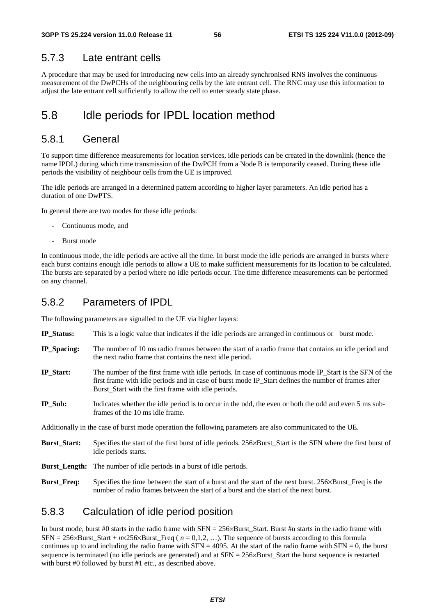### 5.7.3 Late entrant cells

A procedure that may be used for introducing new cells into an already synchronised RNS involves the continuous measurement of the DwPCHs of the neighbouring cells by the late entrant cell. The RNC may use this information to adjust the late entrant cell sufficiently to allow the cell to enter steady state phase.

# 5.8 Idle periods for IPDL location method

### 5.8.1 General

To support time difference measurements for location services, idle periods can be created in the downlink (hence the name IPDL) during which time transmission of the DwPCH from a Node B is temporarily ceased. During these idle periods the visibility of neighbour cells from the UE is improved.

The idle periods are arranged in a determined pattern according to higher layer parameters. An idle period has a duration of one DwPTS.

In general there are two modes for these idle periods:

- Continuous mode, and
- Burst mode

In continuous mode, the idle periods are active all the time. In burst mode the idle periods are arranged in bursts where each burst contains enough idle periods to allow a UE to make sufficient measurements for its location to be calculated. The bursts are separated by a period where no idle periods occur. The time difference measurements can be performed on any channel.

### 5.8.2 Parameters of IPDL

The following parameters are signalled to the UE via higher layers:

- **IP\_Status:** This is a logic value that indicates if the idle periods are arranged in continuous or burst mode.
- **IP\_Spacing:** The number of 10 ms radio frames between the start of a radio frame that contains an idle period and the next radio frame that contains the next idle period.
- **IP\_Start:** The number of the first frame with idle periods. In case of continuous mode IP\_Start is the SFN of the first frame with idle periods and in case of burst mode IP\_Start defines the number of frames after Burst\_Start with the first frame with idle periods.
- **IP\_Sub:** Indicates whether the idle period is to occur in the odd, the even or both the odd and even 5 ms subframes of the 10 ms idle frame.

Additionally in the case of burst mode operation the following parameters are also communicated to the UE.

- **Burst\_Start:** Specifies the start of the first burst of idle periods. 256×Burst\_Start is the SFN where the first burst of idle periods starts.
- **Burst\_Length:** The number of idle periods in a burst of idle periods.
- **Burst\_Freq:** Specifies the time between the start of a burst and the start of the next burst. 256×Burst\_Freq is the number of radio frames between the start of a burst and the start of the next burst.

### 5.8.3 Calculation of idle period position

In burst mode, burst #0 starts in the radio frame with  $SFN = 256 \times Burst$  Start. Burst #n starts in the radio frame with SFN =  $256 \times$ Burst\_Start +  $n \times 256 \times$ Burst\_Freq ( $n = 0,1,2,...$ ). The sequence of bursts according to this formula continues up to and including the radio frame with  $SFN = 4095$ . At the start of the radio frame with  $SFN = 0$ , the burst sequence is terminated (no idle periods are generated) and at SFN = 256×Burst\_Start the burst sequence is restarted with burst #0 followed by burst #1 etc., as described above.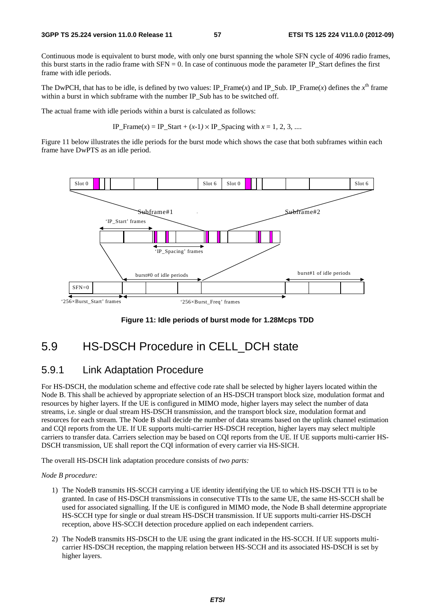Continuous mode is equivalent to burst mode, with only one burst spanning the whole SFN cycle of 4096 radio frames, this burst starts in the radio frame with  $SFN = 0$ . In case of continuous mode the parameter IP\_Start defines the first frame with idle periods.

The DwPCH, that has to be idle, is defined by two values: IP\_Frame(*x*) and IP\_Sub. IP\_Frame(*x*) defines the  $x^{\text{th}}$  frame within a burst in which subframe with the number IP Sub has to be switched off.

The actual frame with idle periods within a burst is calculated as follows:

IP\_Frame(*x*) = IP\_Start + (*x*-1) × IP\_Spacing with  $x = 1, 2, 3, ...$ 

Figure 11 below illustrates the idle periods for the burst mode which shows the case that both subframes within each frame have DwPTS as an idle period.



**Figure 11: Idle periods of burst mode for 1.28Mcps TDD** 

# 5.9 HS-DSCH Procedure in CELL\_DCH state

### 5.9.1 Link Adaptation Procedure

For HS-DSCH, the modulation scheme and effective code rate shall be selected by higher layers located within the Node B. This shall be achieved by appropriate selection of an HS-DSCH transport block size, modulation format and resources by higher layers. If the UE is configured in MIMO mode, higher layers may select the number of data streams, i.e. single or dual stream HS-DSCH transmission, and the transport block size, modulation format and resources for each stream. The Node B shall decide the number of data streams based on the uplink channel estimation and CQI reports from the UE. If UE supports multi-carrier HS-DSCH reception, higher layers may select multiple carriers to transfer data. Carriers selection may be based on CQI reports from the UE. If UE supports multi-carrier HS-DSCH transmission, UE shall report the CQI information of every carrier via HS-SICH.

The overall HS-DSCH link adaptation procedure consists of *two parts:* 

#### *Node B procedure:*

- 1) The NodeB transmits HS-SCCH carrying a UE identity identifying the UE to which HS-DSCH TTI is to be granted. In case of HS-DSCH transmissions in consecutive TTIs to the same UE, the same HS-SCCH shall be used for associated signalling. If the UE is configured in MIMO mode, the Node B shall determine appropriate HS-SCCH type for single or dual stream HS-DSCH transmission. If UE supports multi-carrier HS-DSCH reception, above HS-SCCH detection procedure applied on each independent carriers.
- 2) The NodeB transmits HS-DSCH to the UE using the grant indicated in the HS-SCCH. If UE supports multicarrier HS-DSCH reception, the mapping relation between HS-SCCH and its associated HS-DSCH is set by higher layers.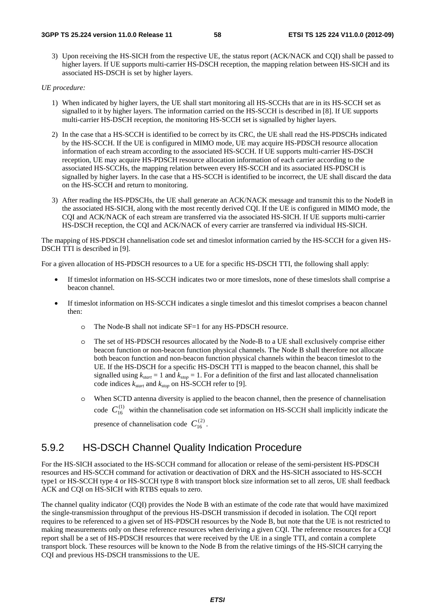3) Upon receiving the HS-SICH from the respective UE, the status report (ACK/NACK and CQI) shall be passed to higher layers. If UE supports multi-carrier HS-DSCH reception, the mapping relation between HS-SICH and its associated HS-DSCH is set by higher layers.

#### *UE procedure:*

- 1) When indicated by higher layers, the UE shall start monitoring all HS-SCCHs that are in its HS-SCCH set as signalled to it by higher layers. The information carried on the HS-SCCH is described in [8]. If UE supports multi-carrier HS-DSCH reception, the monitoring HS-SCCH set is signalled by higher layers.
- 2) In the case that a HS-SCCH is identified to be correct by its CRC, the UE shall read the HS-PDSCHs indicated by the HS-SCCH. If the UE is configured in MIMO mode, UE may acquire HS-PDSCH resource allocation information of each stream according to the associated HS-SCCH. If UE supports multi-carrier HS-DSCH reception, UE may acquire HS-PDSCH resource allocation information of each carrier according to the associated HS-SCCHs, the mapping relation between every HS-SCCH and its associated HS-PDSCH is signalled by higher layers. In the case that a HS-SCCH is identified to be incorrect, the UE shall discard the data on the HS-SCCH and return to monitoring.
- 3) After reading the HS-PDSCHs, the UE shall generate an ACK/NACK message and transmit this to the NodeB in the associated HS-SICH, along with the most recently derived CQI. If the UE is configured in MIMO mode, the CQI and ACK/NACK of each stream are transferred via the associated HS-SICH. If UE supports multi-carrier HS-DSCH reception, the CQI and ACK/NACK of every carrier are transferred via individual HS-SICH.

The mapping of HS-PDSCH channelisation code set and timeslot information carried by the HS-SCCH for a given HS-DSCH TTI is described in [9].

For a given allocation of HS-PDSCH resources to a UE for a specific HS-DSCH TTI, the following shall apply:

- If timeslot information on HS-SCCH indicates two or more timeslots, none of these timeslots shall comprise a beacon channel.
- If timeslot information on HS-SCCH indicates a single timeslot and this timeslot comprises a beacon channel then:
	- o The Node-B shall not indicate SF=1 for any HS-PDSCH resource.
	- o The set of HS-PDSCH resources allocated by the Node-B to a UE shall exclusively comprise either beacon function or non-beacon function physical channels. The Node B shall therefore not allocate both beacon function and non-beacon function physical channels within the beacon timeslot to the UE. If the HS-DSCH for a specific HS-DSCH TTI is mapped to the beacon channel, this shall be signalled using  $k_{start} = 1$  and  $k_{stop} = 1$ . For a definition of the first and last allocated channelisation code indices *kstart* and *kstop* on HS-SCCH refer to [9].
	- o When SCTD antenna diversity is applied to the beacon channel, then the presence of channelisation code  $C_{16}^{(1)}$  within the channelisation code set information on HS-SCCH shall implicitly indicate the presence of channelisation code  $C_{16}^{(2)}$ .

# 5.9.2 HS-DSCH Channel Quality Indication Procedure

For the HS-SICH associated to the HS-SCCH command for allocation or release of the semi-persistent HS-PDSCH resources and HS-SCCH command for activation or deactivation of DRX and the HS-SICH associated to HS-SCCH type1 or HS-SCCH type 4 or HS-SCCH type 8 with transport block size information set to all zeros, UE shall feedback ACK and CQI on HS-SICH with RTBS equals to zero.

The channel quality indicator (CQI) provides the Node B with an estimate of the code rate that would have maximized the single-transmission throughput of the previous HS-DSCH transmission if decoded in isolation. The CQI report requires to be referenced to a given set of HS-PDSCH resources by the Node B, but note that the UE is not restricted to making measurements only on these reference resources when deriving a given CQI. The reference resources for a CQI report shall be a set of HS-PDSCH resources that were received by the UE in a single TTI, and contain a complete transport block. These resources will be known to the Node B from the relative timings of the HS-SICH carrying the CQI and previous HS-DSCH transmissions to the UE.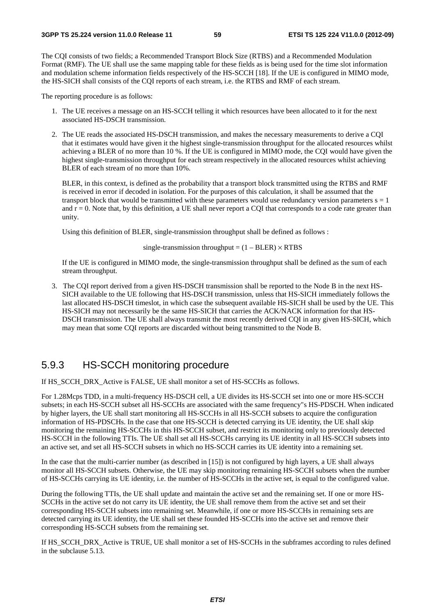The CQI consists of two fields; a Recommended Transport Block Size (RTBS) and a Recommended Modulation Format (RMF). The UE shall use the same mapping table for these fields as is being used for the time slot information and modulation scheme information fields respectively of the HS-SCCH [18]. If the UE is configured in MIMO mode, the HS-SICH shall consists of the CQI reports of each stream, i.e. the RTBS and RMF of each stream.

The reporting procedure is as follows:

- 1. The UE receives a message on an HS-SCCH telling it which resources have been allocated to it for the next associated HS-DSCH transmission.
- 2. The UE reads the associated HS-DSCH transmission, and makes the necessary measurements to derive a CQI that it estimates would have given it the highest single-transmission throughput for the allocated resources whilst achieving a BLER of no more than 10 %. If the UE is configured in MIMO mode, the CQI would have given the highest single-transmission throughput for each stream respectively in the allocated resources whilst achieving BLER of each stream of no more than 10%.

BLER, in this context, is defined as the probability that a transport block transmitted using the RTBS and RMF is received in error if decoded in isolation. For the purposes of this calculation, it shall be assumed that the transport block that would be transmitted with these parameters would use redundancy version parameters  $s = 1$ and  $r = 0$ . Note that, by this definition, a UE shall never report a CQI that corresponds to a code rate greater than unity.

Using this definition of BLER, single-transmission throughput shall be defined as follows :

single-transmission throughput =  $(1 - BLER) \times RTBS$ 

If the UE is configured in MIMO mode, the single-transmission throughput shall be defined as the sum of each stream throughput.

3. The CQI report derived from a given HS-DSCH transmission shall be reported to the Node B in the next HS-SICH available to the UE following that HS-DSCH transmission, unless that HS-SICH immediately follows the last allocated HS-DSCH timeslot, in which case the subsequent available HS-SICH shall be used by the UE. This HS-SICH may not necessarily be the same HS-SICH that carries the ACK/NACK information for that HS-DSCH transmission. The UE shall always transmit the most recently derived CQI in any given HS-SICH, which may mean that some CQI reports are discarded without being transmitted to the Node B.

## 5.9.3 HS-SCCH monitoring procedure

If HS\_SCCH\_DRX\_Active is FALSE, UE shall monitor a set of HS-SCCHs as follows.

For 1.28Mcps TDD, in a multi-frequency HS-DSCH cell, a UE divides its HS-SCCH set into one or more HS-SCCH subsets; in each HS-SCCH subset all HS-SCCHs are associated with the same frequency"s HS-PDSCH. When indicated by higher layers, the UE shall start monitoring all HS-SCCHs in all HS-SCCH subsets to acquire the configuration information of HS-PDSCHs. In the case that one HS-SCCH is detected carrying its UE identity, the UE shall skip monitoring the remaining HS-SCCHs in this HS-SCCH subset, and restrict its monitoring only to previously detected HS-SCCH in the following TTIs. The UE shall set all HS-SCCHs carrying its UE identity in all HS-SCCH subsets into an active set, and set all HS-SCCH subsets in which no HS-SCCH carries its UE identity into a remaining set.

In the case that the multi-carrier number (as described in [15]) is not configured by high layers, a UE shall always monitor all HS-SCCH subsets. Otherwise, the UE may skip monitoring remaining HS-SCCH subsets when the number of HS-SCCHs carrying its UE identity, i.e. the number of HS-SCCHs in the active set, is equal to the configured value.

During the following TTIs, the UE shall update and maintain the active set and the remaining set. If one or more HS-SCCHs in the active set do not carry its UE identity, the UE shall remove them from the active set and set their corresponding HS-SCCH subsets into remaining set. Meanwhile, if one or more HS-SCCHs in remaining sets are detected carrying its UE identity, the UE shall set these founded HS-SCCHs into the active set and remove their corresponding HS-SCCH subsets from the remaining set.

If HS\_SCCH\_DRX\_Active is TRUE, UE shall monitor a set of HS-SCCHs in the subframes according to rules defined in the subclause 5.13.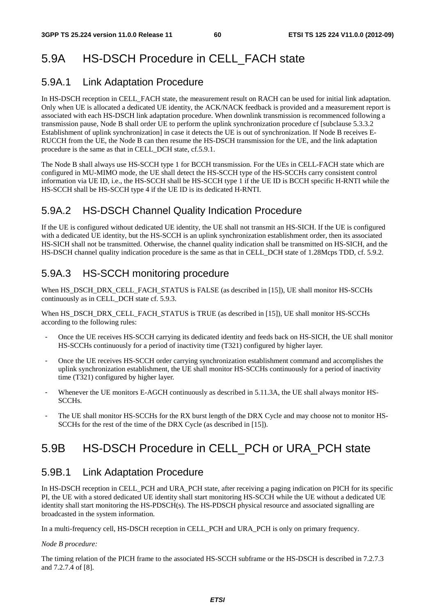# 5.9A HS-DSCH Procedure in CELL\_FACH state

# 5.9A.1 Link Adaptation Procedure

In HS-DSCH reception in CELL\_FACH state, the measurement result on RACH can be used for initial link adaptation. Only when UE is allocated a dedicated UE identity, the ACK/NACK feedback is provided and a measurement report is associated with each HS-DSCH link adaptation procedure. When downlink transmission is recommenced following a transmission pause, Node B shall order UE to perform the uplink synchronization procedure cf [subclause 5.3.3.2 Establishment of uplink synchronization] in case it detects the UE is out of synchronization. If Node B receives E-RUCCH from the UE, the Node B can then resume the HS-DSCH transmission for the UE, and the link adaptation procedure is the same as that in CELL\_DCH state, cf.5.9.1.

The Node B shall always use HS-SCCH type 1 for BCCH transmission. For the UEs in CELL-FACH state which are configured in MU-MIMO mode, the UE shall detect the HS-SCCH type of the HS-SCCHs carry consistent control information via UE ID, i.e., the HS-SCCH shall be HS-SCCH type 1 if the UE ID is BCCH specific H-RNTI while the HS-SCCH shall be HS-SCCH type 4 if the UE ID is its dedicated H-RNTI.

# 5.9A.2 HS-DSCH Channel Quality Indication Procedure

If the UE is configured without dedicated UE identity, the UE shall not transmit an HS-SICH. If the UE is configured with a dedicated UE identity, but the HS-SCCH is an uplink synchronization establishment order, then its associated HS-SICH shall not be transmitted. Otherwise, the channel quality indication shall be transmitted on HS-SICH, and the HS-DSCH channel quality indication procedure is the same as that in CELL\_DCH state of 1.28Mcps TDD, cf. 5.9.2.

# 5.9A.3 HS-SCCH monitoring procedure

When HS\_DSCH\_DRX\_CELL\_FACH\_STATUS is FALSE (as described in [15]), UE shall monitor HS-SCCHs continuously as in CELL\_DCH state cf. 5.9.3.

When HS\_DSCH\_DRX\_CELL\_FACH\_STATUS is TRUE (as described in [15]), UE shall monitor HS-SCCHs according to the following rules:

- Once the UE receives HS-SCCH carrying its dedicated identity and feeds back on HS-SICH, the UE shall monitor HS-SCCHs continuously for a period of inactivity time (T321) configured by higher layer.
- Once the UE receives HS-SCCH order carrying synchronization establishment command and accomplishes the uplink synchronization establishment, the UE shall monitor HS-SCCHs continuously for a period of inactivity time (T321) configured by higher layer.
- Whenever the UE monitors E-AGCH continuously as described in 5.11.3A, the UE shall always monitor HS-SCCHs.
- The UE shall monitor HS-SCCHs for the RX burst length of the DRX Cycle and may choose not to monitor HS-SCCHs for the rest of the time of the DRX Cycle (as described in [15]).

# 5.9B HS-DSCH Procedure in CELL\_PCH or URA\_PCH state

# 5.9B.1 Link Adaptation Procedure

In HS-DSCH reception in CELL PCH and URA PCH state, after receiving a paging indication on PICH for its specific PI, the UE with a stored dedicated UE identity shall start monitoring HS-SCCH while the UE without a dedicated UE identity shall start monitoring the HS-PDSCH(s). The HS-PDSCH physical resource and associated signalling are broadcasted in the system information.

In a multi-frequency cell, HS-DSCH reception in CELL\_PCH and URA\_PCH is only on primary frequency.

#### *Node B procedure:*

The timing relation of the PICH frame to the associated HS-SCCH subframe or the HS-DSCH is described in 7.2.7.3 and 7.2.7.4 of [8].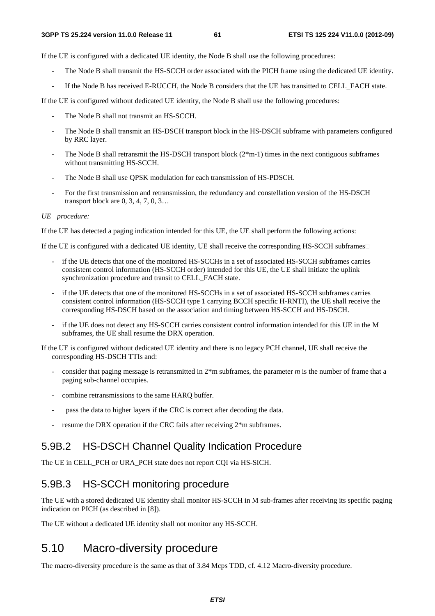If the UE is configured with a dedicated UE identity, the Node B shall use the following procedures:

- The Node B shall transmit the HS-SCCH order associated with the PICH frame using the dedicated UE identity.
- If the Node B has received E-RUCCH, the Node B considers that the UE has transitted to CELL\_FACH state.

If the UE is configured without dedicated UE identity, the Node B shall use the following procedures:

- The Node B shall not transmit an HS-SCCH.
- The Node B shall transmit an HS-DSCH transport block in the HS-DSCH subframe with parameters configured by RRC layer.
- The Node B shall retransmit the HS-DSCH transport block ( $2*m-1$ ) times in the next contiguous subframes without transmitting HS-SCCH.
- The Node B shall use QPSK modulation for each transmission of HS-PDSCH.
- For the first transmission and retransmission, the redundancy and constellation version of the HS-DSCH transport block are 0, 3, 4, 7, 0, 3…

#### *UE procedure:*

If the UE has detected a paging indication intended for this UE, the UE shall perform the following actions:

If the UE is configured with a dedicated UE identity, UE shall receive the corresponding HS-SCCH subframes  $\Box$ 

- if the UE detects that one of the monitored HS-SCCHs in a set of associated HS-SCCH subframes carries consistent control information (HS-SCCH order) intended for this UE, the UE shall initiate the uplink synchronization procedure and transit to CELL\_FACH state.
- if the UE detects that one of the monitored HS-SCCHs in a set of associated HS-SCCH subframes carries consistent control information (HS-SCCH type 1 carrying BCCH specific H-RNTI), the UE shall receive the corresponding HS-DSCH based on the association and timing between HS-SCCH and HS-DSCH.
- if the UE does not detect any HS-SCCH carries consistent control information intended for this UE in the M subframes, the UE shall resume the DRX operation.

If the UE is configured without dedicated UE identity and there is no legacy PCH channel, UE shall receive the corresponding HS-DSCH TTIs and:

- consider that paging message is retransmitted in 2\*m subframes, the parameter *m* is the number of frame that a paging sub-channel occupies.
- combine retransmissions to the same HARQ buffer.
- pass the data to higher layers if the CRC is correct after decoding the data.
- resume the DRX operation if the CRC fails after receiving  $2*$ m subframes.

# 5.9B.2 HS-DSCH Channel Quality Indication Procedure

The UE in CELL\_PCH or URA\_PCH state does not report CQI via HS-SICH.

# 5.9B.3 HS-SCCH monitoring procedure

The UE with a stored dedicated UE identity shall monitor HS-SCCH in M sub-frames after receiving its specific paging indication on PICH (as described in [8]).

The UE without a dedicated UE identity shall not monitor any HS-SCCH.

# 5.10 Macro-diversity procedure

The macro-diversity procedure is the same as that of 3.84 Mcps TDD, cf. 4.12 Macro-diversity procedure.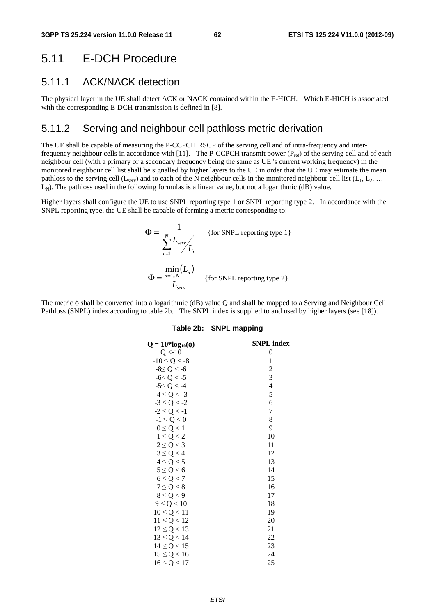# 5.11 E-DCH Procedure

# 5.11.1 ACK/NACK detection

The physical layer in the UE shall detect ACK or NACK contained within the E-HICH. Which E-HICH is associated with the corresponding E-DCH transmission is defined in [8].

# 5.11.2 Serving and neighbour cell pathloss metric derivation

The UE shall be capable of measuring the P-CCPCH RSCP of the serving cell and of intra-frequency and interfrequency neighbour cells in accordance with [11]. The P-CCPCH transmit power ( $P_{ref}$ ) of the serving cell and of each neighbour cell (with a primary or a secondary frequency being the same as UE"s current working frequency) in the monitored neighbour cell list shall be signalled by higher layers to the UE in order that the UE may estimate the mean pathloss to the serving cell  $(L_{\text{serv}})$  and to each of the N neighbour cells in the monitored neighbour cell list  $(L_1, L_2, ...$  $L_N$ ). The pathloss used in the following formulas is a linear value, but not a logarithmic (dB) value.

Higher layers shall configure the UE to use SNPL reporting type 1 or SNPL reporting type 2. In accordance with the SNPL reporting type, the UE shall be capable of forming a metric corresponding to:

$$
\Phi = \frac{1}{\sum_{n=1}^{N} L_{serv} / L_n}
$$
 {for SNPL reporting type 1}  
\n
$$
\Phi = \frac{\min_{n=1..N} (L_n)}{L_{serv}}
$$
 {for SNPL reporting type 2}

The metric φ shall be converted into a logarithmic (dB) value Q and shall be mapped to a Serving and Neighbour Cell Pathloss (SNPL) index according to table 2b. The SNPL index is supplied to and used by higher layers (see [18]).

#### **Table 2b: SNPL mapping**

| $Q = 10*log_{10}(\phi)$ | <b>SNPL</b> index |
|-------------------------|-------------------|
| Q < 10                  | $\boldsymbol{0}$  |
| $-10 \le Q < -8$        | 1                 |
| $-8 \le Q < -6$         | $\overline{c}$    |
| $-6 \le Q < -5$         | 3                 |
| $-5 \le Q < -4$         | 4                 |
| $-4 \le Q < -3$         | 5                 |
| $-3 \le Q < -2$         | 6                 |
| $-2 \le Q < -1$         | 7                 |
| $-1 \leq Q < 0$         | 8                 |
| $0 \leq Q < 1$          | 9                 |
| $1 \le Q < 2$           | 10                |
| $2 \le Q < 3$           | 11                |
| $3 \le Q < 4$           | 12                |
| $4 \le Q < 5$           | 13                |
| $5 \le Q < 6$           | 14                |
| $6 \le Q < 7$           | 15                |
| $7 \le Q < 8$           | 16                |
| $8 \le Q < 9$           | 17                |
| $9 \le Q < 10$          | 18                |
| $10 \le Q < 11$         | 19                |
| $11 \le Q < 12$         | 20                |
| $12 \le Q < 13$         | 21                |
| $13 \le Q < 14$         | 22                |
| $14 \le Q < 15$         | 23                |
| $15 \le Q < 16$         | 24                |
| $16 \le Q < 17$         | 25                |
|                         |                   |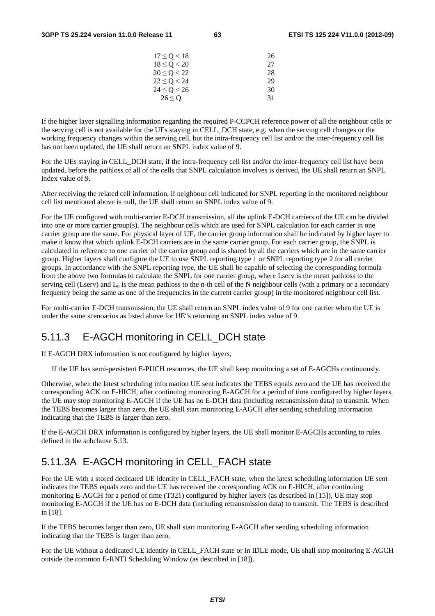| 17 < O < 18     | 26 |
|-----------------|----|
| $18 \le Q < 20$ | 27 |
| $20 \le Q < 22$ | 28 |
| $22 \le Q < 24$ | 29 |
| $24 \le Q < 26$ | 30 |
| 26 < 0          | 31 |
|                 |    |

If the higher layer signalling information regarding the required P-CCPCH reference power of all the neighbour cells or the serving cell is not available for the UEs staying in CELL\_DCH state, e.g. when the serving cell changes or the working frequency changes within the serving cell, but the intra-frequency cell list and/or the inter-frequency cell list has not been updated, the UE shall return an SNPL index value of 9.

For the UEs staying in CELL\_DCH state, if the intra-frequency cell list and/or the inter-frequency cell list have been updated, before the pathloss of all of the cells that SNPL calculation involves is derived, the UE shall return an SNPL index value of 9.

After receiving the related cell information, if neighbour cell indicated for SNPL reporting in the monitored neighbour cell list mentioned above is null, the UE shall return an SNPL index value of 9.

For the UE configured with multi-carrier E-DCH transmission, all the uplink E-DCH carriers of the UE can be divided into one or more carrier group(s). The neighbour cells which are used for SNPL calculation for each carrier in one carrier group are the same. For physical layer of UE, the carrier group information shall be indicated by higher layer to make it know that which uplink E-DCH carriers are in the same carrier group. For each carrier group, the SNPL is calculated in reference to one carrier of the carrier group and is shared by all the carriers which are in the same carrier group. Higher layers shall configure the UE to use SNPL reporting type 1 or SNPL reporting type 2 for all carrier groups. In accordance with the SNPL reporting type, the UE shall be capable of selecting the corresponding formula from the above two formulas to calculate the SNPL for one carrier group, where Lserv is the mean pathloss to the serving cell (Lserv) and  $L_n$  is the mean pathloss to the n-th cell of the N neighbour cells (with a primary or a secondary frequency being the same as one of the frequencies in the current carrier group) in the monitored neighbour cell list.

For multi-carrier E-DCH transmission, the UE shall return an SNPL index value of 9 for one carrier when the UE is under the same scenoarios as listed above for UE"s returning an SNPL index value of 9.

## 5.11.3 E-AGCH monitoring in CELL\_DCH state

If E-AGCH DRX information is not configured by higher layers,

If the UE has semi-persistent E-PUCH resources, the UE shall keep monitoring a set of E-AGCHs continuously.

Otherwise, when the latest scheduling information UE sent indicates the TEBS equals zero and the UE has received the corresponding ACK on E-HICH, after continuing monitoring E-AGCH for a period of time configured by higher layers, the UE may stop monitoring E-AGCH if the UE has no E-DCH data (including retransmission data) to transmit. When the TEBS becomes larger than zero, the UE shall start monitoring E-AGCH after sending scheduling information indicating that the TEBS is larger than zero.

If the E-AGCH DRX information is configured by higher layers, the UE shall monitor E-AGCHs according to rules defined in the subclause 5.13.

# 5.11.3A E-AGCH monitoring in CELL\_FACH state

For the UE with a stored dedicated UE identity in CELL\_FACH state, when the latest scheduling information UE sent indicates the TEBS equals zero and the UE has received the corresponding ACK on E-HICH, after continuing monitoring E-AGCH for a period of time (T321) configured by higher layers (as described in [15]), UE may stop monitoring E-AGCH if the UE has no E-DCH data (including retransmission data) to transmit. The TEBS is described in [18].

If the TEBS becomes larger than zero, UE shall start monitoring E-AGCH after sending scheduling information indicating that the TEBS is larger than zero.

For the UE without a dedicated UE identity in CELL\_FACH state or in IDLE mode, UE shall stop monitoring E-AGCH outside the common E-RNTI Scheduling Window (as described in [18]).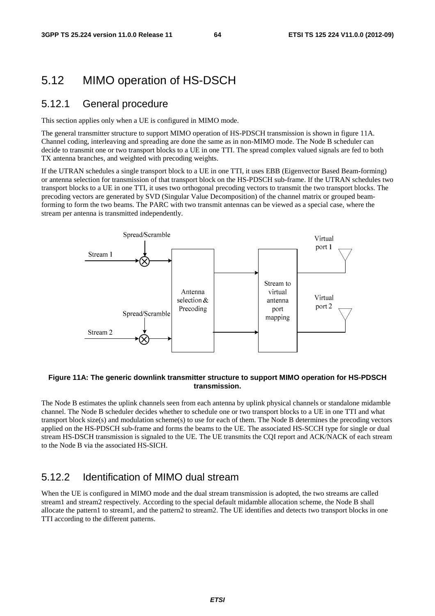# 5.12 MIMO operation of HS-DSCH

### 5.12.1 General procedure

This section applies only when a UE is configured in MIMO mode.

The general transmitter structure to support MIMO operation of HS-PDSCH transmission is shown in figure 11A. Channel coding, interleaving and spreading are done the same as in non-MIMO mode. The Node B scheduler can decide to transmit one or two transport blocks to a UE in one TTI. The spread complex valued signals are fed to both TX antenna branches, and weighted with precoding weights.

If the UTRAN schedules a single transport block to a UE in one TTI, it uses EBB (Eigenvector Based Beam-forming) or antenna selection for transmission of that transport block on the HS-PDSCH sub-frame. If the UTRAN schedules two transport blocks to a UE in one TTI, it uses two orthogonal precoding vectors to transmit the two transport blocks. The precoding vectors are generated by SVD (Singular Value Decomposition) of the channel matrix or grouped beamforming to form the two beams. The PARC with two transmit antennas can be viewed as a special case, where the stream per antenna is transmitted independently.



#### **Figure 11A: The generic downlink transmitter structure to support MIMO operation for HS-PDSCH transmission.**

The Node B estimates the uplink channels seen from each antenna by uplink physical channels or standalone midamble channel. The Node B scheduler decides whether to schedule one or two transport blocks to a UE in one TTI and what transport block size(s) and modulation scheme(s) to use for each of them. The Node B determines the precoding vectors applied on the HS-PDSCH sub-frame and forms the beams to the UE. The associated HS-SCCH type for single or dual stream HS-DSCH transmission is signaled to the UE. The UE transmits the CQI report and ACK/NACK of each stream to the Node B via the associated HS-SICH.

# 5.12.2 Identification of MIMO dual stream

When the UE is configured in MIMO mode and the dual stream transmission is adopted, the two streams are called stream1 and stream2 respectively. According to the special default midamble allocation scheme, the Node B shall allocate the pattern1 to stream1, and the pattern2 to stream2. The UE identifies and detects two transport blocks in one TTI according to the different patterns.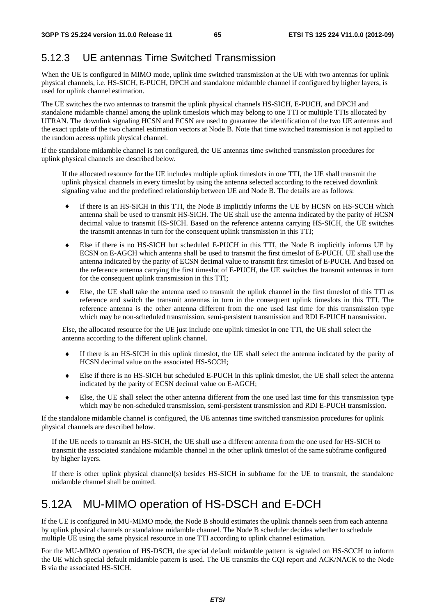# 5.12.3 UE antennas Time Switched Transmission

When the UE is configured in MIMO mode, uplink time switched transmission at the UE with two antennas for uplink physical channels, i.e. HS-SICH, E-PUCH, DPCH and standalone midamble channel if configured by higher layers, is used for uplink channel estimation.

The UE switches the two antennas to transmit the uplink physical channels HS-SICH, E-PUCH, and DPCH and standalone midamble channel among the uplink timeslots which may belong to one TTI or multiple TTIs allocated by UTRAN. The downlink signaling HCSN and ECSN are used to guarantee the identification of the two UE antennas and the exact update of the two channel estimation vectors at Node B. Note that time switched transmission is not applied to the random access uplink physical channel.

If the standalone midamble channel is not configured, the UE antennas time switched transmission procedures for uplink physical channels are described below.

If the allocated resource for the UE includes multiple uplink timeslots in one TTI, the UE shall transmit the uplink physical channels in every timeslot by using the antenna selected according to the received downlink signaling value and the predefined relationship between UE and Node B. The details are as follows:

- ♦ If there is an HS-SICH in this TTI, the Node B implicitly informs the UE by HCSN on HS-SCCH which antenna shall be used to transmit HS-SICH. The UE shall use the antenna indicated by the parity of HCSN decimal value to transmit HS-SICH. Based on the reference antenna carrying HS-SICH, the UE switches the transmit antennas in turn for the consequent uplink transmission in this TTI;
- ♦ Else if there is no HS-SICH but scheduled E-PUCH in this TTI, the Node B implicitly informs UE by ECSN on E-AGCH which antenna shall be used to transmit the first timeslot of E-PUCH. UE shall use the antenna indicated by the parity of ECSN decimal value to transmit first timeslot of E-PUCH. And based on the reference antenna carrying the first timeslot of E-PUCH, the UE switches the transmit antennas in turn for the consequent uplink transmission in this TTI;
- ♦ Else, the UE shall take the antenna used to transmit the uplink channel in the first timeslot of this TTI as reference and switch the transmit antennas in turn in the consequent uplink timeslots in this TTI. The reference antenna is the other antenna different from the one used last time for this transmission type which may be non-scheduled transmission, semi-persistent transmission and RDI E-PUCH transmission.

Else, the allocated resource for the UE just include one uplink timeslot in one TTI, the UE shall select the antenna according to the different uplink channel.

- ♦ If there is an HS-SICH in this uplink timeslot, the UE shall select the antenna indicated by the parity of HCSN decimal value on the associated HS-SCCH;
- ♦ Else if there is no HS-SICH but scheduled E-PUCH in this uplink timeslot, the UE shall select the antenna indicated by the parity of ECSN decimal value on E-AGCH;
- ♦ Else, the UE shall select the other antenna different from the one used last time for this transmission type which may be non-scheduled transmission, semi-persistent transmission and RDI E-PUCH transmission.

If the standalone midamble channel is configured, the UE antennas time switched transmission procedures for uplink physical channels are described below.

If the UE needs to transmit an HS-SICH, the UE shall use a different antenna from the one used for HS-SICH to transmit the associated standalone midamble channel in the other uplink timeslot of the same subframe configured by higher layers.

If there is other uplink physical channel(s) besides HS-SICH in subframe for the UE to transmit, the standalone midamble channel shall be omitted.

# 5.12A MU-MIMO operation of HS-DSCH and E-DCH

If the UE is configured in MU-MIMO mode, the Node B should estimates the uplink channels seen from each antenna by uplink physical channels or standalone midamble channel. The Node B scheduler decides whether to schedule multiple UE using the same physical resource in one TTI according to uplink channel estimation.

For the MU-MIMO operation of HS-DSCH, the special default midamble pattern is signaled on HS-SCCH to inform the UE which special default midamble pattern is used. The UE transmits the CQI report and ACK/NACK to the Node B via the associated HS-SICH.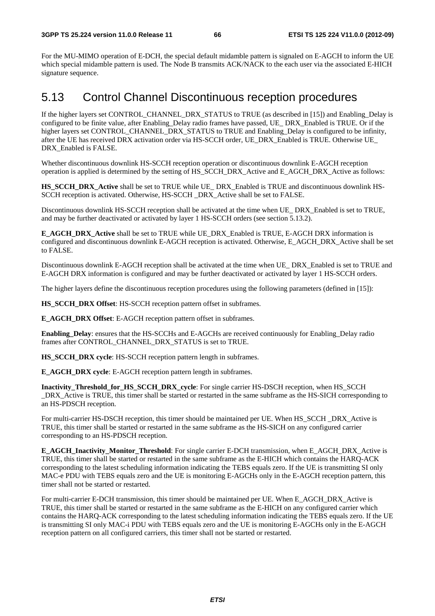For the MU-MIMO operation of E-DCH, the special default midamble pattern is signaled on E-AGCH to inform the UE which special midamble pattern is used. The Node B transmits ACK/NACK to the each user via the associated E-HICH signature sequence.

# 5.13 Control Channel Discontinuous reception procedures

If the higher layers set CONTROL\_CHANNEL\_DRX\_STATUS to TRUE (as described in [15]) and Enabling\_Delay is configured to be finite value, after Enabling\_Delay radio frames have passed, UE\_ DRX\_Enabled is TRUE. Or if the higher layers set CONTROL\_CHANNEL\_DRX\_STATUS to TRUE and Enabling\_Delay is configured to be infinity, after the UE has received DRX activation order via HS-SCCH order, UE\_DRX\_Enabled is TRUE. Otherwise UE\_ DRX Enabled is FALSE.

Whether discontinuous downlink HS-SCCH reception operation or discontinuous downlink E-AGCH reception operation is applied is determined by the setting of HS\_SCCH\_DRX\_Active and E\_AGCH\_DRX\_Active as follows:

**HS\_SCCH\_DRX\_Active** shall be set to TRUE while UE\_ DRX\_Enabled is TRUE and discontinuous downlink HS-SCCH reception is activated. Otherwise, HS-SCCH \_DRX\_Active shall be set to FALSE.

Discontinuous downlink HS-SCCH reception shall be activated at the time when UE\_ DRX\_Enabled is set to TRUE, and may be further deactivated or activated by layer 1 HS-SCCH orders (see section 5.13.2).

**E\_AGCH\_DRX\_Active** shall be set to TRUE while UE\_DRX\_Enabled is TRUE, E-AGCH DRX information is configured and discontinuous downlink E-AGCH reception is activated. Otherwise, E\_AGCH\_DRX\_Active shall be set to FALSE.

Discontinuous downlink E-AGCH reception shall be activated at the time when UE\_ DRX\_Enabled is set to TRUE and E-AGCH DRX information is configured and may be further deactivated or activated by layer 1 HS-SCCH orders.

The higher layers define the discontinuous reception procedures using the following parameters (defined in [15]):

**HS\_SCCH\_DRX Offset:** HS-SCCH reception pattern offset in subframes.

**E\_AGCH\_DRX Offset**: E-AGCH reception pattern offset in subframes.

**Enabling Delay**: ensures that the HS-SCCHs and E-AGCHs are received continuously for Enabling Delay radio frames after CONTROL\_CHANNEL\_DRX\_STATUS is set to TRUE.

**HS\_SCCH\_DRX cycle:** HS-SCCH reception pattern length in subframes.

**E\_AGCH\_DRX cycle**: E-AGCH reception pattern length in subframes.

**Inactivity\_Threshold\_for\_HS\_SCCH\_DRX\_cycle**: For single carrier HS-DSCH reception, when HS\_SCCH \_DRX\_Active is TRUE, this timer shall be started or restarted in the same subframe as the HS-SICH corresponding to an HS-PDSCH reception.

For multi-carrier HS-DSCH reception, this timer should be maintained per UE. When HS\_SCCH \_DRX\_Active is TRUE, this timer shall be started or restarted in the same subframe as the HS-SICH on any configured carrier corresponding to an HS-PDSCH reception.

**E\_AGCH\_Inactivity\_Monitor\_Threshold**: For single carrier E-DCH transmission, when E\_AGCH\_DRX\_Active is TRUE, this timer shall be started or restarted in the same subframe as the E-HICH which contains the HARQ-ACK corresponding to the latest scheduling information indicating the TEBS equals zero. If the UE is transmitting SI only MAC-e PDU with TEBS equals zero and the UE is monitoring E-AGCHs only in the E-AGCH reception pattern, this timer shall not be started or restarted.

For multi-carrier E-DCH transmission, this timer should be maintained per UE. When E\_AGCH\_DRX\_Active is TRUE, this timer shall be started or restarted in the same subframe as the E-HICH on any configured carrier which contains the HARQ-ACK corresponding to the latest scheduling information indicating the TEBS equals zero. If the UE is transmitting SI only MAC-i PDU with TEBS equals zero and the UE is monitoring E-AGCHs only in the E-AGCH reception pattern on all configured carriers, this timer shall not be started or restarted.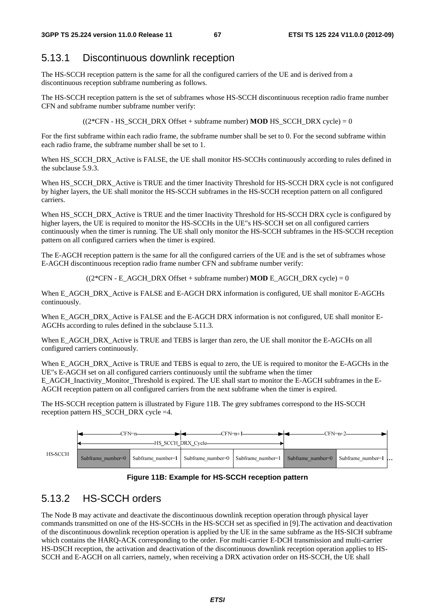# 5.13.1 Discontinuous downlink reception

The HS-SCCH reception pattern is the same for all the configured carriers of the UE and is derived from a discontinuous reception subframe numbering as follows.

The HS-SCCH reception pattern is the set of subframes whose HS-SCCH discontinuous reception radio frame number CFN and subframe number subframe number verify:

 $((2*CFN - HS - SCCH - DRX - Offset + subframe number) **MOD** HS - SCCH - DRX cycle) = 0$ 

For the first subframe within each radio frame, the subframe number shall be set to 0. For the second subframe within each radio frame, the subframe number shall be set to 1.

When HS\_SCCH\_DRX\_Active is FALSE, the UE shall monitor HS-SCCHs continuously according to rules defined in the subclause 5.9.3.

When HS\_SCCH\_DRX\_Active is TRUE and the timer Inactivity Threshold for HS-SCCH DRX cycle is not configured by higher layers, the UE shall monitor the HS-SCCH subframes in the HS-SCCH reception pattern on all configured carriers.

When HS\_SCCH\_DRX\_Active is TRUE and the timer Inactivity Threshold for HS-SCCH DRX cycle is configured by higher layers, the UE is required to monitor the HS-SCCHs in the UE"s HS-SCCH set on all configured carriers continuously when the timer is running. The UE shall only monitor the HS-SCCH subframes in the HS-SCCH reception pattern on all configured carriers when the timer is expired.

The E-AGCH reception pattern is the same for all the configured carriers of the UE and is the set of subframes whose E-AGCH discontinuous reception radio frame number CFN and subframe number verify:

 $((2*CFN - EAGCH) DRX$  Offset + subframe number) **MOD** E\_AGCH\_DRX cycle) = 0

When E\_AGCH\_DRX\_Active is FALSE and E-AGCH DRX information is configured, UE shall monitor E-AGCHs continuously.

When E\_AGCH\_DRX\_Active is FALSE and the E-AGCH DRX information is not configured, UE shall monitor E-AGCHs according to rules defined in the subclause 5.11.3.

When E\_AGCH\_DRX\_Active is TRUE and TEBS is larger than zero, the UE shall monitor the E-AGCHs on all configured carriers continuously.

When E\_AGCH\_DRX\_Active is TRUE and TEBS is equal to zero, the UE is required to monitor the E-AGCHs in the UE"s E-AGCH set on all configured carriers continuously until the subframe when the timer E\_AGCH\_Inactivity\_Monitor\_Threshold is expired. The UE shall start to monitor the E-AGCH subframes in the E-AGCH reception pattern on all configured carriers from the next subframe when the timer is expired.

The HS-SCCH reception pattern is illustrated by Figure 11B. The grey subframes correspond to the HS-SCCH reception pattern HS\_SCCH\_DRX cycle =4.



#### **Figure 11B: Example for HS-SCCH reception pattern**

# 5.13.2 HS-SCCH orders

The Node B may activate and deactivate the discontinuous downlink reception operation through physical layer commands transmitted on one of the HS-SCCHs in the HS-SCCH set as specified in [9].The activation and deactivation of the discontinuous downlink reception operation is applied by the UE in the same subframe as the HS-SICH subframe which contains the HARQ-ACK corresponding to the order. For multi-carrier E-DCH transmission and multi-carrier HS-DSCH reception, the activation and deactivation of the discontinuous downlink reception operation applies to HS-SCCH and E-AGCH on all carriers, namely, when receiving a DRX activation order on HS-SCCH, the UE shall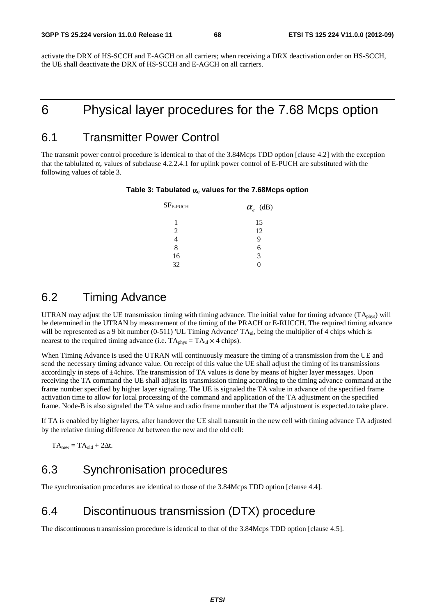activate the DRX of HS-SCCH and E-AGCH on all carriers; when receiving a DRX deactivation order on HS-SCCH, the UE shall deactivate the DRX of HS-SCCH and E-AGCH on all carriers.

# 6 Physical layer procedures for the 7.68 Mcps option

# 6.1 Transmitter Power Control

The transmit power control procedure is identical to that of the 3.84Mcps TDD option [clause 4.2] with the exception that the tablulated  $\alpha_e$  values of subclause 4.2.2.4.1 for uplink power control of E-PUCH are substituted with the following values of table 3.

**Table 3: Tabulated** α**e values for the 7.68Mcps option** 

| $SFE-PUCH$     | $\alpha_e$ (dB) |
|----------------|-----------------|
| 1              | 15              |
| $\mathfrak{D}$ | 12              |
|                | G)              |
| 8              | 6               |
| 16             | 3               |
| 32             |                 |

# 6.2 Timing Advance

UTRAN may adjust the UE transmission timing with timing advance. The initial value for timing advance (TAphys) will be determined in the UTRAN by measurement of the timing of the PRACH or E-RUCCH. The required timing advance will be represented as a 9 bit number (0-511) 'UL Timing Advance' TA<sub>ul</sub>, being the multiplier of 4 chips which is nearest to the required timing advance (i.e.  $TA_{phys} = TA_{ul} \times 4$  chips).

When Timing Advance is used the UTRAN will continuously measure the timing of a transmission from the UE and send the necessary timing advance value. On receipt of this value the UE shall adjust the timing of its transmissions accordingly in steps of ±4chips. The transmission of TA values is done by means of higher layer messages. Upon receiving the TA command the UE shall adjust its transmission timing according to the timing advance command at the frame number specified by higher layer signaling. The UE is signaled the TA value in advance of the specified frame activation time to allow for local processing of the command and application of the TA adjustment on the specified frame. Node-B is also signaled the TA value and radio frame number that the TA adjustment is expected.to take place.

If TA is enabled by higher layers, after handover the UE shall transmit in the new cell with timing advance TA adjusted by the relative timing difference Δt between the new and the old cell:

 $TA<sub>new</sub> = TA<sub>old</sub> + 2\Delta t$ .

# 6.3 Synchronisation procedures

The synchronisation procedures are identical to those of the 3.84Mcps TDD option [clause 4.4].

# 6.4 Discontinuous transmission (DTX) procedure

The discontinuous transmission procedure is identical to that of the 3.84Mcps TDD option [clause 4.5].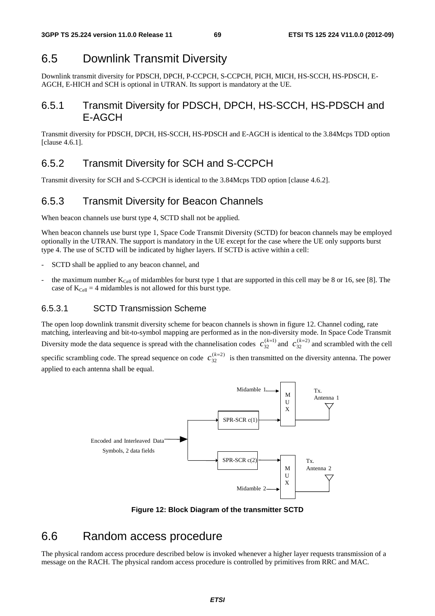# 6.5 Downlink Transmit Diversity

Downlink transmit diversity for PDSCH, DPCH, P-CCPCH, S-CCPCH, PICH, MICH, HS-SCCH, HS-PDSCH, E-AGCH, E-HICH and SCH is optional in UTRAN. Its support is mandatory at the UE.

# 6.5.1 Transmit Diversity for PDSCH, DPCH, HS-SCCH, HS-PDSCH and E-AGCH

Transmit diversity for PDSCH, DPCH, HS-SCCH, HS-PDSCH and E-AGCH is identical to the 3.84Mcps TDD option [clause 4.6.1].

# 6.5.2 Transmit Diversity for SCH and S-CCPCH

Transmit diversity for SCH and S-CCPCH is identical to the 3.84Mcps TDD option [clause 4.6.2].

# 6.5.3 Transmit Diversity for Beacon Channels

When beacon channels use burst type 4, SCTD shall not be applied.

When beacon channels use burst type 1, Space Code Transmit Diversity (SCTD) for beacon channels may be employed optionally in the UTRAN. The support is mandatory in the UE except for the case where the UE only supports burst type 4. The use of SCTD will be indicated by higher layers. If SCTD is active within a cell:

- SCTD shall be applied to any beacon channel, and
- the maximum number  $K_{Cell}$  of midambles for burst type 1 that are supported in this cell may be 8 or 16, see [8]. The case of  $K_{Cell} = 4$  midambles is not allowed for this burst type.

#### 6.5.3.1 SCTD Transmission Scheme

The open loop downlink transmit diversity scheme for beacon channels is shown in figure 12. Channel coding, rate matching, interleaving and bit-to-symbol mapping are performed as in the non-diversity mode. In Space Code Transmit Diversity mode the data sequence is spread with the channelisation codes  $c_{32}^{(k=1)}$  and  $c_{32}^{(k=2)}$  and scrambled with the cell

specific scrambling code. The spread sequence on code  $c_{32}^{(k=2)}$  is then transmitted on the diversity antenna. The power applied to each antenna shall be equal.



**Figure 12: Block Diagram of the transmitter SCTD**

# 6.6 Random access procedure

The physical random access procedure described below is invoked whenever a higher layer requests transmission of a message on the RACH. The physical random access procedure is controlled by primitives from RRC and MAC.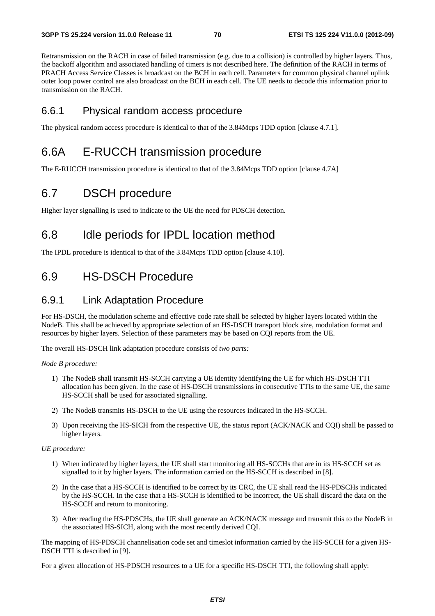Retransmission on the RACH in case of failed transmission (e.g. due to a collision) is controlled by higher layers. Thus, the backoff algorithm and associated handling of timers is not described here. The definition of the RACH in terms of PRACH Access Service Classes is broadcast on the BCH in each cell. Parameters for common physical channel uplink outer loop power control are also broadcast on the BCH in each cell. The UE needs to decode this information prior to transmission on the RACH.

### 6.6.1 Physical random access procedure

The physical random access procedure is identical to that of the 3.84Mcps TDD option [clause 4.7.1].

# 6.6A E-RUCCH transmission procedure

The E-RUCCH transmission procedure is identical to that of the 3.84Mcps TDD option [clause 4.7A]

# 6.7 DSCH procedure

Higher layer signalling is used to indicate to the UE the need for PDSCH detection.

# 6.8 Idle periods for IPDL location method

The IPDL procedure is identical to that of the 3.84Mcps TDD option [clause 4.10].

# 6.9 HS-DSCH Procedure

### 6.9.1 Link Adaptation Procedure

For HS-DSCH, the modulation scheme and effective code rate shall be selected by higher layers located within the NodeB. This shall be achieved by appropriate selection of an HS-DSCH transport block size, modulation format and resources by higher layers. Selection of these parameters may be based on CQI reports from the UE.

The overall HS-DSCH link adaptation procedure consists of *two parts:* 

*Node B procedure:* 

- 1) The NodeB shall transmit HS-SCCH carrying a UE identity identifying the UE for which HS-DSCH TTI allocation has been given. In the case of HS-DSCH transmissions in consecutive TTIs to the same UE, the same HS-SCCH shall be used for associated signalling.
- 2) The NodeB transmits HS-DSCH to the UE using the resources indicated in the HS-SCCH.
- 3) Upon receiving the HS-SICH from the respective UE, the status report (ACK/NACK and CQI) shall be passed to higher layers.

#### *UE procedure:*

- 1) When indicated by higher layers, the UE shall start monitoring all HS-SCCHs that are in its HS-SCCH set as signalled to it by higher layers. The information carried on the HS-SCCH is described in [8].
- 2) In the case that a HS-SCCH is identified to be correct by its CRC, the UE shall read the HS-PDSCHs indicated by the HS-SCCH. In the case that a HS-SCCH is identified to be incorrect, the UE shall discard the data on the HS-SCCH and return to monitoring.
- 3) After reading the HS-PDSCHs, the UE shall generate an ACK/NACK message and transmit this to the NodeB in the associated HS-SICH, along with the most recently derived CQI.

The mapping of HS-PDSCH channelisation code set and timeslot information carried by the HS-SCCH for a given HS-DSCH TTI is described in [9].

For a given allocation of HS-PDSCH resources to a UE for a specific HS-DSCH TTI, the following shall apply: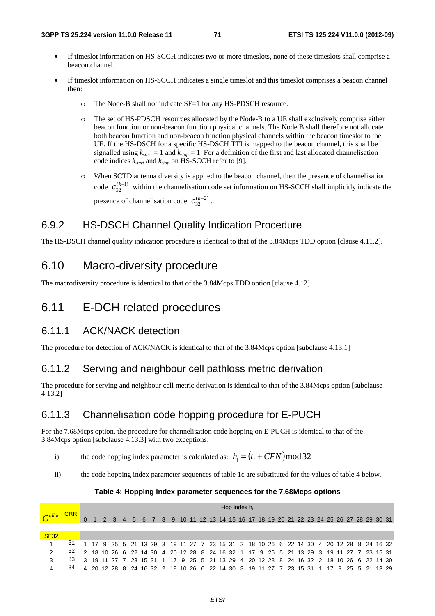- If timeslot information on HS-SCCH indicates two or more timeslots, none of these timeslots shall comprise a beacon channel.
- If timeslot information on HS-SCCH indicates a single timeslot and this timeslot comprises a beacon channel then:
	- o The Node-B shall not indicate SF=1 for any HS-PDSCH resource.
	- o The set of HS-PDSCH resources allocated by the Node-B to a UE shall exclusively comprise either beacon function or non-beacon function physical channels. The Node B shall therefore not allocate both beacon function and non-beacon function physical channels within the beacon timeslot to the UE. If the HS-DSCH for a specific HS-DSCH TTI is mapped to the beacon channel, this shall be signalled using  $k_{start} = 1$  and  $k_{stop} = 1$ . For a definition of the first and last allocated channelisation code indices *kstart* and *kstop* on HS-SCCH refer to [9].
	- o When SCTD antenna diversity is applied to the beacon channel, then the presence of channelisation code  $c_{32}^{(k=1)}$  within the channelisation code set information on HS-SCCH shall implicitly indicate the presence of channelisation code  $c_{32}^{(k=2)}$ .

## 6.9.2 HS-DSCH Channel Quality Indication Procedure

The HS-DSCH channel quality indication procedure is identical to that of the 3.84Mcps TDD option [clause 4.11.2].

# 6.10 Macro-diversity procedure

The macrodiversity procedure is identical to that of the 3.84Mcps TDD option [clause 4.12].

# 6.11 E-DCH related procedures

### 6.11.1 ACK/NACK detection

The procedure for detection of ACK/NACK is identical to that of the 3.84Mcps option [subclause 4.13.1]

# 6.11.2 Serving and neighbour cell pathloss metric derivation

The procedure for serving and neighbour cell metric derivation is identical to that of the 3.84Mcps option [subclause 4.13.2]

# 6.11.3 Channelisation code hopping procedure for E-PUCH

For the 7.68Mcps option, the procedure for channelisation code hopping on E-PUCH is identical to that of the 3.84Mcps option [subclause 4.13.3] with two exceptions:

i) the code hopping index parameter is calculated as:  $h_i = (t_i + CFN) \mod 32$ 

ii) the code hopping index parameter sequences of table 1c are substituted for the values of table 4 below.

#### **Table 4: Hopping index parameter sequences for the 7.68Mcps options**

|                |                                                                                           | Hop index $h_i$ |  |  |                                                                                        |  |  |  |  |  |  |  |  |  |  |  |  |  |  |  |  |  |  |  |
|----------------|-------------------------------------------------------------------------------------------|-----------------|--|--|----------------------------------------------------------------------------------------|--|--|--|--|--|--|--|--|--|--|--|--|--|--|--|--|--|--|--|
| $\alpha$ alloc | <b>CRRI</b>                                                                               |                 |  |  | 0 1 2 3 4 5 6 7 8 9 10 11 12 13 14 15 16 17 18 19 20 21 22 23 24 25 26 27 28 29 30 31  |  |  |  |  |  |  |  |  |  |  |  |  |  |  |  |  |  |  |  |
|                |                                                                                           |                 |  |  |                                                                                        |  |  |  |  |  |  |  |  |  |  |  |  |  |  |  |  |  |  |  |
| <b>SF32</b>    |                                                                                           |                 |  |  |                                                                                        |  |  |  |  |  |  |  |  |  |  |  |  |  |  |  |  |  |  |  |
|                | 31                                                                                        |                 |  |  | 1 17 9 25 5 21 13 29 3 19 11 27 7 23 15 31 2 18 10 26 6 22 14 30 4 20 12 28 8 24 16 32 |  |  |  |  |  |  |  |  |  |  |  |  |  |  |  |  |  |  |  |
| $\mathcal{P}$  | 32                                                                                        |                 |  |  | 2 18 10 26 6 22 14 30 4 20 12 28 8 24 16 32 1 17 9 25 5 21 13 29 3 19 11 27 7 23 15 31 |  |  |  |  |  |  |  |  |  |  |  |  |  |  |  |  |  |  |  |
| 3              | 33 3 19 11 27 7 23 15 31 1 17 9 25 5 21 13 29 4 20 12 28 8 24 16 32 2 18 10 26 6 22 14 30 |                 |  |  |                                                                                        |  |  |  |  |  |  |  |  |  |  |  |  |  |  |  |  |  |  |  |
|                | 34 4 20 12 28 8 24 16 32 2 18 10 26 6 22 14 30 3 19 11 27 7 23 15 31 1 17 9 25 5 21 13 29 |                 |  |  |                                                                                        |  |  |  |  |  |  |  |  |  |  |  |  |  |  |  |  |  |  |  |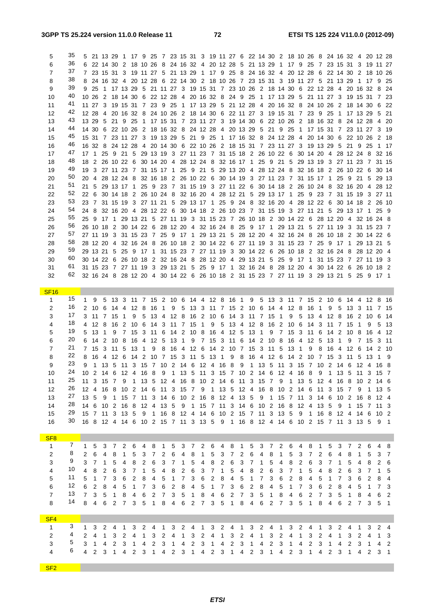SF2

| 5                           | 35 |              |        |             |  |                       |   |                                                                                  |  |  |  |  |                                      |  |  |  |  |                | 5 21 13 29 1 17 9 25 7 23 15 31 3 19 11 27 6 22 14 30 2 18 10 26 8 24 16 32 4 20 12 28 |       |      |
|-----------------------------|----|--------------|--------|-------------|--|-----------------------|---|----------------------------------------------------------------------------------|--|--|--|--|--------------------------------------|--|--|--|--|----------------|----------------------------------------------------------------------------------------|-------|------|
| 6                           | 36 |              |        |             |  |                       |   |                                                                                  |  |  |  |  |                                      |  |  |  |  |                | 6 22 14 30 2 18 10 26 8 24 16 32 4 20 12 28 5 21 13 29 1 17 9 25 7 23 15 31 3 19 11 27 |       |      |
| 7                           | 37 |              |        |             |  |                       |   |                                                                                  |  |  |  |  |                                      |  |  |  |  |                | 7 23 15 31 3 19 11 27 5 21 13 29 1 17 9 25 8 24 16 32 4 20 12 28 6 22 14 30 2 18 10 26 |       |      |
| 8                           | 38 |              |        |             |  |                       |   |                                                                                  |  |  |  |  |                                      |  |  |  |  |                | 8 24 16 32 4 20 12 28 6 22 14 30 2 18 10 26 7 23 15 31 3 19 11 27 5 21 13 29 1 17 9 25 |       |      |
| 9                           | 39 |              |        |             |  |                       |   |                                                                                  |  |  |  |  |                                      |  |  |  |  |                | 9 25 1 17 13 29 5 21 11 27 3 19 15 31 7 23 10 26 2 18 14 30 6 22 12 28 4 20 16 32 8 24 |       |      |
| 10                          | 40 |              |        |             |  |                       |   |                                                                                  |  |  |  |  |                                      |  |  |  |  |                | 10 26 2 18 14 30 6 22 12 28 4 20 16 32 8 24 9 25 1 17 13 29 5 21 11 27 3 19 15 31 7 23 |       |      |
| 11                          | 41 |              |        |             |  |                       |   |                                                                                  |  |  |  |  |                                      |  |  |  |  |                | 11 27 3 19 15 31 7 23 9 25 1 17 13 29 5 21 12 28 4 20 16 32 8 24 10 26 2 18 14 30 6 22 |       |      |
| 12                          | 42 |              |        |             |  |                       |   |                                                                                  |  |  |  |  |                                      |  |  |  |  |                | 12 28 4 20 16 32 8 24 10 26 2 18 14 30 6 22 11 27 3 19 15 31 7 23 9 25 1 17 13 29 5 21 |       |      |
| 13                          | 43 |              |        |             |  |                       |   |                                                                                  |  |  |  |  |                                      |  |  |  |  |                | 13 29 5 21 9 25 1 17 15 31 7 23 11 27 3 19 14 30 6 22 10 26 2 18 16 32 8 24 12 28 4 20 |       |      |
| 14                          | 44 |              |        |             |  |                       |   |                                                                                  |  |  |  |  |                                      |  |  |  |  |                | 14 30 6 22 10 26 2 18 16 32 8 24 12 28 4 20 13 29 5 21 9 25 1 17 15 31 7 23 11 27 3 19 |       |      |
| 15                          | 45 |              |        |             |  |                       |   |                                                                                  |  |  |  |  |                                      |  |  |  |  |                | 15 31 7 23 11 27 3 19 13 29 5 21 9 25 1 17 16 32 8 24 12 28 4 20 14 30 6 22 10 26 2 18 |       |      |
| 16                          | 46 |              |        |             |  |                       |   |                                                                                  |  |  |  |  |                                      |  |  |  |  |                | 16 32 8 24 12 28 4 20 14 30 6 22 10 26 2 18 15 31 7 23 11 27 3 19 13 29 5 21 9 25 1 17 |       |      |
| 17                          | 47 |              |        |             |  |                       |   |                                                                                  |  |  |  |  |                                      |  |  |  |  |                | 17 1 25 9 21 5 29 13 19 3 27 11 23 7 31 15 18 2 26 10 22 6 30 14 20 4 28 12 24 8 32 16 |       |      |
| 18                          | 48 |              |        |             |  |                       |   |                                                                                  |  |  |  |  |                                      |  |  |  |  |                | 18 2 26 10 22 6 30 14 20 4 28 12 24 8 32 16 17 1 25 9 21 5 29 13 19 3 27 11 23 7 31 15 |       |      |
| 19                          | 49 |              |        |             |  |                       |   | 19 3 27 11 23 7 31 15 17 1 25 9 21 5 29 13 20 4 28 12 24 8 32 16 18 2 26 10 22 6 |  |  |  |  |                                      |  |  |  |  |                |                                                                                        | 30 14 |      |
| 20                          | 50 |              |        |             |  |                       |   |                                                                                  |  |  |  |  |                                      |  |  |  |  |                | 20 4 28 12 24 8 32 16 18 2 26 10 22 6 30 14 19 3 27 11 23 7 31 15 17 1 25 9 21 5 29 13 |       |      |
| 21                          | 51 |              |        |             |  |                       |   |                                                                                  |  |  |  |  |                                      |  |  |  |  |                | 21 5 29 13 17 1 25 9 23 7 31 15 19 3 27 11 22 6 30 14 18 2 26 10 24 8 32 16 20 4 28 12 |       |      |
| 22                          | 52 |              |        |             |  |                       |   |                                                                                  |  |  |  |  |                                      |  |  |  |  |                | 22 6 30 14 18 2 26 10 24 8 32 16 20 4 28 12 21 5 29 13 17 1 25 9 23 7 31 15 19 3 27 11 |       |      |
| 23                          | 53 |              |        |             |  |                       |   |                                                                                  |  |  |  |  |                                      |  |  |  |  |                | 23 7 31 15 19 3 27 11 21 5 29 13 17 1 25 9 24 8 32 16 20 4 28 12 22 6 30 14 18 2 26 10 |       |      |
| 24                          | 54 |              |        |             |  |                       |   |                                                                                  |  |  |  |  |                                      |  |  |  |  |                | 24 8 32 16 20 4 28 12 22 6 30 14 18 2 26 10 23 7 31 15 19 3 27 11 21 5 29 13 17 1 25 9 |       |      |
| 25                          | 55 |              |        |             |  |                       |   |                                                                                  |  |  |  |  |                                      |  |  |  |  |                | 25 9 17 1 29 13 21 5 27 11 19 3 31 15 23 7 26 10 18 2 30 14 22 6 28 12 20 4 32 16 24 8 |       |      |
| 26                          | 56 |              |        |             |  |                       |   |                                                                                  |  |  |  |  |                                      |  |  |  |  |                | 26 10 18 2 30 14 22 6 28 12 20 4 32 16 24 8 25 9 17 1 29 13 21 5 27 11 19 3 31 15 23 7 |       |      |
| 27                          | 57 |              |        |             |  |                       |   |                                                                                  |  |  |  |  |                                      |  |  |  |  |                | 27 11 19 3 31 15 23 7 25 9 17 1 29 13 21 5 28 12 20 4 32 16 24 8 26 10 18 2 30 14 22 6 |       |      |
| 28                          | 58 |              |        |             |  |                       |   | 28 12 20 4 32 16 24 8 26 10 18 2 30 14 22 6 27 11 19 3 31 15 23 7 25 9 17 1      |  |  |  |  |                                      |  |  |  |  |                | 29 13 21 5                                                                             |       |      |
| 29                          | 59 |              |        |             |  |                       |   |                                                                                  |  |  |  |  |                                      |  |  |  |  |                | 29 13 21 5 25 9 17 1 31 15 23 7 27 11 19 3 30 14 22 6 26 10 18 2 32 16 24 8 28 12 20 4 |       |      |
| 30                          | 60 |              |        |             |  |                       |   |                                                                                  |  |  |  |  |                                      |  |  |  |  |                | 30 14 22 6 26 10 18 2 32 16 24 8 28 12 20 4 29 13 21 5 25 9 17 1 31 15 23 7 27 11 19 3 |       |      |
| 31                          | 61 |              |        |             |  |                       |   |                                                                                  |  |  |  |  |                                      |  |  |  |  |                | 31 15 23 7 27 11 19 3 29 13 21 5 25 9 17 1 32 16 24 8 28 12 20 4 30 14 22 6 26 10 18 2 |       |      |
| 32                          | 62 |              |        |             |  |                       |   |                                                                                  |  |  |  |  |                                      |  |  |  |  |                | 32 16 24 8 28 12 20 4 30 14 22 6 26 10 18 2 31 15 23 7 27 11 19 3 29 13 21 5 25 9 17 1 |       |      |
|                             |    |              |        |             |  |                       |   |                                                                                  |  |  |  |  |                                      |  |  |  |  |                |                                                                                        |       |      |
| <b>SF16</b><br>$\mathbf{1}$ | 15 | $\mathbf{1}$ | 9      |             |  |                       |   |                                                                                  |  |  |  |  |                                      |  |  |  |  |                | 5 13 3 11 7 15 2 10 6 14 4 12 8 16 1 9 5 13 3 11 7 15 2 10 6 14 4 12 8                 |       | - 16 |
| 2                           | 16 |              |        |             |  | 2 10 6 14 4 12 8 16 1 |   |                                                                                  |  |  |  |  |                                      |  |  |  |  |                | 9 5 13 3 11 7 15 2 10 6 14 4 12 8 16 1 9 5 13 3 11 7 15                                |       |      |
| 3                           | 17 |              |        | 3 11 7 15 1 |  |                       |   |                                                                                  |  |  |  |  |                                      |  |  |  |  |                | 9 5 13 4 12 8 16 2 10 6 14 3 11 7 15 1 9 5 13 4 12 8 16 2 10 6                         |       | - 14 |
| 4                           | 18 |              | 4 12 8 | - 16        |  |                       |   | 2 10 6 14 3 11 7 15 1                                                            |  |  |  |  | 9 5 13 4 12 8 16 2 10 6 14 3 11 7 15 |  |  |  |  | $\overline{1}$ | 9                                                                                      |       | 5 13 |
| 5                           | 19 |              | 5 13 1 | 9           |  |                       |   |                                                                                  |  |  |  |  |                                      |  |  |  |  |                | 7 15 3 11 6 14 2 10 8 16 4 12 5 13 1 9 7 15 3 11 6 14 2 10 8 16 4 12                   |       |      |
| 6                           | 20 |              |        |             |  |                       |   | 6 14 2 10 8 16 4 12 5 13 1 9 7 15 3 11 6 14 2 10 8 16 4 12 5 13 1 9              |  |  |  |  |                                      |  |  |  |  |                | 7 15 3 11                                                                              |       |      |
| $\overline{7}$              | 21 |              |        | 7 15 3 11 5 |  | 13 1                  | 9 | 8 16 4 12 6 14 2 10 7 15 3 11 5 13 1 9 8 16 4 12                                 |  |  |  |  |                                      |  |  |  |  | - 6            | -14                                                                                    | 2 10  |      |
| 8                           | 22 |              |        |             |  |                       |   |                                                                                  |  |  |  |  |                                      |  |  |  |  |                | 8 16 4 12 6 14 2 10 7 15 3 11 5 13 1 9 8 16 4 12 6 14 2 10 7 15 3 11 5 13 1 9          |       |      |
| 9                           | 23 | 9            |        |             |  |                       |   |                                                                                  |  |  |  |  |                                      |  |  |  |  |                | 1 13 5 11 3 15 7 10 2 14 6 12 4 16 8 9 1 13 5 11 3 15 7 10 2 14 6 12 4 16 8            |       |      |
| 10                          | 24 |              |        |             |  |                       |   |                                                                                  |  |  |  |  |                                      |  |  |  |  |                | 10 2 14 6 12 4 16 8 9 1 13 5 11 3 15 7 10 2 14 6 12 4 16 8 9 1 13 5 11 3 15 7          |       |      |
|                             | ດ⊏ |              |        |             |  |                       |   |                                                                                  |  |  |  |  |                                      |  |  |  |  |                |                                                                                        |       |      |

|                 |                |                |                |                |             |                |    |    |              |                   |   |                   |                |                      |                |                   |                |              |    |                                                                               | ັ              |                |               |                |    |                   |   |    |                |    |    |                 |                |
|-----------------|----------------|----------------|----------------|----------------|-------------|----------------|----|----|--------------|-------------------|---|-------------------|----------------|----------------------|----------------|-------------------|----------------|--------------|----|-------------------------------------------------------------------------------|----------------|----------------|---------------|----------------|----|-------------------|---|----|----------------|----|----|-----------------|----------------|
| 10              | 24             | 10             | $\mathcal{P}$  | 14             | 6           | 12             |    | 16 | 8            | 9                 |   | 13                | 5              | 11                   | 3              | 15                | $\overline{7}$ | 10           | 2  | 14                                                                            | 6              | 12             | 4             | 16             | 8  | 9                 |   | 13 | 5              |    | 3  | 15 7            |                |
| 11              | 25             | 11             | -3             | 15             | 7           | 9              | 1  | 13 | 5            | $12 \overline{ }$ | 4 | 16                | 8              | 10                   | 2              | 14                | 6              | 11           | 3  | 15                                                                            | $\overline{7}$ | 9              | $\mathbf{1}$  | 13             | -5 | $12 \overline{ }$ | 4 | 16 | 8              | 10 | 2  | 14 6            |                |
| 12              | 26             | $12 \quad 4$   |                | 16             | 8           | 10             | 2  | 14 | 6            | 11                | 3 | 15                | 7              | 9                    | 1              | 13                | -5             | 12           | 4  | 16                                                                            | -8             | 10             | $\mathcal{P}$ | 14             | 6  | 11                | 3 | 15 | 7              | 9  |    | 13 5            |                |
| 13              | 27             | 13, 5          |                | 9              | 1           | 15             | 7  | 11 | 3            | -14               | 6 | 10                | 2              | 16                   | -8             | $12 \overline{ }$ | 4              | 13           | -5 | 9                                                                             | $\overline{1}$ | 15             | 7             | 11             |    | 3 14              | 6 | 10 | $\mathcal{P}$  | 16 | -8 | $12 \quad 4$    |                |
| 14              | 28             | 146            |                | 10             | 2           | 16             | 8  | 12 | 4            | 13                | 5 | 9                 | 1              | 15                   | $\overline{7}$ | $11 \quad 3$      |                | 14 6         |    | 10                                                                            | $\overline{2}$ | 16             | 8             | 12             | 4  | 13                | 5 | 9  |                | 15 |    | 11 3            |                |
| 15              | 29             | 15 7           |                | 11             | 3           | 13             | -5 | 9  | $\mathbf{1}$ | 16                | 8 | $12 \overline{ }$ | 4              | 14                   | 6              | 10 <sub>2</sub>   |                | 15           | 7  | -11                                                                           | 3              | 13             | 5             | 9              | 1  | 16                | 8 | 12 | 4              | 14 | -6 | 10 <sub>2</sub> |                |
| 16              | 30             |                |                |                |             |                |    |    |              |                   |   |                   |                |                      |                |                   |                |              |    | 16 8 12 4 14 6 10 2 15 7 11 3 13 5 9 1 16 8 12 4 14 6 10 2 15 7 11 3 13 5 9 1 |                |                |               |                |    |                   |   |    |                |    |    |                 |                |
|                 |                |                |                |                |             |                |    |    |              |                   |   |                   |                |                      |                |                   |                |              |    |                                                                               |                |                |               |                |    |                   |   |    |                |    |    |                 |                |
| SF <sub>8</sub> |                |                |                |                |             |                |    |    |              |                   |   |                   |                |                      |                |                   |                |              |    |                                                                               |                |                |               |                |    |                   |   |    |                |    |    |                 |                |
| $\mathbf{1}$    | $7\phantom{0}$ | $1\quad5$      |                |                | $3 \quad 7$ | 2              | 6  | 4  | 8            |                   | 5 | 3                 | $\overline{7}$ | $\mathbf{2}^{\circ}$ | 6              | 4                 | 8              | $\mathbf{1}$ | 5  | 3                                                                             | $\overline{7}$ | 2              | 6             | 4              | 8  | 1                 | 5 | 3  | $\overline{7}$ | 2  | 6  | $\overline{4}$  | -8             |
| $\overline{2}$  | 8              | 2              | 6              | $\overline{4}$ | 8           | 1              | 5  | 3  |              | 2                 | 6 | 4                 | 8              |                      | 5              | 3                 | 7              | 2            | 6  | 4                                                                             | 8              | 1              | 5             | 3              |    | 2                 | 6 | 4  | 8              |    | 5  | 3               | $\overline{7}$ |
| 3               | 9              | $\mathbf{3}$   | $\overline{7}$ | 1              | 5           | 4              | 8  | 2  | 6            | 3                 |   |                   | 5              | 4                    | 8              | 2                 | 6              | 3            | 7  | 1                                                                             | 5              | 4              | 8             | 2              | 6  | 3                 |   |    | 5              |    | 8  | 2               | - 6            |
| 4               | 10             | $\overline{4}$ | 8              | 2              | 6           | 3              |    |    | 5            |                   | 8 | 2                 | 6              | 3                    |                |                   | 5              | 4            | 8  | 2                                                                             | 6              | 3              |               |                | 5  |                   | 8 | 2  | 6              | 3  |    |                 | - 5            |
| 5               | 11             | 5              |                | 7              | 3           | 6              | 2  | 8  | 4            | 5                 |   |                   | 3              | 6                    | 2              | 8                 | 4              | 5            |    | 7                                                                             | 3              | 6              | 2             | 8              |    | 5                 |   |    | 3              | 6  | 2  | 8               | -4             |
| 6               | 12             | 6              | $\mathcal{P}$  | 8              | 4           | 5              |    |    | 3            | 6                 | 2 | 8                 | 4              | 5                    |                |                   | 3              | 6            | 2  | 8                                                                             | 4              | 5              |               |                | 3  | 6                 | 2 | 8  | 4              | 5  |    |                 | 7 3            |
| $\overline{7}$  | 13             | $\overline{7}$ | 3              | 5              | 1           | 8              | 4  | 6  | 2            |                   | 3 | 5                 |                | 8                    | 4              | 6                 | 2              | 7            | 3  | 5                                                                             | 1              | 8              | 4             | 6              | 2  |                   | 3 | 5  |                | 8  | 4  | 6               | $\overline{2}$ |
| 8               | 14             | 8              | $\overline{4}$ | 6              | 2           | $\overline{7}$ | 3  | -5 | $\mathbf{1}$ | 8                 | 4 | 6                 | 2              | 7                    | 3              | 5                 | $\mathbf{1}$   | 8            | 4  | 6                                                                             | 2              | $\overline{7}$ | 3             | 5              | 1  | 8                 | 4 | 6  | 2              | 7  | 3  | 5 1             |                |
|                 |                |                |                |                |             |                |    |    |              |                   |   |                   |                |                      |                |                   |                |              |    |                                                                               |                |                |               |                |    |                   |   |    |                |    |    |                 |                |
| SF <sub>4</sub> |                |                |                |                |             |                |    |    |              |                   |   |                   |                |                      |                |                   |                |              |    |                                                                               |                |                |               |                |    |                   |   |    |                |    |    |                 |                |
| $\mathbf{1}$    | 3              | $\mathbf{1}$   | 3              | 2              | 4           | 1              | 3  | 2  | 4            |                   | 3 | 2                 | 4              | 1                    | 3              | 2                 | 4              | 1            | 3  | 2                                                                             | 4              | 1              | 3             | $\overline{2}$ | 4  |                   | 3 | 2  | 4              |    | 3  | 2               | $\overline{4}$ |
| 2               | 4              | 2              | $\overline{a}$ | 1              | 3           | 2              | 4  |    | 3            | 2                 | 4 | 1                 | 3              | 2                    | 4              | 1                 | 3              | 2            | 4  | 1                                                                             | 3              | 2              | 4             | 1              | 3  | 2                 | 4 |    | 3              | 2  | 4  |                 | $1 \quad 3$    |
| 3               | 5              | 3              | $\mathbf{1}$   | $\overline{4}$ | 2           | 3              | 1  | 4  | 2            | 3                 |   | 4                 | 2              | 3                    | 1              | 4                 | 2              | 3            | 1  | 4                                                                             | 2              | 3              | 1             | 4              | 2  | 3                 |   | 4  | 2              | 3  |    |                 | 4 2            |
| 4               | 6              | 4              | 2              | 3              | 1           | 4              | 2  | 3  |              | 4                 | 2 | 3                 |                | 4                    | 2              | 3                 | 1              | 4            | 2  | 3                                                                             | 1              | 4              | 2             | 3              |    | 4                 | 2 | 3  |                |    | 2  | 3 1             |                |
|                 |                |                |                |                |             |                |    |    |              |                   |   |                   |                |                      |                |                   |                |              |    |                                                                               |                |                |               |                |    |                   |   |    |                |    |    |                 |                |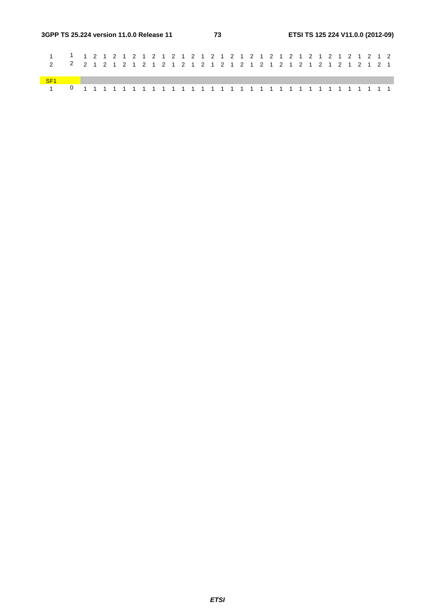| SFA |  |  |  |  |  |  |  |  |  |  |  |  |  |  |  |  |  |
|-----|--|--|--|--|--|--|--|--|--|--|--|--|--|--|--|--|--|
|     |  |  |  |  |  |  |  |  |  |  |  |  |  |  |  |  |  |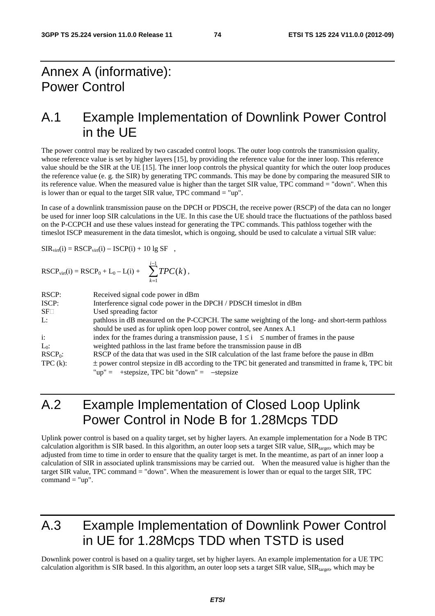## Annex A (informative): Power Control

## A.1 Example Implementation of Downlink Power Control in the UE

The power control may be realized by two cascaded control loops. The outer loop controls the transmission quality, whose reference value is set by higher layers [15], by providing the reference value for the inner loop. This reference value should be the SIR at the UE [15]. The inner loop controls the physical quantity for which the outer loop produces the reference value (e. g. the SIR) by generating TPC commands. This may be done by comparing the measured SIR to its reference value. When the measured value is higher than the target SIR value, TPC command = "down". When this is lower than or equal to the target SIR value, TPC command  $=$  "up".

In case of a downlink transmission pause on the DPCH or PDSCH, the receive power (RSCP) of the data can no longer be used for inner loop SIR calculations in the UE. In this case the UE should trace the fluctuations of the pathloss based on the P-CCPCH and use these values instead for generating the TPC commands. This pathloss together with the timeslot ISCP measurement in the data timeslot, which is ongoing, should be used to calculate a virtual SIR value:

$$
SIR_{virt}(i) = RSCP_{virt}(i) - ISCP(i) + 10lg SF ,
$$

RSCP<sub>virt</sub>(i) = RSCP<sub>0</sub> + L<sub>0</sub> – L(i) + 
$$
\sum_{k=1}^{i-1} TPC(k)
$$
,

| RSCP:                 | Received signal code power in dBm                                                                         |
|-----------------------|-----------------------------------------------------------------------------------------------------------|
| ISCP:                 | Interference signal code power in the DPCH / PDSCH timeslot in dBm                                        |
| $SF\square$           | Used spreading factor                                                                                     |
| L:                    | pathloss in dB measured on the P-CCPCH. The same weighting of the long- and short-term pathloss           |
|                       | should be used as for uplink open loop power control, see Annex A.1                                       |
| $\ddot{\mathbf{i}}$ : | index for the frames during a transmission pause, $1 \le i \le$ number of frames in the pause             |
| $L_0$ :               | weighted pathloss in the last frame before the transmission pause in dB                                   |
| $RSCP_0$ :            | RSCP of the data that was used in the SIR calculation of the last frame before the pause in dBm           |
| $TPC(k)$ :            | $\pm$ power control stepsize in dB according to the TPC bit generated and transmitted in frame k, TPC bit |
|                       | "up" = $+$ stepsize, TPC bit "down" = $-$ stepsize                                                        |

# A.2 Example Implementation of Closed Loop Uplink Power Control in Node B for 1.28Mcps TDD

Uplink power control is based on a quality target, set by higher layers. An example implementation for a Node B TPC calculation algorithm is SIR based. In this algorithm, an outer loop sets a target SIR value,  $\text{SIR}_{\text{target}}$ , which may be adjusted from time to time in order to ensure that the quality target is met. In the meantime, as part of an inner loop a calculation of SIR in associated uplink transmissions may be carried out. When the measured value is higher than the target SIR value, TPC command = "down". When the measurement is lower than or equal to the target SIR, TPC command  $=$  "up".

# A.3 Example Implementation of Downlink Power Control in UE for 1.28Mcps TDD when TSTD is used

Downlink power control is based on a quality target, set by higher layers. An example implementation for a UE TPC calculation algorithm is SIR based. In this algorithm, an outer loop sets a target SIR value,  $SIR<sub>target</sub>$ , which may be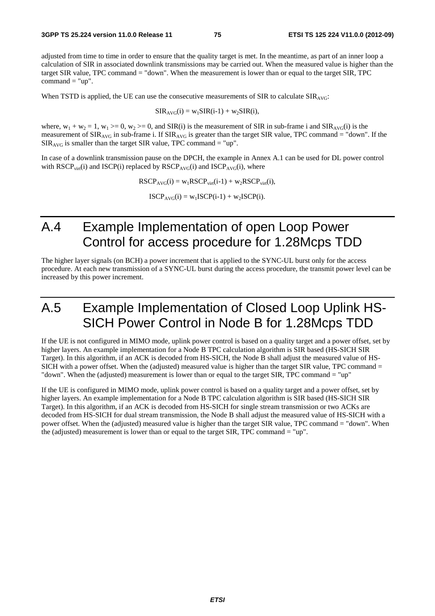adjusted from time to time in order to ensure that the quality target is met. In the meantime, as part of an inner loop a calculation of SIR in associated downlink transmissions may be carried out. When the measured value is higher than the target SIR value, TPC command = "down". When the measurement is lower than or equal to the target SIR, TPC  $command = "up"$ .

When TSTD is applied, the UE can use the consecutive measurements of SIR to calculate  $SIR_{AVG}$ :

$$
SIR_{AVG}(i) = w_1SIR(i-1) + w_2SIR(i),
$$

where,  $w_1 + w_2 = 1$ ,  $w_1 \ge 0$ ,  $w_2 \ge 0$ , and SIR(i) is the measurement of SIR in sub-frame i and SIR<sub>AVG</sub>(i) is the measurement of  $SIR_{AVG}$  in sub-frame i. If  $SIR_{AVG}$  is greater than the target SIR value, TPC command = "down". If the  $SIR<sub>AVG</sub>$  is smaller than the target SIR value, TPC command = "up".

In case of a downlink transmission pause on the DPCH, the example in Annex A.1 can be used for DL power control with  $RSCP<sub>virt</sub>(i)$  and  $ISCP(i)$  replaced by  $RSCP<sub>AVG</sub>(i)$  and  $ISCP<sub>AVG</sub>(i)$ , where

 $RSCP<sub>AVG</sub>(i) = w<sub>1</sub>RSCP<sub>virt</sub>(i-1) + w<sub>2</sub>RSCP<sub>virt</sub>(i),$ 

 $ISCP<sub>AVG</sub>(i) = w<sub>1</sub>ISCP(i-1) + w<sub>2</sub>ISCP(i).$ 

## A.4 Example Implementation of open Loop Power Control for access procedure for 1.28Mcps TDD

The higher layer signals (on BCH) a power increment that is applied to the SYNC-UL burst only for the access procedure. At each new transmission of a SYNC-UL burst during the access procedure, the transmit power level can be increased by this power increment.

## A.5 Example Implementation of Closed Loop Uplink HS-SICH Power Control in Node B for 1.28Mcps TDD

If the UE is not configured in MIMO mode, uplink power control is based on a quality target and a power offset, set by higher layers. An example implementation for a Node B TPC calculation algorithm is SIR based (HS-SICH SIR Target). In this algorithm, if an ACK is decoded from HS-SICH, the Node B shall adjust the measured value of HS-SICH with a power offset. When the (adjusted) measured value is higher than the target SIR value, TPC command = "down". When the (adjusted) measurement is lower than or equal to the target SIR, TPC command = "up"

If the UE is configured in MIMO mode, uplink power control is based on a quality target and a power offset, set by higher layers. An example implementation for a Node B TPC calculation algorithm is SIR based (HS-SICH SIR Target). In this algorithm, if an ACK is decoded from HS-SICH for single stream transmission or two ACKs are decoded from HS-SICH for dual stream transmission, the Node B shall adjust the measured value of HS-SICH with a power offset. When the (adjusted) measured value is higher than the target SIR value, TPC command = "down". When the (adjusted) measurement is lower than or equal to the target SIR, TPC command = "up".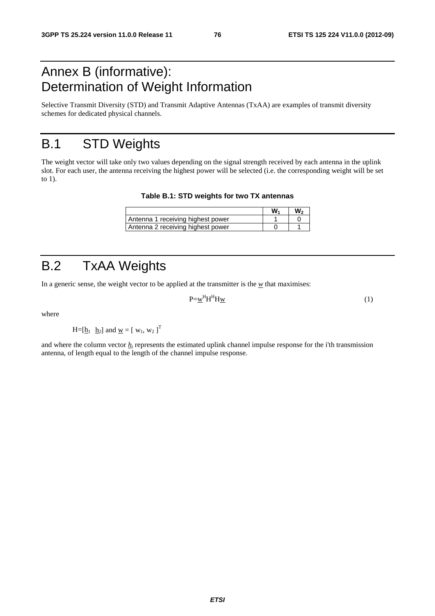# Annex B (informative): Determination of Weight Information

Selective Transmit Diversity (STD) and Transmit Adaptive Antennas (TxAA) are examples of transmit diversity schemes for dedicated physical channels.

# B.1 STD Weights

The weight vector will take only two values depending on the signal strength received by each antenna in the uplink slot. For each user, the antenna receiving the highest power will be selected (i.e. the corresponding weight will be set to 1).

**Table B.1: STD weights for two TX antennas** 

|                                   | w | w. |
|-----------------------------------|---|----|
| Antenna 1 receiving highest power |   |    |
| Antenna 2 receiving highest power |   |    |

# B.2 TxAA Weights

In a generic sense, the weight vector to be applied at the transmitter is the  $w$  that maximises:

$$
P=\underline{w}^{H}H^{H}H\underline{w}
$$
 (1)

where

$$
H=[\underline{h}_1 \ \underline{h}_2] \text{ and } \underline{w}=[w_1, w_2]^T
$$

and where the column vector  $h_i$  represents the estimated uplink channel impulse response for the i'th transmission antenna, of length equal to the length of the channel impulse response.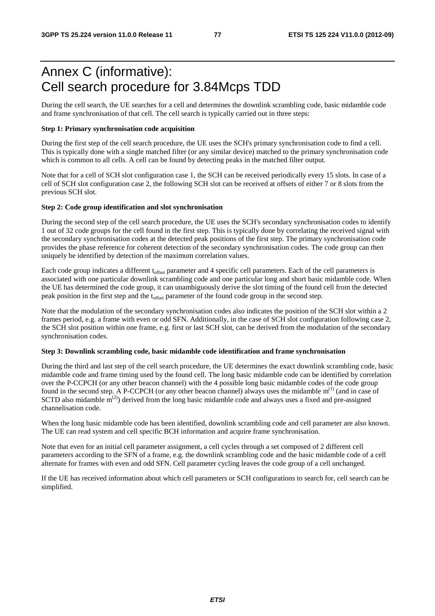# Annex C (informative): Cell search procedure for 3.84Mcps TDD

During the cell search, the UE searches for a cell and determines the downlink scrambling code, basic midamble code and frame synchronisation of that cell. The cell search is typically carried out in three steps:

### **Step 1: Primary synchronisation code acquisition**

During the first step of the cell search procedure, the UE uses the SCH's primary synchronisation code to find a cell. This is typically done with a single matched filter (or any similar device) matched to the primary synchronisation code which is common to all cells. A cell can be found by detecting peaks in the matched filter output.

Note that for a cell of SCH slot configuration case 1, the SCH can be received periodically every 15 slots. In case of a cell of SCH slot configuration case 2, the following SCH slot can be received at offsets of either 7 or 8 slots from the previous SCH slot.

### **Step 2: Code group identification and slot synchronisation**

During the second step of the cell search procedure, the UE uses the SCH's secondary synchronisation codes to identify 1 out of 32 code groups for the cell found in the first step. This is typically done by correlating the received signal with the secondary synchronisation codes at the detected peak positions of the first step. The primary synchronisation code provides the phase reference for coherent detection of the secondary synchronisation codes. The code group can then uniquely be identified by detection of the maximum correlation values.

Each code group indicates a different t<sub>offset</sub> parameter and 4 specific cell parameters. Each of the cell parameters is associated with one particular downlink scrambling code and one particular long and short basic midamble code. When the UE has determined the code group, it can unambiguously derive the slot timing of the found cell from the detected peak position in the first step and the t<sub>offset</sub> parameter of the found code group in the second step.

Note that the modulation of the secondary synchronisation codes also indicates the position of the SCH slot within a 2 frames period, e.g. a frame with even or odd SFN. Additionally, in the case of SCH slot configuration following case 2, the SCH slot position within one frame, e.g. first or last SCH slot, can be derived from the modulation of the secondary synchronisation codes.

### **Step 3: Downlink scrambling code, basic midamble code identification and frame synchronisation**

During the third and last step of the cell search procedure, the UE determines the exact downlink scrambling code, basic midamble code and frame timing used by the found cell. The long basic midamble code can be identified by correlation over the P-CCPCH (or any other beacon channel) with the 4 possible long basic midamble codes of the code group found in the second step. A P-CCPCH (or any other beacon channel) always uses the midamble  $m<sup>(1)</sup>$  (and in case of SCTD also midamble  $\mathbf{m}^{(2)}$ ) derived from the long basic midamble code and always uses a fixed and pre-assigned channelisation code.

When the long basic midamble code has been identified, downlink scrambling code and cell parameter are also known. The UE can read system and cell specific BCH information and acquire frame synchronisation.

Note that even for an initial cell parameter assignment, a cell cycles through a set composed of 2 different cell parameters according to the SFN of a frame, e.g. the downlink scrambling code and the basic midamble code of a cell alternate for frames with even and odd SFN. Cell parameter cycling leaves the code group of a cell unchanged.

If the UE has received information about which cell parameters or SCH configurations to search for, cell search can be simplified.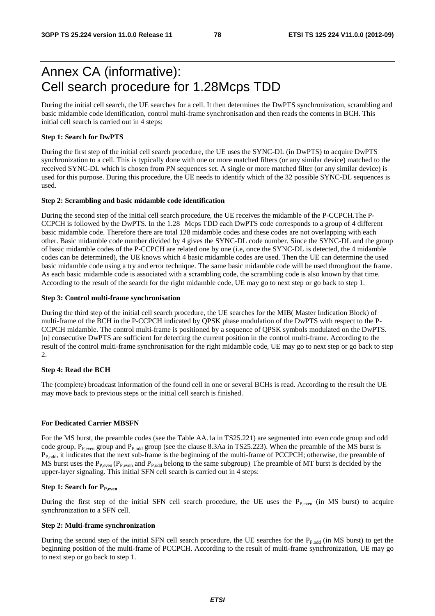# Annex CA (informative): Cell search procedure for 1.28Mcps TDD

During the initial cell search, the UE searches for a cell. It then determines the DwPTS synchronization, scrambling and basic midamble code identification, control multi-frame synchronisation and then reads the contents in BCH. This initial cell search is carried out in 4 steps:

### **Step 1: Search for DwPTS**

During the first step of the initial cell search procedure, the UE uses the SYNC-DL (in DwPTS) to acquire DwPTS synchronization to a cell. This is typically done with one or more matched filters (or any similar device) matched to the received SYNC-DL which is chosen from PN sequences set. A single or more matched filter (or any similar device) is used for this purpose. During this procedure, the UE needs to identify which of the 32 possible SYNC-DL sequences is used.

#### **Step 2: Scrambling and basic midamble code identification**

During the second step of the initial cell search procedure, the UE receives the midamble of the P-CCPCH.The P-CCPCH is followed by the DwPTS. In the 1.28 Mcps TDD each DwPTS code corresponds to a group of 4 different basic midamble code. Therefore there are total 128 midamble codes and these codes are not overlapping with each other. Basic midamble code number divided by 4 gives the SYNC-DL code number. Since the SYNC-DL and the group of basic midamble codes of the P-CCPCH are related one by one (i.e, once the SYNC-DL is detected, the 4 midamble codes can be determined), the UE knows which 4 basic midamble codes are used. Then the UE can determine the used basic midamble code using a try and error technique. The same basic midamble code will be used throughout the frame. As each basic midamble code is associated with a scrambling code, the scrambling code is also known by that time. According to the result of the search for the right midamble code, UE may go to next step or go back to step 1.

### **Step 3: Control multi-frame synchronisation**

During the third step of the initial cell search procedure, the UE searches for the MIB( Master Indication Block) of multi-frame of the BCH in the P-CCPCH indicated by QPSK phase modulation of the DwPTS with respect to the P-CCPCH midamble. The control multi-frame is positioned by a sequence of QPSK symbols modulated on the DwPTS. [n] consecutive DwPTS are sufficient for detecting the current position in the control multi-frame. According to the result of the control multi-frame synchronisation for the right midamble code, UE may go to next step or go back to step 2.

### **Step 4: Read the BCH**

The (complete) broadcast information of the found cell in one or several BCHs is read. According to the result the UE may move back to previous steps or the initial cell search is finished.

### **For Dedicated Carrier MBSFN**

For the MS burst, the preamble codes (see the Table AA.1a in TS25.221) are segmented into even code group and odd code group,  $P_{P,even}$  group and  $P_{P,odd}$  group (see the clause 8.3Aa in TS25.223). When the preamble of the MS burst is  $P_{P,odd}$ , it indicates that the next sub-frame is the beginning of the multi-frame of PCCPCH; otherwise, the preamble of MS burst uses the  $P_{P,even}$  ( $P_{P,even}$  and  $P_{P,odd}$  belong to the same subgroup). The preamble of MT burst is decided by the upper-layer signaling. This initial SFN cell search is carried out in 4 steps:

### **Step 1: Search for P<sub>P,even</sub>**

During the first step of the initial SFN cell search procedure, the UE uses the  $P_{P_{\text{even}}}$  (in MS burst) to acquire synchronization to a SFN cell.

### **Step 2: Multi-frame synchronization**

During the second step of the initial SFN cell search procedure, the UE searches for the  $P_{P,odd}$  (in MS burst) to get the beginning position of the multi-frame of PCCPCH. According to the result of multi-frame synchronization, UE may go to next step or go back to step 1.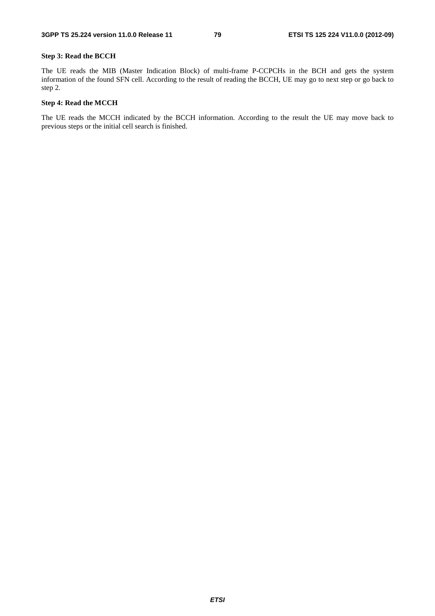### **Step 3: Read the BCCH**

The UE reads the MIB (Master Indication Block) of multi-frame P-CCPCHs in the BCH and gets the system information of the found SFN cell. According to the result of reading the BCCH, UE may go to next step or go back to step 2.

### **Step 4: Read the MCCH**

The UE reads the MCCH indicated by the BCCH information. According to the result the UE may move back to previous steps or the initial cell search is finished.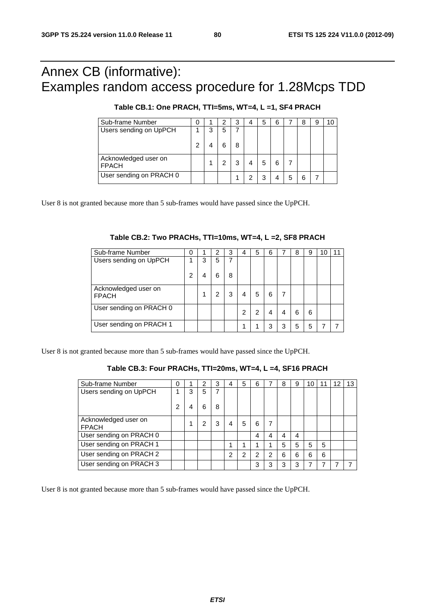# Annex CB (informative): Examples random access procedure for 1.28Mcps TDD

| Sub-frame Number                     |   |   | 3 |   | 5 | 6 |   | 8 | 9 |  |
|--------------------------------------|---|---|---|---|---|---|---|---|---|--|
| Users sending on UpPCH               | 3 | 5 |   |   |   |   |   |   |   |  |
|                                      |   |   | 8 |   |   |   |   |   |   |  |
| Acknowledged user on<br><b>FPACH</b> |   |   |   |   | 5 | հ |   |   |   |  |
| User sending on PRACH 0              |   |   |   | っ | 3 |   | 5 | 6 |   |  |

User 8 is not granted because more than 5 sub-frames would have passed since the UpPCH.

| Sub-frame Number                     |   |   |   |   |   | 5 | 6 |   | 8 | 9 | 10 |  |
|--------------------------------------|---|---|---|---|---|---|---|---|---|---|----|--|
| Users sending on UpPCH               |   | 3 | 5 |   |   |   |   |   |   |   |    |  |
|                                      | 2 |   | հ | 8 |   |   |   |   |   |   |    |  |
| Acknowledged user on<br><b>FPACH</b> |   |   | 2 | 3 | 4 | 5 | 6 |   |   |   |    |  |
| User sending on PRACH 0              |   |   |   |   | າ |   |   |   | 6 | 6 |    |  |
| User sending on PRACH 1              |   |   |   |   |   |   | 3 | 3 | 5 | 5 |    |  |

User 8 is not granted because more than 5 sub-frames would have passed since the UpPCH.

### **Table CB.3: Four PRACHs, TTI=20ms, WT=4, L =4, SF16 PRACH**

| Sub-frame Number                     | 0 |   | 2 | 3 |   | 5 | 6 |   | 8 | 9 | 10 | 11 | 12 | 13 |
|--------------------------------------|---|---|---|---|---|---|---|---|---|---|----|----|----|----|
| Users sending on UpPCH               |   | 3 | 5 | 7 |   |   |   |   |   |   |    |    |    |    |
|                                      | 2 | 4 | 6 | 8 |   |   |   |   |   |   |    |    |    |    |
| Acknowledged user on<br><b>FPACH</b> |   |   |   | 3 |   | 5 | 6 |   |   |   |    |    |    |    |
| User sending on PRACH 0              |   |   |   |   |   |   | 4 | 4 |   | 4 |    |    |    |    |
| User sending on PRACH 1              |   |   |   |   |   |   |   |   | 5 | 5 | 5  | 5  |    |    |
| User sending on PRACH 2              |   |   |   |   | ົ | 2 | 2 | 2 | 6 | 6 | 6  | 6  |    |    |
| User sending on PRACH 3              |   |   |   |   |   |   | 3 | з | з | 3 | 7  |    |    |    |

User 8 is not granted because more than 5 sub-frames would have passed since the UpPCH.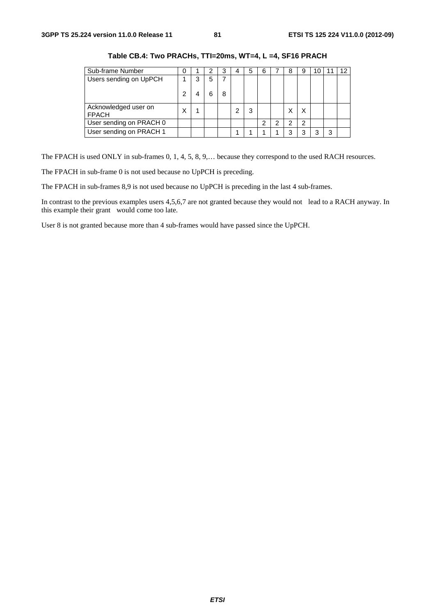| Sub-frame Number                     | 0 |   | າ |   | 4 | 5 | 6 |   | 8 | 9 | U |   | 12 |
|--------------------------------------|---|---|---|---|---|---|---|---|---|---|---|---|----|
| Users sending on UpPCH               |   | 3 | 5 |   |   |   |   |   |   |   |   |   |    |
|                                      | 2 |   |   | 8 |   |   |   |   |   |   |   |   |    |
| Acknowledged user on<br><b>FPACH</b> |   |   |   |   | 2 | 3 |   |   |   |   |   |   |    |
| User sending on PRACH 0              |   |   |   |   |   |   | 2 | າ | っ | 2 |   |   |    |
| User sending on PRACH 1              |   |   |   |   |   |   |   |   |   | っ | ≏ | 3 |    |

**Table CB.4: Two PRACHs, TTI=20ms, WT=4, L =4, SF16 PRACH** 

The FPACH is used ONLY in sub-frames 0, 1, 4, 5, 8, 9,… because they correspond to the used RACH resources.

The FPACH in sub-frame 0 is not used because no UpPCH is preceding.

The FPACH in sub-frames 8,9 is not used because no UpPCH is preceding in the last 4 sub-frames.

In contrast to the previous examples users 4,5,6,7 are not granted because they would not lead to a RACH anyway. In this example their grant would come too late.

User 8 is not granted because more than 4 sub-frames would have passed since the UpPCH.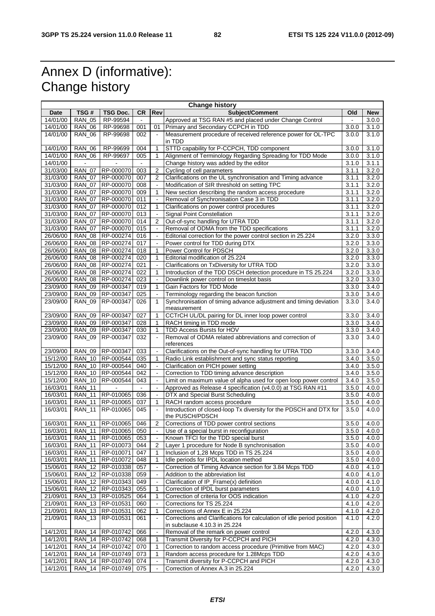# Annex D (informative): Change history

|          |               |                                     |     |                       | <b>Change history</b>                                                  |       |               |
|----------|---------------|-------------------------------------|-----|-----------------------|------------------------------------------------------------------------|-------|---------------|
| Date     | TSG#          | TSG Doc.                            | CR. | Rev                   | Subject/Comment                                                        | Old   | <b>New</b>    |
| 14/01/00 | <b>RAN 05</b> | RP-99594                            |     |                       | Approved at TSG RAN #5 and placed under Change Control                 |       | 3.0.0         |
| 14/01/00 | <b>RAN 06</b> | RP-99698                            | 001 | 01                    | Primary and Secondary CCPCH in TDD                                     | 3.0.0 | 3.1.0         |
| 14/01/00 | <b>RAN_06</b> | RP-99698                            | 002 | $\blacksquare$        | Measurement procedure of received reference power for OL-TPC           | 3.0.0 | 3.1.0         |
|          |               |                                     |     |                       | in TDD                                                                 |       |               |
| 14/01/00 | RAN<br>06     | RP-99699                            | 004 | 1                     | STTD capability for P-CCPCH, TDD component                             | 3.0.0 | 3.1.0         |
|          |               |                                     |     |                       |                                                                        |       |               |
| 14/01/00 | <b>RAN_06</b> | RP-99697                            | 005 | 1                     | Alignment of Terminology Regarding Spreading for TDD Mode              | 3.0.0 | 3.1.0         |
| 14/01/00 |               |                                     |     |                       | Change history was added by the editor                                 | 3.1.0 | 3.1.1         |
| 31/03/00 | <b>RAN_07</b> | RP-000070                           | 003 | 2                     | Cycling of cell parameters                                             | 3.1.1 | 3.2.0         |
| 31/03/00 | <b>RAN_07</b> | RP-000070                           | 007 | 2                     | Clarifications on the UL synchronisation and Timing advance            | 3.1.1 | 3.2.0         |
| 31/03/00 | <b>RAN 07</b> | RP-000070                           | 008 |                       | Modification of SIR threshold on setting TPC                           | 3.1.1 | 3.2.0         |
| 31/03/00 | <b>RAN_07</b> | RP-000070                           | 009 | 1                     | New section describing the random access procedure                     | 3.1.1 | 3.2.0         |
| 31/03/00 | <b>RAN_07</b> | RP-000070                           | 011 | $\sim$                | Removal of Synchronisation Case 3 in TDD                               | 3.1.1 | 3.2.0         |
| 31/03/00 | <b>RAN 07</b> | RP-000070                           | 012 | $\mathbf{1}$          | Clarifications on power control procedures                             | 3.1.1 | 3.2.0         |
| 31/03/00 | <b>RAN_07</b> | RP-000070                           | 013 |                       | Signal Point Constellation                                             | 3.1.1 | 3.2.0         |
| 31/03/00 | <b>RAN_07</b> | RP-000070                           | 014 | $\overline{2}$        | Out-of-sync handling for UTRA TDD                                      | 3.1.1 | 3.2.0         |
| 31/03/00 | <b>RAN_07</b> | RP-000070                           | 015 | $\tilde{\phantom{a}}$ | Removal of ODMA from the TDD specifications                            | 3.1.1 | 3.2.0         |
|          |               |                                     |     |                       |                                                                        |       |               |
| 26/06/00 | <b>RAN_08</b> | RP-000274                           | 016 | $\blacksquare$        | Editorial correction for the power control section in 25.224           | 3.2.0 | 3.3.0         |
| 26/06/00 | <b>RAN_08</b> | RP-000274                           | 017 | $\blacksquare$        | Power control for TDD during DTX                                       | 3.2.0 | 3.3.0         |
| 26/06/00 | <b>RAN_08</b> | RP-000274                           | 018 | $\mathbf{1}$          | Power Control for PDSCH                                                | 3.2.0 | 3.3.0         |
| 26/06/00 | <b>RAN_08</b> | RP-000274                           | 020 | 1                     | Editorial modification of 25.224                                       | 3.2.0 | 3.3.0         |
| 26/06/00 | <b>RAN_08</b> | RP-000274                           | 021 | $\blacksquare$        | Clarifications on TxDiversity for UTRA TDD                             | 3.2.0 | 3.3.0         |
| 26/06/00 | <b>RAN_08</b> | RP-000274                           | 022 | 1                     | Introduction of the TDD DSCH detection procedure in TS 25.224          | 3.2.0 | 3.3.0         |
| 26/06/00 | <b>RAN 08</b> | RP-000274                           | 023 |                       | Downlink power control on timeslot basis                               | 3.2.0 | 3.3.0         |
| 23/09/00 | <b>RAN_09</b> | RP-000347                           | 019 | 1                     | Gain Factors for TDD Mode                                              | 3.3.0 | 3.4.0         |
| 23/09/00 | <b>RAN 09</b> | RP-000347                           | 025 | $\blacksquare$        | Terminology regarding the beacon function                              | 3.3.0 | 3.4.0         |
| 23/09/00 | <b>RAN_09</b> | RP-000347                           | 026 | $\mathbf{1}$          | Synchronisation of timing advance adjustment and timing deviation      | 3.3.0 | 3.4.0         |
|          |               |                                     |     |                       | measurement                                                            |       |               |
|          |               |                                     |     |                       |                                                                        |       |               |
| 23/09/00 | <b>RAN_09</b> | RP-000347                           | 027 | $\mathbf{1}$          | CCTrCH UL/DL pairing for DL inner loop power control                   | 3.3.0 | 3.4.0         |
| 23/09/00 | <b>RAN_09</b> | RP-000347                           | 028 | 1                     | RACH timing in TDD mode                                                | 3.3.0 | 3.4.0         |
| 23/09/00 | <b>RAN 09</b> | RP-000347                           | 030 | 1                     | TDD Access Bursts for HOV                                              | 3.3.0 | 3.4.0         |
| 23/09/00 | <b>RAN_09</b> | RP-000347                           | 032 |                       | Removal of ODMA related abbreviations and correction of                | 3.3.0 | 3.4.0         |
|          |               |                                     |     |                       | references                                                             |       |               |
| 23/09/00 | <b>RAN 09</b> | RP-000347                           | 033 | $\tilde{\phantom{a}}$ | Clarifications on the Out-of-sync handling for UTRA TDD                | 3.3.0 | 3.4.0         |
| 15/12/00 | <b>RAN 10</b> | RP-000544                           | 035 | 1                     | Radio Link establishment and sync status reporting                     | 3.4.0 | 3.5.0         |
| 15/12/00 | <b>RAN_10</b> | RP-000544                           | 040 | $\blacksquare$        | Clarification on PICH power setting                                    | 3.4.0 | 3.5.0         |
| 15/12/00 | RAN_10        | RP-000544                           | 042 | $\blacksquare$        | Correction to TDD timing advance description                           | 3.4.0 | 3.5.0         |
| 15/12/00 | <b>RAN 10</b> | RP-000544                           | 043 | $\blacksquare$        | Limit on maximum value of alpha used for open loop power control       | 3.4.0 | 3.5.0         |
| 16/03/01 | <b>RAN_11</b> |                                     |     |                       | Approved as Release 4 specification (v4.0.0) at TSG RAN #11            | 3.5.0 | 4.0.0         |
| 16/03/01 | <b>RAN 11</b> | RP-010065                           | 036 | $\Box$                | DTX and Special Burst Scheduling                                       | 3.5.0 | 4.0.0         |
| 16/03/01 | <b>RAN_11</b> | RP-010065                           | 037 | 1                     | RACH random access procedure                                           | 3.5.0 | 4.0.0         |
|          |               | RP-010065                           |     |                       | Introduction of closed-loop Tx diversity for the PDSCH and DTX for     | 3.5.0 |               |
| 16/03/01 | <b>RAN_11</b> |                                     | 045 |                       |                                                                        |       | 4.0.0         |
|          |               |                                     |     |                       | the PUSCH/PDSCH                                                        |       |               |
| 16/03/01 |               | RAN_11 RP-010065                    | 046 | 2                     | Corrections of TDD power control sections                              | 3.5.0 | 4.0.0         |
|          |               | 16/03/01   RAN_11   RP-010065   050 |     |                       | Use of a special burst in reconfiguration                              |       | $3.5.0$ 4.0.0 |
| 16/03/01 |               | RAN_11 RP-010065                    | 053 | $\blacksquare$        | Known TFCI for the TDD special burst                                   | 3.5.0 | 4.0.0         |
| 16/03/01 | <b>RAN_11</b> | RP-010073                           | 044 | 2                     | Layer 1 procedure for Node B synchronisation                           | 3.5.0 | 4.0.0         |
| 16/03/01 |               | RAN_11   RP-010071                  | 047 | $\mathbf{1}$          | Inclusion of 1,28 Mcps TDD in TS 25.224                                | 3.5.0 | 4.0.0         |
| 16/03/01 |               | RAN_11 RP-010072                    | 048 | 1                     | Idle periods for IPDL location method                                  | 3.5.0 | 4.0.0         |
| 15/06/01 |               | RAN_12   RP-010338                  | 057 | $\sim$                | Correction of Timing Advance section for 3.84 Mcps TDD                 | 4.0.0 | 4.1.0         |
| 15/06/01 |               | RAN_12   RP-010338                  | 059 | $\blacksquare$        | Addition to the abbreviation list                                      | 4.0.0 | 4.1.0         |
| 15/06/01 |               | RAN_12   RP-010343                  | 049 |                       | Clarification of IP_Frame(x) definition                                | 4.0.0 | 4.1.0         |
| 15/06/01 |               | RAN_12 RP-010343                    | 055 | 1                     | Correction of IPDL burst parameters                                    | 4.0.0 | 4.1.0         |
|          |               | RAN 13 RP-010525                    |     | $\mathbf{1}$          |                                                                        | 4.1.0 |               |
| 21/09/01 |               |                                     | 064 |                       | Correction of criteria for OOS indication                              |       | 4.2.0         |
| 21/09/01 |               | RAN_13   RP-010531                  | 060 |                       | Corrections for TS 25.224                                              | 4.1.0 | 4.2.0         |
| 21/09/01 |               | RAN_13   RP-010531                  | 062 | 1                     | Corrections of Annex E in 25.224                                       | 4.1.0 | 4.2.0         |
| 21/09/01 | <b>RAN_13</b> | RP-010531                           | 061 | $\ddot{\phantom{a}}$  | Corrections and Clarifications for calculation of idle period position | 4.1.0 | 4.2.0         |
|          |               |                                     |     |                       | in subclause 4.10.3 in 25.224                                          |       |               |
| 14/12/01 |               | RAN_14   RP-010742                  | 066 |                       | Removal of the remark on power control                                 | 4.2.0 | 4.3.0         |
| 14/12/01 |               | RAN_14 RP-010742                    | 068 | $\mathbf{1}$          | Transmit Diversity for P-CCPCH and PICH                                | 4.2.0 | 4.3.0         |
| 14/12/01 |               | RAN_14   RP-010742                  | 070 | 1                     | Correction to random access procedure (Primitive from MAC)             | 4.2.0 | 4.3.0         |
| 14/12/01 |               | RAN_14 RP-010749                    | 073 | $\mathbf{1}$          | Random access procedure for 1.28Mcps TDD                               | 4.2.0 | 4.3.0         |
| 14/12/01 |               | RAN_14   RP-010749                  | 074 | $\blacksquare$        | Transmit diversity for P-CCPCH and PICH                                | 4.2.0 | 4.3.0         |
| 14/12/01 |               | RAN_14 RP-010749                    | 075 | $\sim$                | Correction of Annex A.3 in 25.224                                      | 4.2.0 | 4.3.0         |
|          |               |                                     |     |                       |                                                                        |       |               |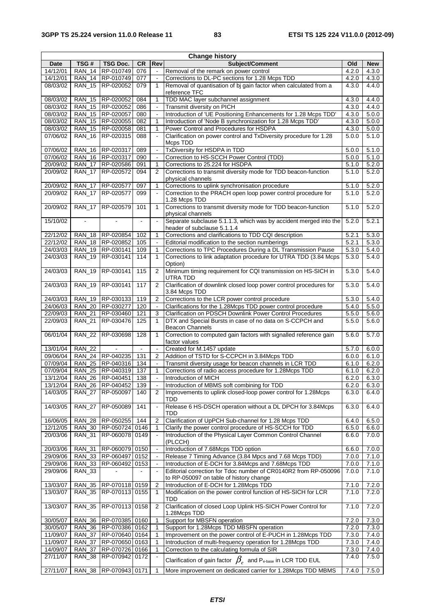| <b>Change history</b> |               |                                      |            |                          |                                                                                                            |                |                |
|-----------------------|---------------|--------------------------------------|------------|--------------------------|------------------------------------------------------------------------------------------------------------|----------------|----------------|
| <b>Date</b>           | TSG#          | <b>TSG Doc.</b>                      | <b>CR</b>  | Rev                      | <b>Subject/Comment</b>                                                                                     | Old            | <b>New</b>     |
| 14/12/01              | <b>RAN 14</b> | RP-010749                            | 076        | $\overline{\phantom{a}}$ | Removal of the remark on power control                                                                     | 4.2.0          | 4.3.0          |
| 14/12/01              |               | RAN_14   RP-010749                   | 077        | $\blacksquare$           | Corrections to DL-PC sections for 1.28 Mcps TDD                                                            | 4.2.0          | 4.3.0          |
| 08/03/02              |               | RAN 15 RP-020052                     | 079        | $\mathbf{1}$             | Removal of quantisation of bj gain factor when calculated from a<br>reference TFC                          | 4.3.0          | 4.4.0          |
| 08/03/02              | <b>RAN_15</b> | RP-020052                            | 084        | 1                        | TDD MAC layer subchannel assignment                                                                        | 4.3.0          | 4.4.0          |
| 08/03/02              |               | RAN 15 RP-020052                     | 086        | $\blacksquare$           | Transmit diversity on PICH                                                                                 | 4.3.0          | 4.4.0          |
| 08/03/02              |               | RAN 15   RP-020057                   | 080        |                          | Introduction of 'UE Positioning Enhancements for 1.28 Mcps TDD'                                            | 4.3.0          | 5.0.0          |
| 08/03/02              |               | RAN_15   RP-020055                   | 082        | 1                        | Introduction of 'Node B synchronization for 1.28 Mcps TDD'                                                 | 4.3.0          | 5.0.0          |
| 08/03/02              |               | RAN 15 RP-020058                     | 081        | $\mathbf{1}$             | Power Control and Procedures for HSDPA                                                                     | 4.3.0          | 5.0.0          |
| 07/06/02              |               | RAN_16 RP-020315                     | 088        |                          | Clarification on power control and TxDiversity procedure for 1.28<br>Mcps TDD                              | 5.0.0          | 5.1.0          |
| 07/06/02              | <b>RAN_16</b> | RP-020317                            | 089        | $\blacksquare$           | TxDiversity for HSDPA in TDD                                                                               | 5.0.0          | 5.1.0          |
| 07/06/02              |               | RAN 16 RP-020317                     | 090        | $\blacksquare$           | Correction to HS-SCCH Power Control (TDD)                                                                  | 5.0.0          | 5.1.0          |
| 20/09/02              | <b>RAN 17</b> | RP-020586                            | 091        | 1<br>$\overline{2}$      | Corrections to 25.224 for HSDPA                                                                            | 5.1.0          | 5.2.0<br>5.2.0 |
| 20/09/02              | <b>RAN_17</b> | RP-020572                            | 094        |                          | Corrections to transmit diversity mode for TDD beacon-function<br>physical channels                        | 5.1.0          |                |
| 20/09/02              | <b>RAN 17</b> | RP-020577                            | 097        | $\mathbf{1}$             | Corrections to uplink synchronisation procedure                                                            | 5.1.0          | 5.2.0          |
| 20/09/02              | <b>RAN 17</b> | RP-020577                            | 099        |                          | Correction to the PRACH open loop power control procedure for<br>1.28 Mcps TDD                             | 5.1.0          | 5.2.0          |
| 20/09/02              | <b>RAN_17</b> | RP-020579                            | 101        | $\mathbf{1}$             | Corrections to transmit diversity mode for TDD beacon-function<br>physical channels                        | 5.1.0          | 5.2.0          |
| 15/10/02              |               |                                      |            | ÷,                       | Separate subclause 5.1.1.3, which was by accident merged into the<br>header of subclause 5.1.1.4           | 5.2.0          | 5.2.1          |
| 22/12/02              |               | RAN_18   RP-020854                   | 102        | 1                        | Corrections and clarifications to TDD CQI description                                                      | 5.2.1          | 5.3.0          |
| 22/12/02              |               | RAN 18 RP-020852                     | 105        | $\tilde{\phantom{a}}$    | Editorial modification to the section numberings                                                           | 5.2.1          | 5.3.0          |
| 24/03/03              |               | RAN_19   RP-030141                   | 109        | 1                        | Corrections to TPC Procedures During a DL Transmission Pause                                               | 5.3.0          | 5.4.0          |
| 24/03/03              |               | RAN_19   RP-030141                   | 114        | $\mathbf{1}$             | Corrections to link adaptation procedure for UTRA TDD (3.84 Mcps)<br>Option)                               | 5.3.0          | 5.4.0          |
| 24/03/03              | <b>RAN_19</b> | RP-030141                            | 115        | 2                        | Minimum timing requirement for CQI transmission on HS-SICH in<br>UTRA TDD                                  | 5.3.0          | 5.4.0          |
| 24/03/03              |               | RAN_19 RP-030141                     | 117        | 2                        | Clarification of downlink closed loop power control procedures for<br>3.84 Mcps TDD                        | 5.3.0          | 5.4.0          |
| 24/03/03              |               | RAN_19   RP-030133                   | 119        | $\overline{2}$           | Corrections to the LCR power control procedure                                                             | 5.3.0          | 5.4.0          |
| 24/06/03              |               | RAN_20   RP-030277                   | 120        | $\blacksquare$           | Clarifications for the 1.28Mcps TDD power control procedure                                                | 5.4.0          | 5.5.0          |
| 22/09/03              | <b>RAN 21</b> | RP-030460                            | 121        | 3                        | <b>Clarification on PDSCH Downlink Power Control Procedures</b>                                            | 5.5.0          | 5.6.0          |
| 22/09/03              | <b>RAN_21</b> | RP-030476                            | 125        | $\mathbf{1}$             | DTX and Special Bursts in case of no data on S-CCPCH and<br><b>Beacon Channels</b>                         | 5.5.0          | 5.6.0          |
| 06/01/04              | <b>RAN 22</b> | RP-030698                            | 128        | $\mathbf{1}$             | Correction to computed gain factors with signalled reference gain<br>factor values                         | 5.6.0          | 5.7.0          |
| 13/01/04              | <b>RAN 22</b> |                                      |            |                          | Created for M.1457 update                                                                                  | 5.7.0          | 6.0.0          |
| 09/06/04              |               | RAN_24   RP-040235                   | 131        | $\overline{2}$           | Addition of TSTD for S-CCPCH in 3.84Mcps TDD                                                               | 6.0.0          | 6.1.0          |
| 07/09/04              | <b>RAN_25</b> | RP-040316                            | 134        | $\blacksquare$           | Transmit diversity usage for beacon channels in LCR TDD                                                    | 6.1.0          | 6.2.0          |
| 07/09/04<br>13/12/04  |               | RAN 25 RP-040319<br>RAN_26 RP-040451 | 137<br>138 | 1                        | Corrections of radio access procedure for 1.28Mcps TDD                                                     | 6.1.0<br>6.2.0 | 6.2.0<br>6.3.0 |
| 13/12/04              | <b>RAN_26</b> | RP-040452                            | 139        | $\blacksquare$           | Introduction of MICH<br>Introduction of MBMS soft combining for TDD                                        | 6.2.0          | 6.3.0          |
| 14/03/05              | <b>RAN 27</b> | RP-050097                            | 140        | 2                        | Improvements to uplink closed-loop power control for 1.28Mcps                                              | 6.3.0          | 6.4.0          |
| 14/03/05              | <b>RAN_27</b> | RP-050089                            | 141        |                          | TDD<br>Release 6 HS-DSCH operation without a DL DPCH for 3.84Mcps                                          | 6.3.0          | 6.4.0          |
| 16/06/05              | <b>RAN_28</b> | RP-050255                            | 144        | 2                        | TDD<br>Clarification of UpPCH Sub-channel for 1.28 Mcps TDD                                                | 6.4.0          |                |
| 12/12/05              | <b>RAN_30</b> | RP-050724 0146                       |            | 1                        | Clarify the power control procedure of HS-SCCH for TDD                                                     | 6.5.0          | 6.5.0<br>6.6.0 |
| 20/03/06              | <b>RAN_31</b> | RP-060078                            | 0149       |                          | Introduction of the Physical Layer Common Control Channel                                                  | 6.6.0          | 7.0.0          |
| 20/03/06              | <b>RAN_31</b> | RP-060079 0150                       |            | $\blacksquare$           | (PLCCH)<br>Introduction of 7.68Mcps TDD option                                                             | 6.6.0          | 7.0.0          |
| 29/09/06              | <b>RAN 33</b> | RP-060497                            | 0152       |                          | Release 7 Timing Advance (3.84 Mpcs and 7.68 Mcps TDD)                                                     | 7.0.0          | 7.1.0          |
| 29/09/06              | RAN_33        | RP-060492                            | 0153       | $\blacksquare$           | Introduction of E-DCH for 3.84Mcps and 7.68Mcps TDD                                                        | 7.0.0          | 7.1.0          |
| 29/09/06              | <b>RAN_33</b> |                                      |            | $\overline{\phantom{a}}$ | Editorial correction for Tdoc number of CR0140R2 from RP-050096<br>to RP-050097 on table of history change | 7.0.0          | 7.1.0          |
| 13/03/07              | <b>RAN_35</b> | RP-070118 0159                       |            | $\overline{2}$           | Introduction of E-DCH for 1.28Mcps TDD                                                                     | 7.1.0          | 7.2.0          |
| 13/03/07              | <b>RAN_35</b> | RP-070113                            | 0155       | $\mathbf{1}$             | Modification on the power control function of HS-SICH for LCR<br>TDD                                       | 7.1.0          | 7.2.0          |
| 13/03/07              | <b>RAN_35</b> | RP-070113 0158                       |            | 2                        | Clarification of closed Loop Uplink HS-SICH Power Control for<br>1.28Mcps TDD                              | 7.1.0          | 7.2.0          |
| 30/05/07              |               | RAN_36   RP-070385 0160              |            | 1                        | Support for MBSFN operation                                                                                | 7.2.0          | 7.3.0          |
| 30/05/07              |               | RAN_36 RP-070386 0162                |            | 1                        | Support for 1.28Mcps TDD MBSFN operation                                                                   | 7.2.0          | 7.3.0          |
| 11/09/07              | <b>RAN_37</b> | RP-070640 0164                       |            | 1                        | Improvement on the power control of E-PUCH in 1.28Mcps TDD                                                 | 7.3.0          | 7.4.0          |
| 11/09/07              | <b>RAN_37</b> | RP-070650 0163                       |            | 1                        | Introduction of multi-frequency operation for 1.28Mcps TDD                                                 | 7.3.0          | 7.4.0          |
| 14/09/07              | RAN_37        | RP-070726 0166                       |            | 1                        | Correction to the calculating formula of SIR                                                               | 7.3.0          | 7.4.0          |
| 27/11/07              | <b>RAN_38</b> | RP-070942                            | 0172       |                          | Clarification of gain factor $\beta_e$ and P <sub>e-base</sub> in LCR TDD EUL                              | 7.4.0          | 7.5.0          |
| 27/11/07              | <b>RAN_38</b> | RP-070943 0171                       |            | 1                        | More improvement on dedicated carrier for 1.28Mcps TDD MBMS                                                | 7.4.0          | 7.5.0          |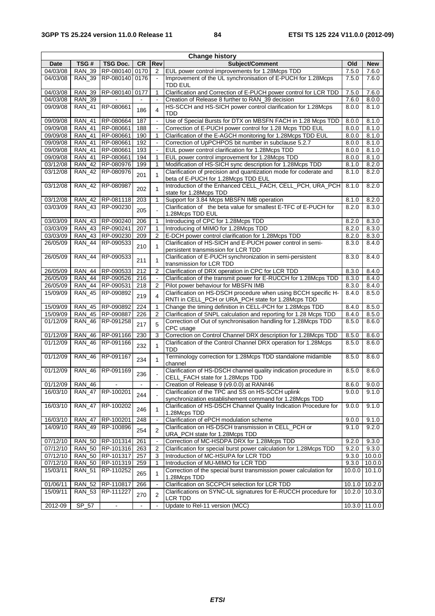| <b>Change history</b> |               |                 |                |                          |                                                                                                                      |        |                 |
|-----------------------|---------------|-----------------|----------------|--------------------------|----------------------------------------------------------------------------------------------------------------------|--------|-----------------|
| Date                  | TSG#          | <b>TSG Doc.</b> | <b>CR</b>      | Rev                      | Subject/Comment                                                                                                      | Old    | <b>New</b>      |
| 04/03/08              | <b>RAN 39</b> | RP-080140       | 0170           | 2                        | EUL power control improvements for 1.28Mcps TDD                                                                      | 7.5.0  | 7.6.0           |
| 04/03/08              | <b>RAN 39</b> | RP-080140       | 0176           | $\blacksquare$           | Improvement of the UL synchronisation of E-PUCH for 1.28Mcps<br><b>TDD EUL</b>                                       | 7.5.0  | 7.6.0           |
| 04/03/08              | <b>RAN_39</b> | RP-080140       | 0177           | 1                        | Clarification and Correction of E-PUCH power control for LCR TDD                                                     | 7.5.0  | 7.6.0           |
| 04/03/08              | <b>RAN 39</b> |                 |                | $\overline{a}$           | Creation of Release 8 further to RAN_39 decision                                                                     | 7.6.0  | 8.0.0           |
| 09/09/08              | <b>RAN 41</b> | RP-080661       | 186            | 4                        | HS-SCCH and HS-SICH power control clarification for 1.28Mcps<br>TDD                                                  | 8.0.0  | 8.1.0           |
| 09/09/08              | <b>RAN_41</b> | RP-080664       | 187            | $\Box$                   | Use of Special Bursts for DTX on MBSFN FACH in 1.28 Mcps TDD                                                         | 8.0.0  | 8.1.0           |
| 09/09/08              | <b>RAN 41</b> | RP-080661       | 188            | $\blacksquare$           | Correction of E-PUCH power control for 1.28 Mcps TDD EUL                                                             | 8.0.0  | 8.1.0           |
| 09/09/08              | <b>RAN 41</b> | RP-080661       | 190            | 1                        | Clarification of the E-AGCH monitoring for 1.28Mcps TDD EUL                                                          | 8.0.0  | 8.1.0           |
| 09/09/08              | <b>RAN_41</b> | RP-080661       | 192            | $\overline{\phantom{a}}$ | Correction of UpPCHPOS bit number in subclause 5.2.7                                                                 | 8.0.0  | 8.1.0           |
| 09/09/08              | <b>RAN_41</b> | RP-080661       | 193            | $\blacksquare$           | EUL power control clarification for 1.28Mcps TDD                                                                     | 8.0.0  | 8.1.0           |
| 09/09/08              | <b>RAN_41</b> | RP-080661       | 194            | 1                        | EUL power control improvement for 1.28Mcps TDD                                                                       | 8.0.0  | 8.1.0           |
| 03/12/08              | <b>RAN 42</b> | RP-080976       | 199            | $\mathbf{1}$             | Modification of HS-SICH sync description for 1.28Mcps TDD                                                            | 8.1.0  | 8.2.0           |
| 03/12/08              | <b>RAN_42</b> | RP-080976       | 201            | $\mathbf{1}$             | Clarification of precision and quantization mode for coderate and<br>beta of E-PUCH for 1.28Mcps TDD EUL             | 8.1.0  | 8.2.0           |
| 03/12/08              | <b>RAN 42</b> | RP-080987       | 202            | 1                        | Introduction of the Enhanced CELL_FACH, CELL_PCH, URA_PCH<br>state for 1.28Mcps TDD                                  | 8.1.0  | 8.2.0           |
| 03/12/08              | <b>RAN 42</b> | RP-081118       | 203            | $\mathbf{1}$             | Support for 3.84 Mcps MBSFN IMB operation                                                                            | 8.1.0  | 8.2.0           |
| 03/03/09              | <b>RAN_43</b> | RP-090230       | 205            |                          | Clarification of the beta value for smallest E-TFC of E-PUCH for<br>1.28Mcps TDD EUL                                 | 8.2.0  | 8.3.0           |
| 03/03/09              | <b>RAN 43</b> | RP-090240       | 206            | 1                        | Introducing of CPC for 1.28Mcps TDD                                                                                  | 8.2.0  | 8.3.0           |
| 03/03/09              | <b>RAN_43</b> | RP-090241       | 207            | 1                        | Introducing of MIMO for 1.28Mcps TDD                                                                                 | 8.2.0  | 8.3.0           |
| 03/03/09              | <b>RAN 43</b> | RP-090230       | 209            | $\overline{2}$           | E-DCH power control clarification for 1.28Mcps TDD                                                                   | 8.2.0  | 8.3.0           |
| 26/05/09              | <b>RAN_44</b> | RP-090533       | 210            | $\mathbf{1}$             | Clarification of HS-SICH and E-PUCH power control in semi-<br>persistent transmission for LCR TDD                    | 8.3.0  | 8.4.0           |
| 26/05/09              | <b>RAN 44</b> | RP-090533       | 211            | $\mathbf{1}$             | Clarification of E-PUCH synchronization in semi-persistent<br>transmission for LCR TDD                               | 8.3.0  | 8.4.0           |
| 26/05/09              | <b>RAN_44</b> | RP-090533       | 212            | $\overline{2}$           | Clarification of DRX operation in CPC for LCR TDD                                                                    | 8.3.0  | 8.4.0           |
| 26/05/09              | <b>RAN 44</b> | RP-090526       | 216            | $\overline{\phantom{a}}$ | Clarification of the transmit power for E-RUCCH for 1.28Mcps TDD                                                     | 8.3.0  | 8.4.0           |
| 26/05/09              | <b>RAN_44</b> | RP-090531       | 218            | $\overline{2}$           | Pilot power behaviour for MBSFN IMB                                                                                  | 8.3.0  | 8.4.0           |
| 15/09/09              | <b>RAN 45</b> | RP-090892       | 219            | 4                        | Clarification on HS-DSCH procedure when using BCCH specific H-<br>RNTI in CELL_PCH or URA_PCH state for 1.28Mcps TDD | 8.4.0  | 8.5.0           |
| 15/09/09              | <b>RAN 45</b> | RP-090892       | 224            | 1                        | Change the timing definition in CELL-PCH for 1.28Mcps TDD                                                            | 8.4.0  | 8.5.0           |
| 15/09/09              | <b>RAN 45</b> | RP-090887       | 226            | $\overline{2}$           | Clarification of SNPL calculation and reporting for 1.28 Mcps TDD                                                    | 8.4.0  | 8.5.0           |
| 01/12/09              | <b>RAN_46</b> | RP-091258       | 217            | 5                        | Correction of Out of synchronisation handling for 1.28Mcps TDD<br>CPC usage                                          | 8.5.0  | 8.6.0           |
| 01/12/09              | <b>RAN 46</b> | RP-091166       | 230            | 3                        | Correction on Control Channel DRX description for 1.28Mcps TDD                                                       | 8.5.0  | 8.6.0           |
| 01/12/09              | <b>RAN 46</b> | RP-091166       | 232            | $\mathbf{1}$             | Clarification of the Control Channel DRX operation for 1.28Mcps<br>TDD                                               | 8.5.0  | 8.6.0           |
| 01/12/09              | <b>RAN_46</b> | RP-091167       | 234            | $\mathbf{1}$             | Terminology correction for 1.28Mcps TDD standalone midamble<br>channel                                               | 8.5.0  | 8.6.0           |
| 01/12/09              | <b>RAN_46</b> | RP-091169       | 236            |                          | Clarification of HS-DSCH channel quality indication procedure in<br>CELL_FACH state for 1.28Mcps TDD                 | 8.5.0  | 8.6.0           |
| 01/12/09              | RAN_46        |                 |                |                          | Creation of Release 9 (v9.0.0) at RAN#46                                                                             | 8.6.0  | 9.0.0           |
| 16/03/10              | <b>RAN_47</b> | RP-100201       | 244            |                          | Clarification of the TPC and SS on HS-SCCH uplink<br>synchronization establishement command for 1.28Mcps TDD         | 9.0.0  | 9.1.0           |
| 16/03/10              | <b>RAN_47</b> | RP-100202       | 246            | 1                        | Clarification of HS-DSCH Channel Quality Indication Procedure for<br>1.28Mcps TDD                                    | 9.0.0  | 9.1.0           |
| 16/03/10              | <b>RAN 47</b> | RP-100201       | 248            |                          | Clarification of ePCH modulation scheme                                                                              | 9.0.0  | 9.1.0           |
| 14/09/10              | <b>RAN_49</b> | RP-100896       | 254            | $\overline{2}$           | Clarification on HS-DSCH transmission in CELL_PCH or<br>URA_PCH state for 1.28Mcps TDD                               | 9.1.0  | 9.2.0           |
| 07/12/10              | <b>RAN 50</b> | RP-101314       | 261            | $\blacksquare$           | Correction of MC-HSDPA DRX for 1.28Mcps TDD                                                                          | 9.2.0  | 9.3.0           |
| 07/12/10              | <b>RAN_50</b> | RP-101316       | 263            | 2                        | Clarification for special burst power calculation for 1.28Mcps TDD                                                   | 9.2.0  | 9.3.0           |
| 07/12/10              | <b>RAN_50</b> | RP-101317       | 257            | 3                        | Introduction of MC-HSUPA for LCR TDD                                                                                 | 9.3.0  | 10.0.0          |
| 07/12/10              | <b>RAN_50</b> | RP-101319       | 259            | 1                        | Introduction of MU-MIMO for LCR TDD                                                                                  | 9.3.0  | 10.0.0          |
| 15/03/11              | <b>RAN_51</b> | RP-110252       | 265            | 1                        | Correction of the special burst transmission power calculation for<br>1.28Mcps TDD                                   | 10.0.0 | 10.1.0          |
| 01/06/11              | <b>RAN_52</b> | RP-110817       | 266            | $\blacksquare$           | Clarification on SCCPCH selection for LCR TDD                                                                        |        | $10.1.0$ 10.2.0 |
| 15/09/11              | <b>RAN_53</b> | RP-111227       | 270            | $\overline{2}$           | Clarifications on SYNC-UL signatures for E-RUCCH procedure for<br>LCR TDD                                            |        | 10.2.0 10.3.0   |
| 2012-09               | SP_57         | $\blacksquare$  | $\blacksquare$ | $\blacksquare$           | Update to Rel-11 version (MCC)                                                                                       |        | 10.3.0 11.0.0   |